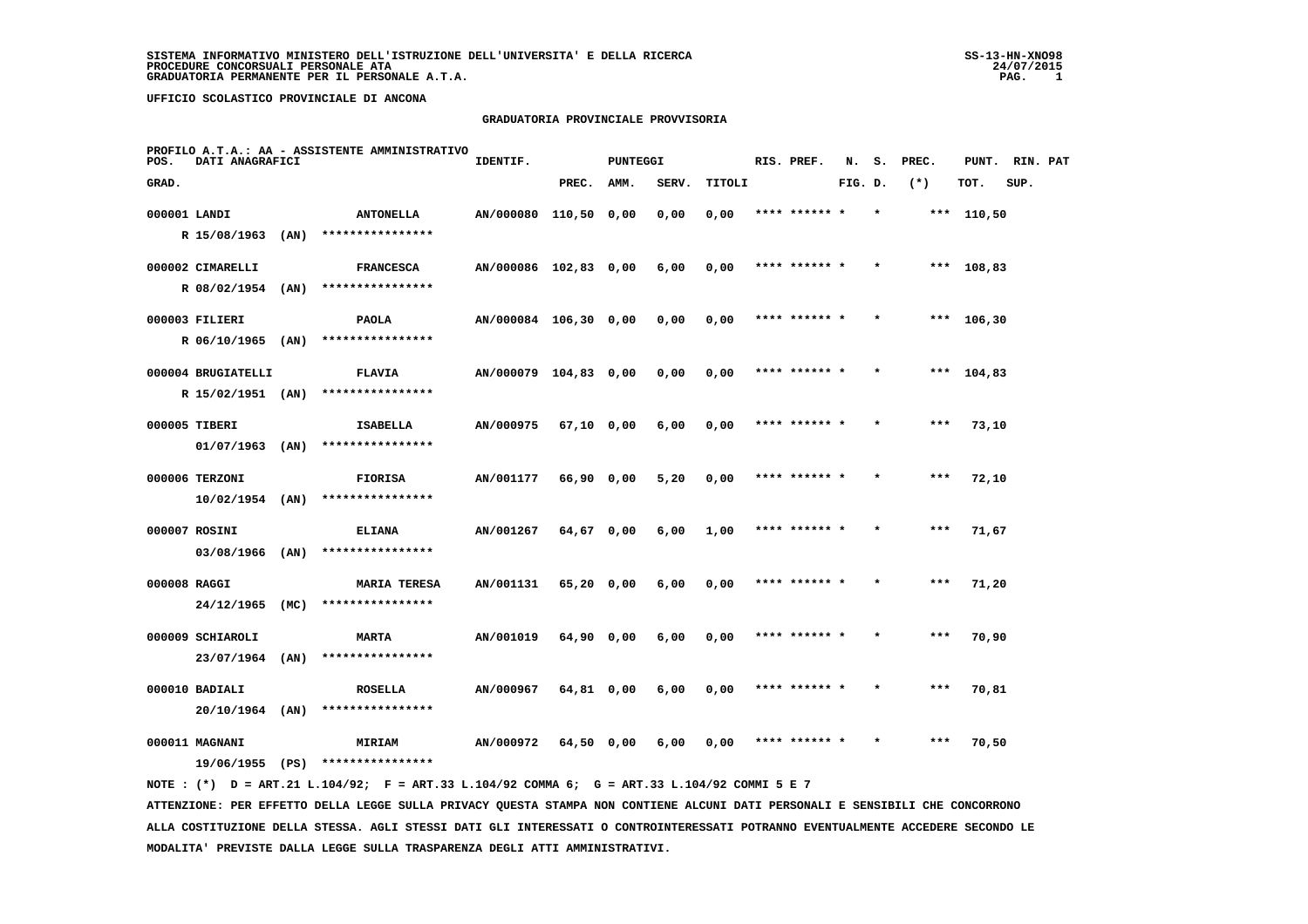#### **GRADUATORIA PROVINCIALE PROVVISORIA**

| POS.         | DATI ANAGRAFICI    |      | PROFILO A.T.A.: AA - ASSISTENTE AMMINISTRATIVO                                              | IDENTIF.              |            | <b>PUNTEGGI</b> |       |        | RIS. PREF.    | N.      | s.      | PREC.  | PUNT.        | RIN. PAT |  |
|--------------|--------------------|------|---------------------------------------------------------------------------------------------|-----------------------|------------|-----------------|-------|--------|---------------|---------|---------|--------|--------------|----------|--|
| GRAD.        |                    |      |                                                                                             |                       | PREC.      | AMM.            | SERV. | TITOLI |               | FIG. D. |         | $(* )$ | TOT.         | SUP.     |  |
| 000001 LANDI |                    |      | <b>ANTONELLA</b>                                                                            | AN/000080 110,50 0,00 |            |                 | 0,00  | 0,00   | **** ****** * |         | $\star$ |        | *** 110,50   |          |  |
|              | R 15/08/1963 (AN)  |      | ****************                                                                            |                       |            |                 |       |        |               |         |         |        |              |          |  |
|              | 000002 CIMARELLI   |      | <b>FRANCESCA</b>                                                                            | AN/000086 102,83 0,00 |            |                 | 6,00  | 0,00   | **** ****** * |         | $\star$ |        | *** 108,83   |          |  |
|              | R 08/02/1954 (AN)  |      | ****************                                                                            |                       |            |                 |       |        |               |         |         |        |              |          |  |
|              | 000003 FILIERI     |      | <b>PAOLA</b>                                                                                | AN/000084 106,30 0,00 |            |                 | 0,00  | 0,00   | **** ****** * |         | $\star$ |        | *** $106,30$ |          |  |
|              | R 06/10/1965 (AN)  |      | ****************                                                                            |                       |            |                 |       |        |               |         |         |        |              |          |  |
|              | 000004 BRUGIATELLI |      | <b>FLAVIA</b>                                                                               | AN/000079 104,83 0,00 |            |                 | 0,00  | 0,00   |               |         |         | ***    | 104,83       |          |  |
|              | R 15/02/1951 (AN)  |      | ****************                                                                            |                       |            |                 |       |        |               |         |         |        |              |          |  |
|              | 000005 TIBERI      |      | ISABELLA                                                                                    | AN/000975             | 67,10 0,00 |                 | 6,00  | 0,00   | **** ****** * |         |         | ***    | 73,10        |          |  |
|              | $01/07/1963$ (AN)  |      | ****************                                                                            |                       |            |                 |       |        |               |         |         |        |              |          |  |
|              | 000006 TERZONI     |      | <b>FIORISA</b>                                                                              | AN/001177             | 66,90 0,00 |                 | 5,20  | 0,00   | **** ****** * |         |         | $***$  | 72,10        |          |  |
|              | $10/02/1954$ (AN)  |      | ****************                                                                            |                       |            |                 |       |        |               |         |         |        |              |          |  |
|              | 000007 ROSINI      |      | <b>ELIANA</b>                                                                               | AN/001267             | 64,67 0,00 |                 | 6,00  | 1,00   | **** ****** * |         |         | $***$  | 71,67        |          |  |
|              | 03/08/1966 (AN)    |      | ****************                                                                            |                       |            |                 |       |        |               |         |         |        |              |          |  |
| 000008 RAGGI |                    |      | <b>MARIA TERESA</b>                                                                         | AN/001131             | 65,20 0,00 |                 | 6,00  | 0,00   | **** ****** * |         |         | $***$  | 71,20        |          |  |
|              | 24/12/1965         | (MC) | ****************                                                                            |                       |            |                 |       |        |               |         |         |        |              |          |  |
|              | 000009 SCHIAROLI   |      | <b>MARTA</b>                                                                                | AN/001019             | 64,90 0,00 |                 | 6,00  | 0,00   | **** ****** * |         |         | $***$  | 70,90        |          |  |
|              | 23/07/1964         | (AN) | ****************                                                                            |                       |            |                 |       |        |               |         |         |        |              |          |  |
|              | 000010 BADIALI     |      | <b>ROSELLA</b>                                                                              | AN/000967             | 64,81 0,00 |                 | 6,00  | 0,00   | **** ****** * |         |         | ***    | 70,81        |          |  |
|              | $20/10/1964$ (AN)  |      | ****************                                                                            |                       |            |                 |       |        |               |         |         |        |              |          |  |
|              | 000011 MAGNANI     |      | <b>MIRIAM</b>                                                                               | AN/000972             | 64,50 0,00 |                 | 6,00  | 0,00   | **** ****** * |         |         | ***    | 70,50        |          |  |
|              | 19/06/1955 (PS)    |      | ****************                                                                            |                       |            |                 |       |        |               |         |         |        |              |          |  |
|              |                    |      | NOTE: (*) D = ART.21 L.104/92; F = ART.33 L.104/92 COMMA 6; G = ART.33 L.104/92 COMMI 5 E 7 |                       |            |                 |       |        |               |         |         |        |              |          |  |

 **ATTENZIONE: PER EFFETTO DELLA LEGGE SULLA PRIVACY QUESTA STAMPA NON CONTIENE ALCUNI DATI PERSONALI E SENSIBILI CHE CONCORRONO ALLA COSTITUZIONE DELLA STESSA. AGLI STESSI DATI GLI INTERESSATI O CONTROINTERESSATI POTRANNO EVENTUALMENTE ACCEDERE SECONDO LE MODALITA' PREVISTE DALLA LEGGE SULLA TRASPARENZA DEGLI ATTI AMMINISTRATIVI.**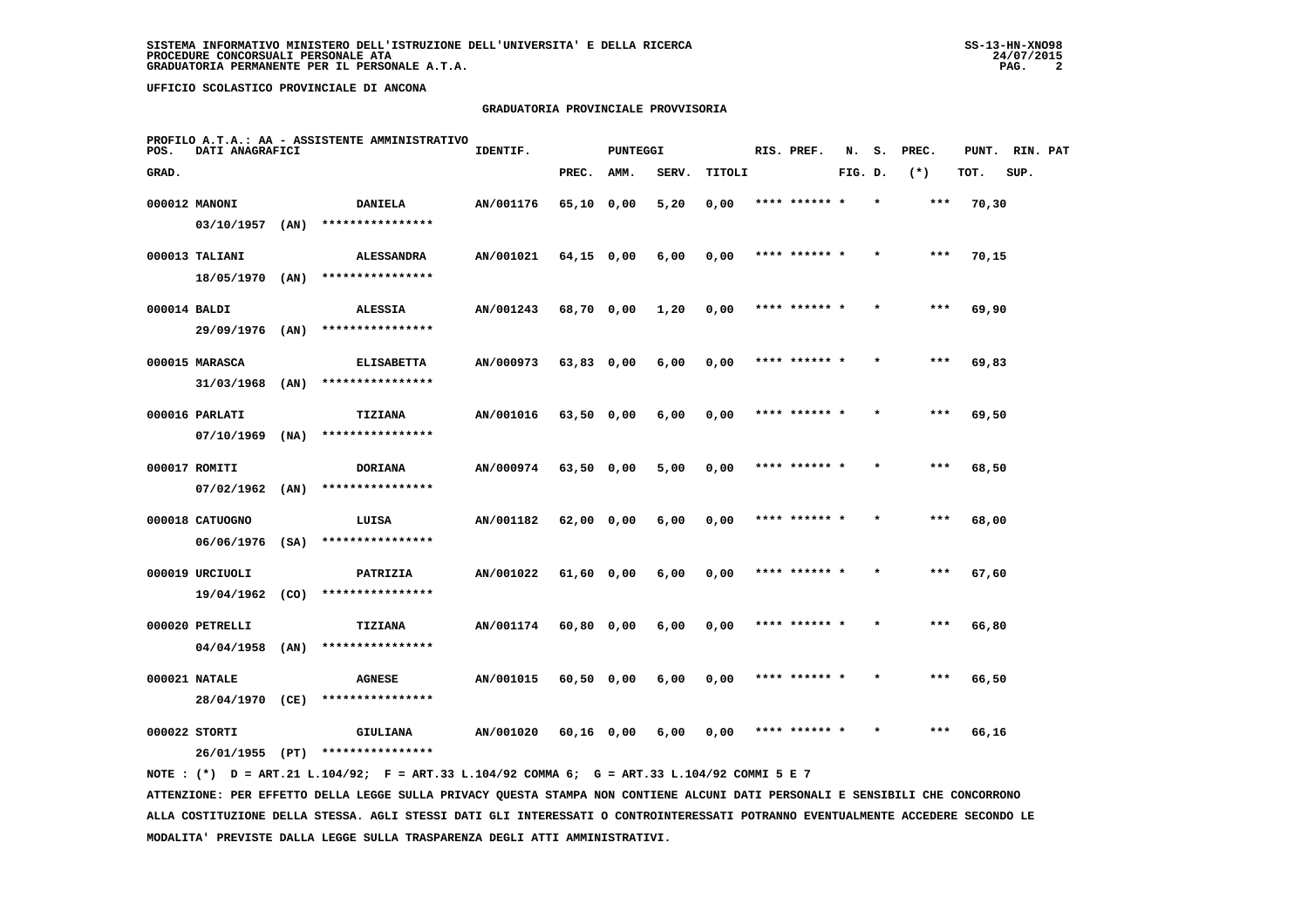# **GRADUATORIA PROVINCIALE PROVVISORIA**

| POS.         | DATI ANAGRAFICI   |      | PROFILO A.T.A.: AA - ASSISTENTE AMMINISTRATIVO | IDENTIF.  |              | <b>PUNTEGGI</b> |       |        | RIS. PREF.    | N.      | s. | PREC. | PUNT. | RIN. PAT |  |
|--------------|-------------------|------|------------------------------------------------|-----------|--------------|-----------------|-------|--------|---------------|---------|----|-------|-------|----------|--|
| GRAD.        |                   |      |                                                |           | PREC.        | AMM.            | SERV. | TITOLI |               | FIG. D. |    | $(*)$ | TOT.  | SUP.     |  |
|              | 000012 MANONI     |      | <b>DANIELA</b>                                 | AN/001176 | 65,10 0,00   |                 | 5,20  | 0,00   | **** ******   |         |    | $***$ | 70,30 |          |  |
|              | $03/10/1957$ (AN) |      | ****************                               |           |              |                 |       |        |               |         |    |       |       |          |  |
|              | 000013 TALIANI    |      | <b>ALESSANDRA</b>                              | AN/001021 | $64,15$ 0,00 |                 | 6,00  | 0,00   | **** ****** * |         |    | $***$ | 70,15 |          |  |
|              | 18/05/1970 (AN)   |      | ****************                               |           |              |                 |       |        |               |         |    |       |       |          |  |
| 000014 BALDI |                   |      | <b>ALESSIA</b>                                 | AN/001243 | 68,70 0,00   |                 | 1,20  | 0,00   | **** ****** * |         |    | ***   | 69,90 |          |  |
|              | 29/09/1976        | (AN) | ****************                               |           |              |                 |       |        |               |         |    |       |       |          |  |
|              | 000015 MARASCA    |      | <b>ELISABETTA</b>                              | AN/000973 | 63,83 0,00   |                 | 6,00  | 0,00   | **** ****** * |         |    | ***   | 69,83 |          |  |
|              | $31/03/1968$ (AN) |      | ****************                               |           |              |                 |       |        |               |         |    |       |       |          |  |
|              | 000016 PARLATI    |      | TIZIANA                                        | AN/001016 | 63,50 0,00   |                 | 6,00  | 0,00   | **** ****** * |         |    | ***   | 69,50 |          |  |
|              | 07/10/1969        | (NA) | ****************                               |           |              |                 |       |        |               |         |    |       |       |          |  |
|              | 000017 ROMITI     |      | <b>DORIANA</b>                                 | AN/000974 | 63,50 0,00   |                 | 5,00  | 0,00   | **** ****** * |         |    | $***$ | 68,50 |          |  |
|              | 07/02/1962        | (AN) | ****************                               |           |              |                 |       |        |               |         |    |       |       |          |  |
|              | 000018 CATUOGNO   |      | LUISA                                          | AN/001182 | 62,00 0,00   |                 | 6,00  | 0,00   | **** ******   |         |    | ***   | 68,00 |          |  |
|              | $06/06/1976$ (SA) |      | ****************                               |           |              |                 |       |        |               |         |    |       |       |          |  |
|              | 000019 URCIUOLI   |      | PATRIZIA                                       | AN/001022 | 61,60 0,00   |                 | 6,00  | 0,00   | **** ****** * |         |    | ***   | 67,60 |          |  |
|              | 19/04/1962        | (CO) | ****************                               |           |              |                 |       |        |               |         |    |       |       |          |  |
|              | 000020 PETRELLI   |      | <b>TIZIANA</b>                                 | AN/001174 | $60,80$ 0,00 |                 | 6,00  | 0,00   | **** ****** * |         |    | $***$ | 66,80 |          |  |
|              | 04/04/1958        | (AN) | ****************                               |           |              |                 |       |        |               |         |    |       |       |          |  |
|              | 000021 NATALE     |      | <b>AGNESE</b>                                  | AN/001015 | 60,50 0,00   |                 | 6,00  | 0,00   | **** ****** * |         |    | $***$ | 66,50 |          |  |
|              | 28/04/1970        | (CE) | ****************                               |           |              |                 |       |        |               |         |    |       |       |          |  |
|              | 000022 STORTI     |      | GIULIANA                                       | AN/001020 | 60,16 0,00   |                 | 6,00  | 0,00   | **** ****** * |         |    | ***   | 66,16 |          |  |
|              | 26/01/1955 (PT)   |      | ****************                               |           |              |                 |       |        |               |         |    |       |       |          |  |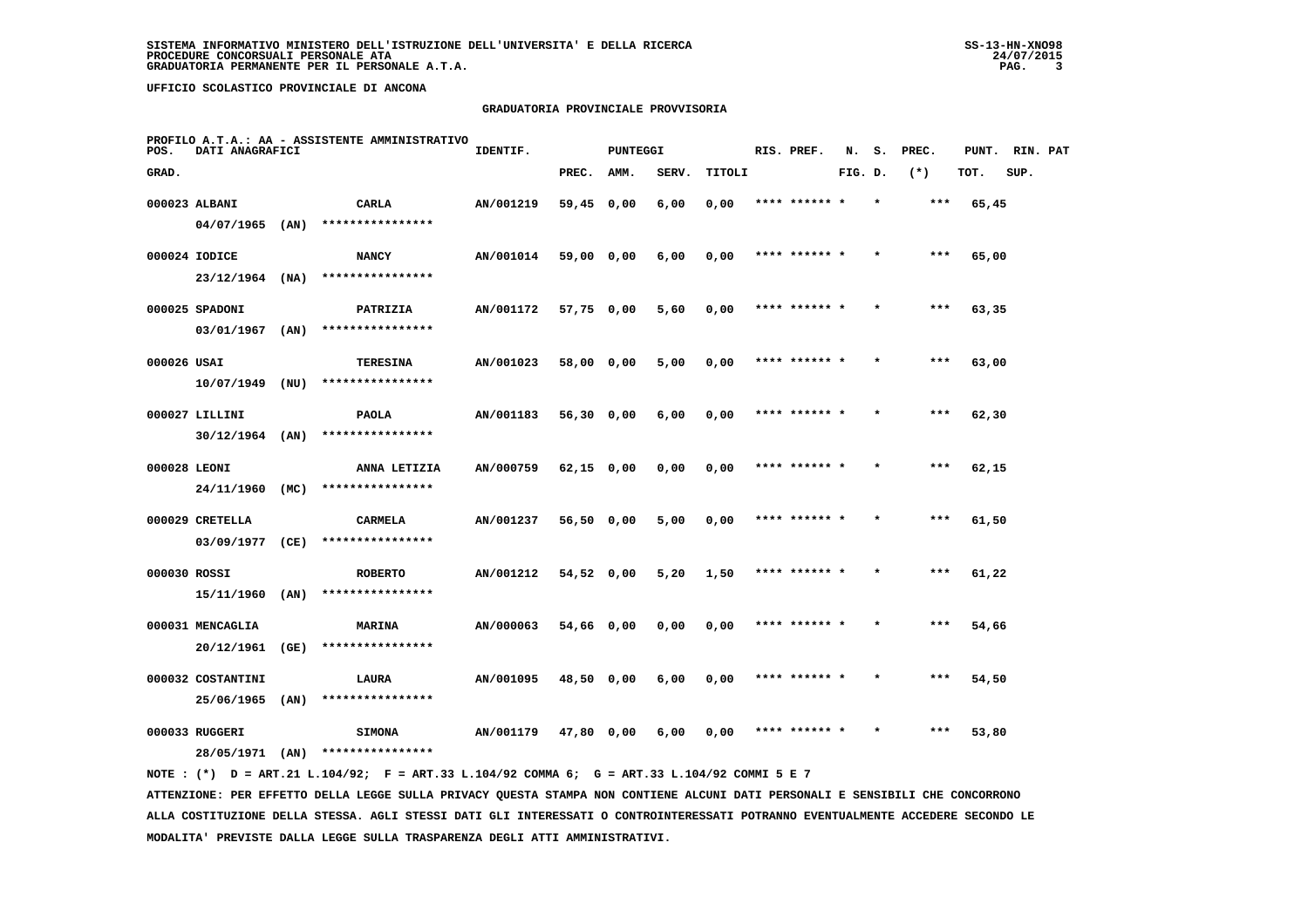# **GRADUATORIA PROVINCIALE PROVVISORIA**

| POS.         | DATI ANAGRAFICI                 |      | PROFILO A.T.A.: AA - ASSISTENTE AMMINISTRATIVO | IDENTIF.  |              | PUNTEGGI |       |        | RIS. PREF.    | N.      | s.      | PREC. | PUNT. | RIN. PAT |  |
|--------------|---------------------------------|------|------------------------------------------------|-----------|--------------|----------|-------|--------|---------------|---------|---------|-------|-------|----------|--|
| GRAD.        |                                 |      |                                                |           | PREC.        | AMM.     | SERV. | TITOLI |               | FIG. D. |         | $(*)$ | TOT.  | SUP.     |  |
|              | 000023 ALBANI                   |      | CARLA                                          | AN/001219 | 59,45 0,00   |          | 6,00  | 0,00   |               |         |         | $***$ | 65,45 |          |  |
|              | $04/07/1965$ (AN)               |      | ****************                               |           |              |          |       |        |               |         |         |       |       |          |  |
|              | 000024 IODICE                   |      | <b>NANCY</b>                                   | AN/001014 | 59,00 0,00   |          | 6,00  | 0,00   | **** ****** * |         |         | ***   | 65,00 |          |  |
|              | $23/12/1964$ (NA)               |      | ****************                               |           |              |          |       |        |               |         |         |       |       |          |  |
|              | 000025 SPADONI                  |      | PATRIZIA                                       | AN/001172 | 57,75 0,00   |          | 5,60  | 0,00   | **** ****** * |         | $\star$ | $***$ | 63,35 |          |  |
|              | 03/01/1967                      | (AN) | ****************                               |           |              |          |       |        |               |         |         |       |       |          |  |
| 000026 USAI  |                                 |      | <b>TERESINA</b>                                | AN/001023 | 58,00 0,00   |          | 5,00  | 0,00   | **** ****** * |         |         | ***   | 63,00 |          |  |
|              | $10/07/1949$ (NU)               |      | ****************                               |           |              |          |       |        |               |         |         |       |       |          |  |
|              | 000027 LILLINI                  |      | <b>PAOLA</b>                                   | AN/001183 | 56,30 0,00   |          | 6,00  | 0,00   | **** ****** * |         |         | $***$ | 62,30 |          |  |
|              | $30/12/1964$ (AN)               |      | ****************                               |           |              |          |       |        |               |         |         |       |       |          |  |
| 000028 LEONI |                                 |      | ANNA LETIZIA                                   | AN/000759 | $62,15$ 0,00 |          | 0,00  | 0,00   | **** ****** * |         |         | $***$ | 62,15 |          |  |
|              | 24/11/1960                      | (MC) | ****************                               |           |              |          |       |        |               |         |         |       |       |          |  |
|              | 000029 CRETELLA                 |      | CARMELA                                        | AN/001237 | 56,50 0,00   |          | 5,00  | 0,00   | **** ****** * |         |         | $***$ | 61,50 |          |  |
|              | 03/09/1977                      | (CE) | ****************                               |           |              |          |       |        |               |         |         |       |       |          |  |
| 000030 ROSSI |                                 |      | <b>ROBERTO</b>                                 | AN/001212 | 54,52 0,00   |          | 5,20  | 1,50   | **** ****** * |         |         | ***   | 61,22 |          |  |
|              | 15/11/1960 (AN)                 |      | ****************                               |           |              |          |       |        |               |         |         |       |       |          |  |
|              | 000031 MENCAGLIA                |      | <b>MARINA</b>                                  | AN/000063 | 54,66 0,00   |          | 0,00  | 0,00   | **** ****** * |         |         | ***   | 54,66 |          |  |
|              | 20/12/1961                      | (GE) | ****************                               |           |              |          |       |        |               |         |         |       |       |          |  |
|              |                                 |      |                                                |           |              |          |       |        |               |         |         | $***$ |       |          |  |
|              | 000032 COSTANTINI<br>25/06/1965 | (AN) | LAURA<br>****************                      | AN/001095 | 48,50 0,00   |          | 6,00  | 0,00   | **** ****** * |         |         |       | 54,50 |          |  |
|              |                                 |      |                                                |           |              |          |       |        |               |         |         |       |       |          |  |
|              | 000033 RUGGERI                  |      | <b>SIMONA</b>                                  | AN/001179 | 47,80 0,00   |          | 6,00  | 0,00   |               |         |         | ***   | 53,80 |          |  |
|              | 28/05/1971 (AN)                 |      | ****************                               |           |              |          |       |        |               |         |         |       |       |          |  |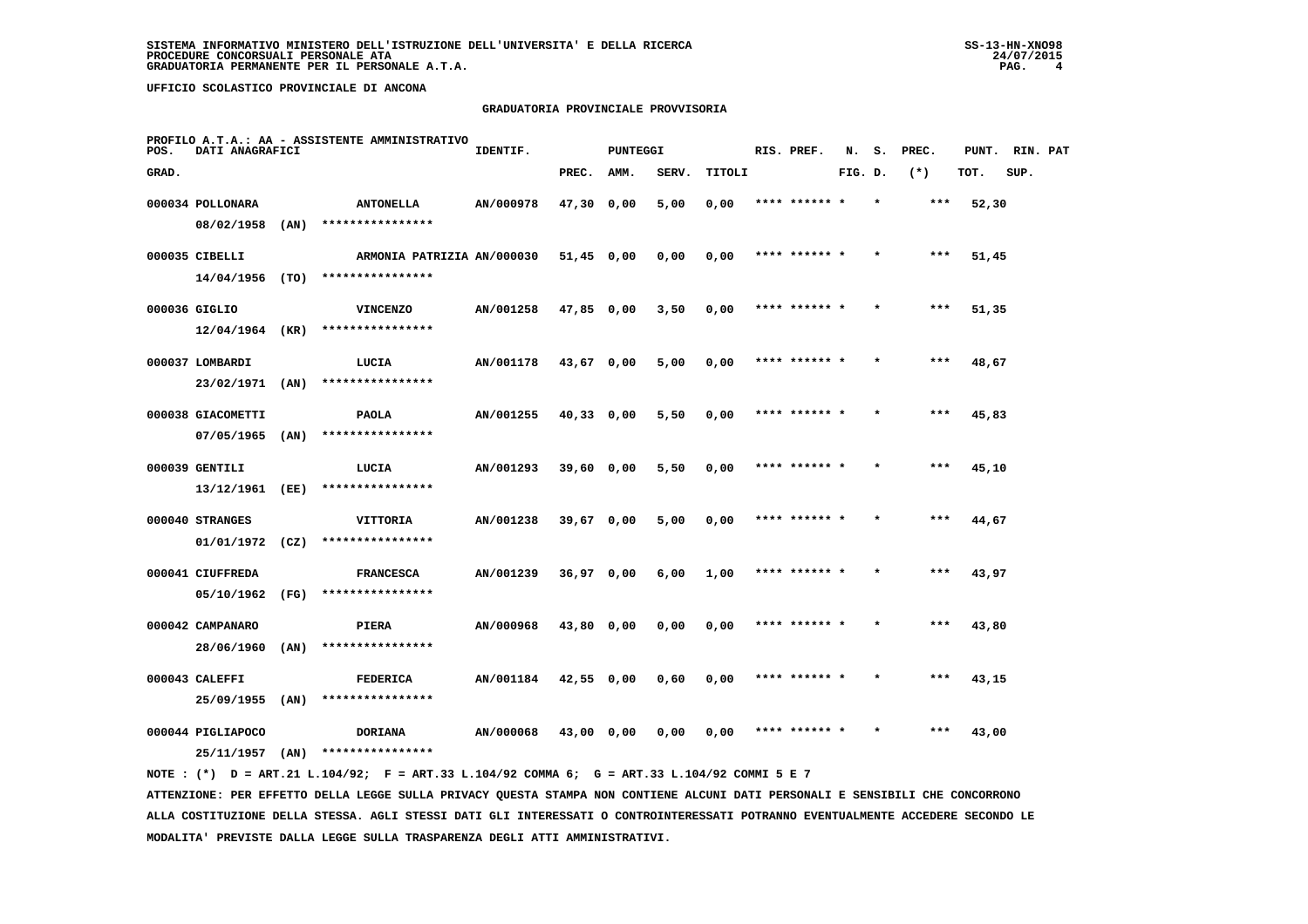# **GRADUATORIA PROVINCIALE PROVVISORIA**

| POS.  | DATI ANAGRAFICI   |        | PROFILO A.T.A.: AA - ASSISTENTE AMMINISTRATIVO | IDENTIF.  |              | <b>PUNTEGGI</b> |       |        | RIS. PREF.    | N.      | s. | PREC. | PUNT. | RIN. PAT |  |
|-------|-------------------|--------|------------------------------------------------|-----------|--------------|-----------------|-------|--------|---------------|---------|----|-------|-------|----------|--|
| GRAD. |                   |        |                                                |           | PREC.        | AMM.            | SERV. | TITOLI |               | FIG. D. |    | $(*)$ | TOT.  | SUP.     |  |
|       | 000034 POLLONARA  |        | <b>ANTONELLA</b>                               | AN/000978 | 47,30 0,00   |                 | 5,00  | 0,00   |               |         |    |       | 52,30 |          |  |
|       | 08/02/1958        | (AN)   | ****************                               |           |              |                 |       |        |               |         |    |       |       |          |  |
|       | 000035 CIBELLI    |        | ARMONIA PATRIZIA AN/000030                     |           | $51,45$ 0,00 |                 | 0,00  | 0,00   | **** ****** * |         |    | ***   | 51,45 |          |  |
|       | 14/04/1956        | ( TO ) | ****************                               |           |              |                 |       |        |               |         |    |       |       |          |  |
|       | 000036 GIGLIO     |        | <b>VINCENZO</b>                                | AN/001258 | 47,85 0,00   |                 | 3,50  | 0,00   | **** ****** * |         |    | ***   | 51,35 |          |  |
|       | 12/04/1964        | (KR)   | ****************                               |           |              |                 |       |        |               |         |    |       |       |          |  |
|       | 000037 LOMBARDI   |        | LUCIA                                          | AN/001178 | 43,67 0,00   |                 | 5,00  | 0,00   | **** ****** * |         |    | $***$ | 48,67 |          |  |
|       | 23/02/1971        | (AN)   | ****************                               |           |              |                 |       |        |               |         |    |       |       |          |  |
|       | 000038 GIACOMETTI |        | <b>PAOLA</b>                                   | AN/001255 | $40,33$ 0,00 |                 | 5,50  | 0,00   | **** ****** * |         |    | $***$ | 45,83 |          |  |
|       | $07/05/1965$ (AN) |        | ****************                               |           |              |                 |       |        |               |         |    |       |       |          |  |
|       | 000039 GENTILI    |        | LUCIA                                          | AN/001293 | 39,60 0,00   |                 | 5,50  | 0,00   | **** ****** * |         |    | ***   | 45,10 |          |  |
|       | 13/12/1961 (EE)   |        | ****************                               |           |              |                 |       |        |               |         |    |       |       |          |  |
|       | 000040 STRANGES   |        | VITTORIA                                       | AN/001238 | 39,67 0,00   |                 | 5,00  | 0,00   | **** ****** * |         |    | ***   | 44,67 |          |  |
|       | $01/01/1972$ (CZ) |        | ****************                               |           |              |                 |       |        |               |         |    |       |       |          |  |
|       | 000041 CIUFFREDA  |        | <b>FRANCESCA</b>                               | AN/001239 | $36,97$ 0,00 |                 | 6,00  | 1,00   | **** ******   |         |    | ***   | 43,97 |          |  |
|       | 05/10/1962        | (FG)   | ****************                               |           |              |                 |       |        |               |         |    |       |       |          |  |
|       | 000042 CAMPANARO  |        | PIERA                                          | AN/000968 | 43,80 0,00   |                 | 0,00  | 0,00   | **** ****** * |         |    | ***   | 43,80 |          |  |
|       | 28/06/1960        | (AN)   | ****************                               |           |              |                 |       |        |               |         |    |       |       |          |  |
|       | 000043 CALEFFI    |        | <b>FEDERICA</b>                                | AN/001184 | 42,55 0,00   |                 | 0,60  | 0,00   | **** ****** * |         |    | $***$ | 43,15 |          |  |
|       | 25/09/1955        | (AN)   | ****************                               |           |              |                 |       |        |               |         |    |       |       |          |  |
|       | 000044 PIGLIAPOCO |        | <b>DORIANA</b>                                 | AN/000068 | 43,00 0,00   |                 | 0,00  | 0,00   | **** ****** * |         |    | ***   | 43,00 |          |  |
|       | 25/11/1957        | (AN)   | ****************                               |           |              |                 |       |        |               |         |    |       |       |          |  |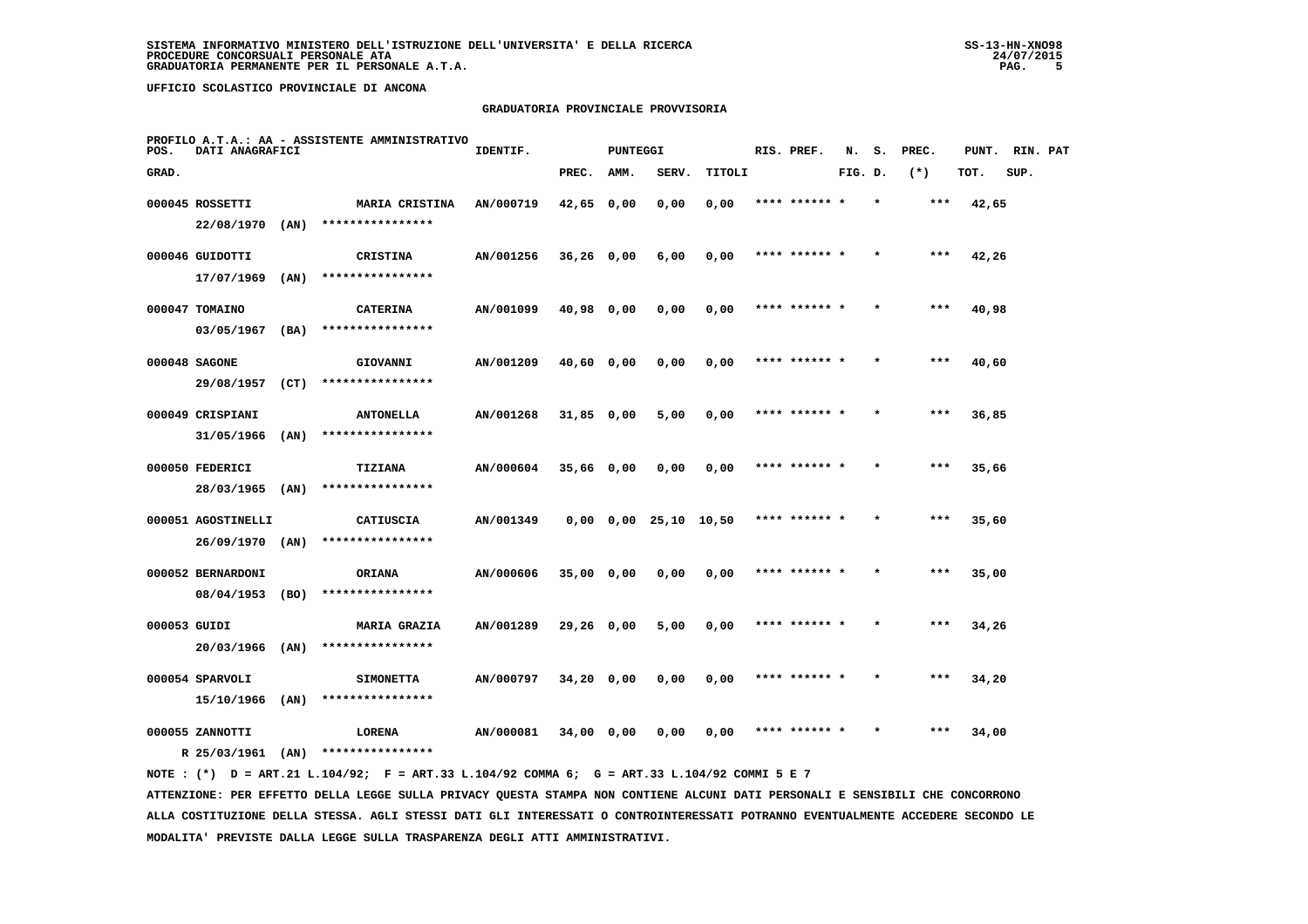## **GRADUATORIA PROVINCIALE PROVVISORIA**

| POS.         | DATI ANAGRAFICI    |      | PROFILO A.T.A.: AA - ASSISTENTE AMMINISTRATIVO | IDENTIF.  |              | <b>PUNTEGGI</b> |                               |        | RIS. PREF.    | N.      | s. | PREC. | PUNT. | RIN. PAT |  |
|--------------|--------------------|------|------------------------------------------------|-----------|--------------|-----------------|-------------------------------|--------|---------------|---------|----|-------|-------|----------|--|
| GRAD.        |                    |      |                                                |           | PREC.        | AMM.            | SERV.                         | TITOLI |               | FIG. D. |    | $(*)$ | TOT.  | SUP.     |  |
|              | 000045 ROSSETTI    |      | MARIA CRISTINA                                 | AN/000719 | 42,65        | 0,00            | 0,00                          | 0,00   |               |         |    | ***   | 42,65 |          |  |
|              | 22/08/1970         | (AN) | ****************                               |           |              |                 |                               |        |               |         |    |       |       |          |  |
|              | 000046 GUIDOTTI    |      | <b>CRISTINA</b>                                | AN/001256 | $36,26$ 0,00 |                 | 6,00                          | 0,00   | **** ****** * |         |    | $***$ | 42,26 |          |  |
|              | 17/07/1969         | (AN) | ****************                               |           |              |                 |                               |        |               |         |    |       |       |          |  |
|              | 000047 TOMAINO     |      | <b>CATERINA</b>                                | AN/001099 | 40,98 0,00   |                 | 0,00                          | 0,00   | **** ****** * |         |    | $***$ | 40,98 |          |  |
|              | 03/05/1967         | (BA) | ****************                               |           |              |                 |                               |        |               |         |    |       |       |          |  |
|              | 000048 SAGONE      |      | GIOVANNI                                       | AN/001209 | 40,60 0,00   |                 | 0,00                          | 0,00   | **** ****** * |         |    | $***$ | 40,60 |          |  |
|              | 29/08/1957         | (CT) | ****************                               |           |              |                 |                               |        |               |         |    |       |       |          |  |
|              | 000049 CRISPIANI   |      | <b>ANTONELLA</b>                               | AN/001268 | $31,85$ 0,00 |                 | 5,00                          | 0,00   | **** ****** * |         |    | ***   | 36,85 |          |  |
|              | 31/05/1966         | (AN) | ****************                               |           |              |                 |                               |        |               |         |    |       |       |          |  |
|              | 000050 FEDERICI    |      | <b>TIZIANA</b>                                 | AN/000604 | 35,66 0,00   |                 | 0,00                          | 0,00   |               |         |    | ***   | 35,66 |          |  |
|              | 28/03/1965         | (AN) | ****************                               |           |              |                 |                               |        |               |         |    |       |       |          |  |
|              | 000051 AGOSTINELLI |      | CATIUSCIA                                      | AN/001349 |              |                 | $0,00$ $0,00$ $25,10$ $10,50$ |        | **** ******   |         |    | ***   | 35,60 |          |  |
|              | 26/09/1970 (AN)    |      | ****************                               |           |              |                 |                               |        |               |         |    |       |       |          |  |
|              | 000052 BERNARDONI  |      | <b>ORIANA</b>                                  | AN/000606 | $35,00$ 0,00 |                 | 0,00                          | 0,00   | **** ******   |         |    | $***$ | 35,00 |          |  |
|              | 08/04/1953         | (BO) | ****************                               |           |              |                 |                               |        |               |         |    |       |       |          |  |
| 000053 GUIDI |                    |      | <b>MARIA GRAZIA</b>                            | AN/001289 | $29,26$ 0,00 |                 | 5,00                          | 0,00   | **** ****** * |         |    | ***   | 34,26 |          |  |
|              | 20/03/1966         | (AN) | ****************                               |           |              |                 |                               |        |               |         |    |       |       |          |  |
|              | 000054 SPARVOLI    |      | <b>SIMONETTA</b>                               | AN/000797 | $34,20$ 0,00 |                 | 0,00                          | 0,00   | **** ****** * |         |    | $***$ | 34,20 |          |  |
|              | 15/10/1966         | (AN) | ****************                               |           |              |                 |                               |        |               |         |    |       |       |          |  |
|              | 000055 ZANNOTTI    |      | LORENA                                         | AN/000081 | 34,00 0,00   |                 | 0,00                          | 0,00   |               |         |    | ***   | 34,00 |          |  |
|              | R 25/03/1961       | (AN) | ****************                               |           |              |                 |                               |        |               |         |    |       |       |          |  |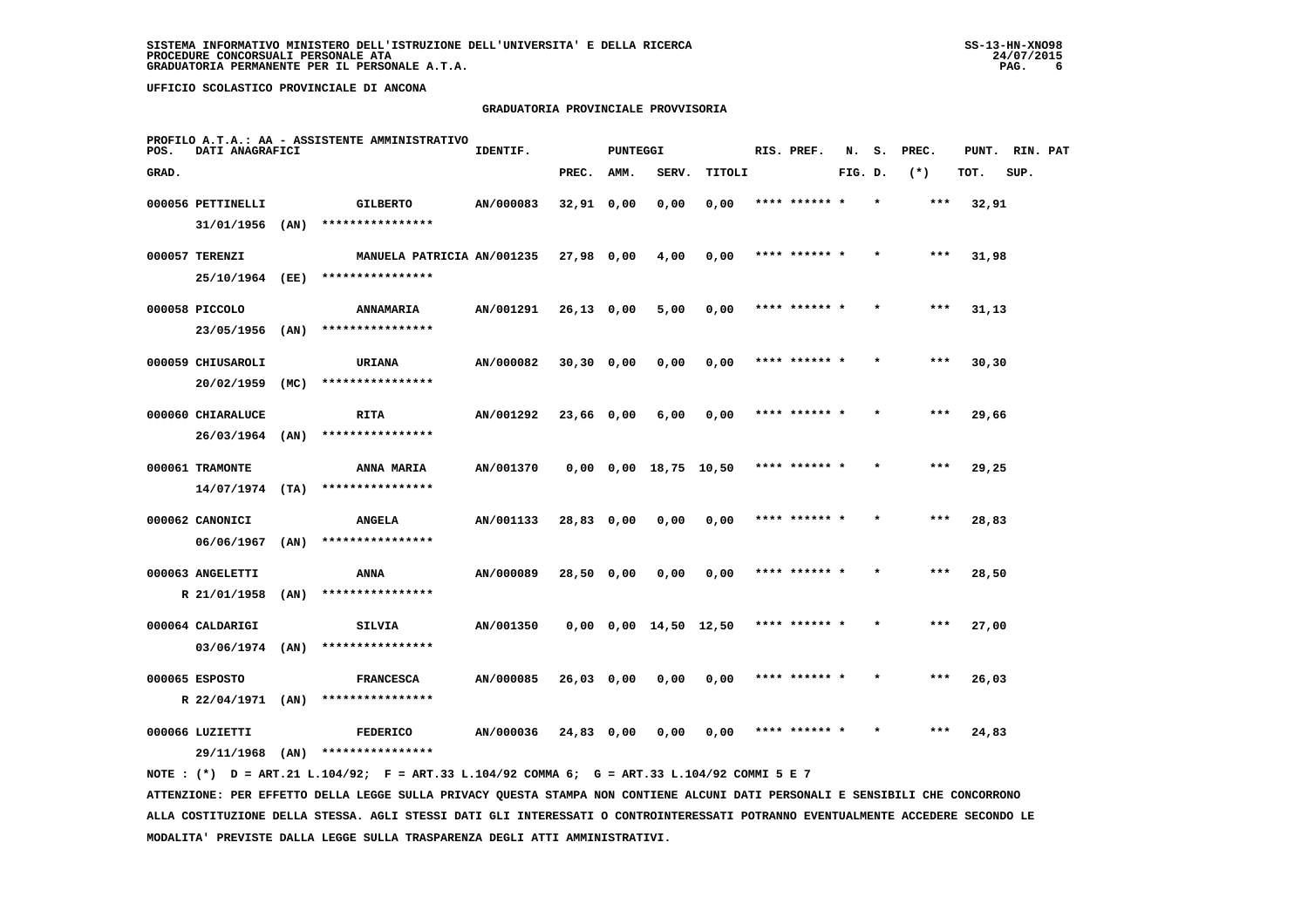# **GRADUATORIA PROVINCIALE PROVVISORIA**

| POS.  | DATI ANAGRAFICI   |      | PROFILO A.T.A.: AA - ASSISTENTE AMMINISTRATIVO | IDENTIF.  |              | <b>PUNTEGGI</b> |                               |        | RIS. PREF.    | N.      | s.      | PREC.  | PUNT.  | RIN. PAT |  |
|-------|-------------------|------|------------------------------------------------|-----------|--------------|-----------------|-------------------------------|--------|---------------|---------|---------|--------|--------|----------|--|
| GRAD. |                   |      |                                                |           | PREC.        | AMM.            | SERV.                         | TITOLI |               | FIG. D. |         | $(* )$ | TOT.   | SUP.     |  |
|       | 000056 PETTINELLI |      | <b>GILBERTO</b>                                | AN/000083 | $32,91$ 0,00 |                 | 0,00                          | 0,00   |               |         |         |        | 32,91  |          |  |
|       | 31/01/1956        | (AN) | ****************                               |           |              |                 |                               |        |               |         |         |        |        |          |  |
|       | 000057 TERENZI    |      | MANUELA PATRICIA AN/001235                     |           | 27,98 0,00   |                 | 4,00                          | 0,00   | **** ****** * |         |         | $***$  | 31,98  |          |  |
|       | 25/10/1964        | (EE) | ****************                               |           |              |                 |                               |        |               |         |         |        |        |          |  |
|       | 000058 PICCOLO    |      | ANNAMARIA                                      | AN/001291 | $26,13$ 0,00 |                 | 5,00                          | 0,00   | **** ****** * |         | $\star$ | $***$  | 31,13  |          |  |
|       | 23/05/1956        | (AN) | ****************                               |           |              |                 |                               |        |               |         |         |        |        |          |  |
|       | 000059 CHIUSAROLI |      | URIANA                                         | AN/000082 | $30,30$ 0,00 |                 | 0,00                          | 0,00   | **** ****** * |         |         | ***    | 30, 30 |          |  |
|       | 20/02/1959        | (MC) | ****************                               |           |              |                 |                               |        |               |         |         |        |        |          |  |
|       | 000060 CHIARALUCE |      | <b>RITA</b>                                    | AN/001292 | 23,66 0,00   |                 | 6,00                          | 0,00   | **** ****** * |         |         | $***$  | 29,66  |          |  |
|       | 26/03/1964        | (AN) | ****************                               |           |              |                 |                               |        |               |         |         |        |        |          |  |
|       | 000061 TRAMONTE   |      | ANNA MARIA                                     | AN/001370 |              |                 | 0,00 0,00 18,75 10,50         |        | **** ****** * |         |         | $***$  | 29,25  |          |  |
|       | $14/07/1974$ (TA) |      | ****************                               |           |              |                 |                               |        |               |         |         |        |        |          |  |
|       | 000062 CANONICI   |      | <b>ANGELA</b>                                  | AN/001133 | 28,83 0,00   |                 | 0,00                          | 0,00   | **** ****** * |         |         | ***    | 28,83  |          |  |
|       | 06/06/1967        | (AN) | ****************                               |           |              |                 |                               |        |               |         |         |        |        |          |  |
|       | 000063 ANGELETTI  |      | ANNA                                           | AN/000089 | 28,50 0,00   |                 | 0,00                          | 0,00   | **** ****** * |         |         | ***    | 28,50  |          |  |
|       | R 21/01/1958      | (AN) | ****************                               |           |              |                 |                               |        |               |         |         |        |        |          |  |
|       | 000064 CALDARIGI  |      | SILVIA                                         | AN/001350 |              |                 | $0,00$ $0,00$ $14,50$ $12,50$ |        | **** ****** * |         |         | $***$  | 27,00  |          |  |
|       | 03/06/1974        | (AN) | ****************                               |           |              |                 |                               |        |               |         |         |        |        |          |  |
|       | 000065 ESPOSTO    |      | <b>FRANCESCA</b>                               | AN/000085 | 26,03 0,00   |                 | 0,00                          | 0,00   | **** ****** * |         |         | $***$  | 26,03  |          |  |
|       | R 22/04/1971      | (AN) | ****************                               |           |              |                 |                               |        |               |         |         |        |        |          |  |
|       | 000066 LUZIETTI   |      | <b>FEDERICO</b>                                | AN/000036 | 24,83 0,00   |                 | 0,00                          | 0,00   | **** ****** * |         |         | ***    | 24,83  |          |  |
|       | 29/11/1968        | (AN) | ****************                               |           |              |                 |                               |        |               |         |         |        |        |          |  |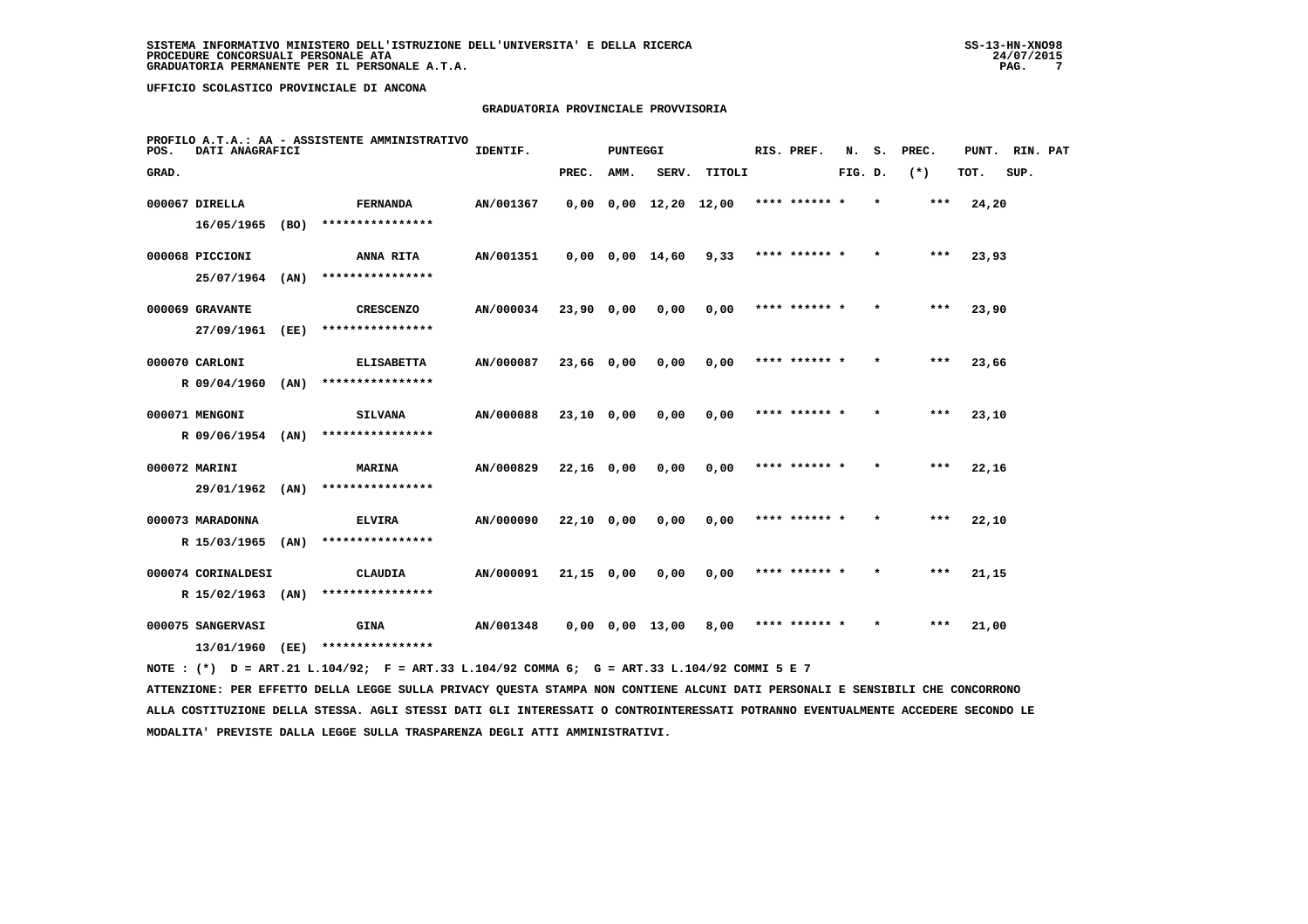# **GRADUATORIA PROVINCIALE PROVVISORIA**

| POS.  | DATI ANAGRAFICI    |      | PROFILO A.T.A.: AA - ASSISTENTE AMMINISTRATIVO                                              | IDENTIF.         |            | <b>PUNTEGGI</b> |                               |                                            | RIS. PREF.    | N.      | s.      | PREC.  | PUNT. RIN. PAT |      |  |
|-------|--------------------|------|---------------------------------------------------------------------------------------------|------------------|------------|-----------------|-------------------------------|--------------------------------------------|---------------|---------|---------|--------|----------------|------|--|
| GRAD. |                    |      |                                                                                             |                  | PREC.      | AMM.            | SERV.                         | TITOLI                                     |               | FIG. D. |         | $(* )$ | TOT.           | SUP. |  |
|       | 000067 DIRELLA     |      | FERNANDA                                                                                    | AN/001367        |            |                 | $0,00$ $0,00$ $12,20$ $12,00$ |                                            | **** ****** * |         | $\star$ | ***    | 24,20          |      |  |
|       | 16/05/1965         | (BO) | ****************                                                                            |                  |            |                 |                               |                                            |               |         |         |        |                |      |  |
|       | 000068 PICCIONI    |      | <b>ANNA RITA</b>                                                                            | AN/001351        |            |                 |                               | $0,00$ $0,00$ $14,60$ $9,33$ **** ****** * |               |         | $\star$ | $***$  | 23,93          |      |  |
|       | 25/07/1964 (AN)    |      | ****************                                                                            |                  |            |                 |                               |                                            |               |         |         |        |                |      |  |
|       | 000069 GRAVANTE    |      | <b>CRESCENZO</b>                                                                            | <b>AN/000034</b> | 23,90 0,00 |                 | 0,00                          | 0,00                                       | **** ****** * |         |         | ***    | 23,90          |      |  |
|       | 27/09/1961         | (EE) | ****************                                                                            |                  |            |                 |                               |                                            |               |         |         |        |                |      |  |
|       | 000070 CARLONI     |      | <b>ELISABETTA</b>                                                                           | AN/000087        | 23,66 0,00 |                 | 0,00                          | 0,00                                       | **** ****** * |         | $\star$ | ***    | 23,66          |      |  |
|       | R 09/04/1960       | (AN) | ****************                                                                            |                  |            |                 |                               |                                            |               |         |         |        |                |      |  |
|       | 000071 MENGONI     |      | <b>SILVANA</b>                                                                              | AN/000088        | 23,10 0,00 |                 | 0,00                          | 0,00                                       | **** ****** * |         | $\star$ | $***$  | 23,10          |      |  |
|       | R 09/06/1954 (AN)  |      | ****************                                                                            |                  |            |                 |                               |                                            |               |         |         |        |                |      |  |
|       | 000072 MARINI      |      | <b>MARINA</b>                                                                               | <b>AN/000829</b> | 22,16 0,00 |                 | 0,00                          | 0,00                                       | **** ****** * |         |         | ***    | 22,16          |      |  |
|       | 29/01/1962 (AN)    |      | ****************                                                                            |                  |            |                 |                               |                                            |               |         |         |        |                |      |  |
|       | 000073 MARADONNA   |      | <b>ELVIRA</b>                                                                               | AN/000090        | 22,10 0,00 |                 | 0,00                          | 0,00                                       | **** ****** * |         |         | ***    | 22,10          |      |  |
|       | R 15/03/1965 (AN)  |      | ****************                                                                            |                  |            |                 |                               |                                            |               |         |         |        |                |      |  |
|       | 000074 CORINALDESI |      | CLAUDIA                                                                                     | AN/000091        | 21,15 0,00 |                 | 0,00                          | 0,00                                       | **** ****** * |         | $\star$ | $***$  | 21,15          |      |  |
|       | R 15/02/1963 (AN)  |      | ****************                                                                            |                  |            |                 |                               |                                            |               |         |         |        |                |      |  |
|       | 000075 SANGERVASI  |      | <b>GINA</b>                                                                                 | <b>AN/001348</b> |            |                 | 0,00 0,00 13,00               | 8,00                                       | **** ****** * |         |         | $***$  | 21,00          |      |  |
|       |                    |      | 13/01/1960 (EE) ****************                                                            |                  |            |                 |                               |                                            |               |         |         |        |                |      |  |
|       |                    |      | NOTE: (*) D = ART.21 L.104/92; F = ART.33 L.104/92 COMMA 6; G = ART.33 L.104/92 COMMI 5 E 7 |                  |            |                 |                               |                                            |               |         |         |        |                |      |  |

 **ATTENZIONE: PER EFFETTO DELLA LEGGE SULLA PRIVACY QUESTA STAMPA NON CONTIENE ALCUNI DATI PERSONALI E SENSIBILI CHE CONCORRONO ALLA COSTITUZIONE DELLA STESSA. AGLI STESSI DATI GLI INTERESSATI O CONTROINTERESSATI POTRANNO EVENTUALMENTE ACCEDERE SECONDO LE MODALITA' PREVISTE DALLA LEGGE SULLA TRASPARENZA DEGLI ATTI AMMINISTRATIVI.**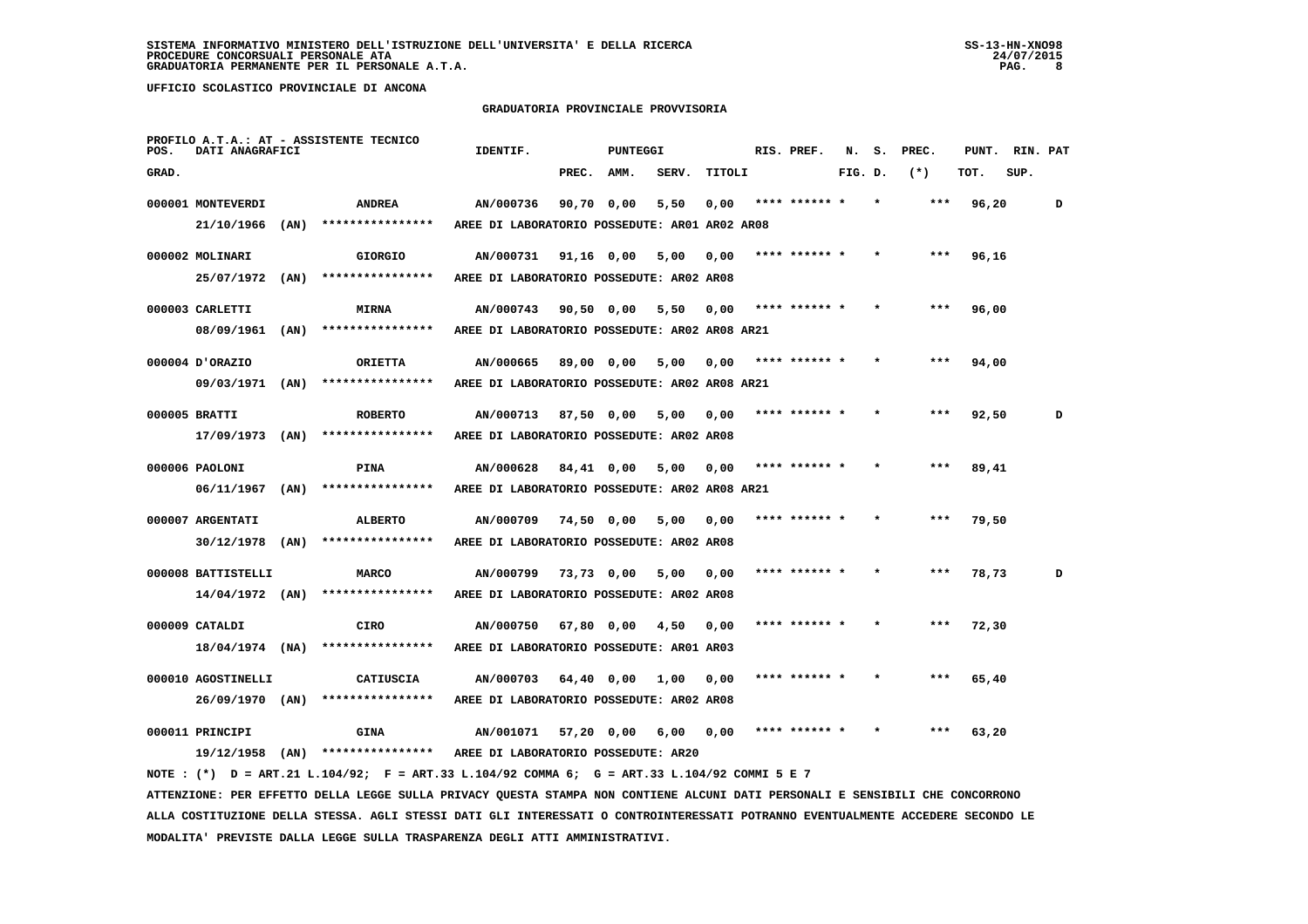#### **GRADUATORIA PROVINCIALE PROVVISORIA**

| POS.  | DATI ANAGRAFICI                         |      | PROFILO A.T.A.: AT - ASSISTENTE TECNICO                                                                                       | IDENTIF.                                              |              | PUNTEGGI |       |        | RIS. PREF.    | N.      | s. | PREC. | PUNT. | RIN. PAT |   |
|-------|-----------------------------------------|------|-------------------------------------------------------------------------------------------------------------------------------|-------------------------------------------------------|--------------|----------|-------|--------|---------------|---------|----|-------|-------|----------|---|
| GRAD. |                                         |      |                                                                                                                               |                                                       | PREC.        | AMM.     | SERV. | TITOLI |               | FIG. D. |    | $(*)$ | TOT.  | SUP.     |   |
|       | 000001 MONTEVERDI                       |      | <b>ANDREA</b>                                                                                                                 | AN/000736                                             | 90,70 0,00   |          | 5,50  | 0,00   | **** ****** * |         |    | ***   | 96,20 |          | D |
|       | 21/10/1966                              | (AN) | ****************                                                                                                              | AREE DI LABORATORIO POSSEDUTE: ARO1 ARO2 ARO8         |              |          |       |        |               |         |    |       |       |          |   |
|       | 000002 MOLINARI                         |      | <b>GIORGIO</b>                                                                                                                | AN/000731                                             | 91,16 0,00   |          | 5,00  | 0,00   | **** ****** * |         |    | ***   | 96,16 |          |   |
|       | 25/07/1972                              | (AN) | ****************                                                                                                              | AREE DI LABORATORIO POSSEDUTE: AR02 AR08              |              |          |       |        |               |         |    |       |       |          |   |
|       | 000003 CARLETTI                         |      | <b>MIRNA</b>                                                                                                                  | AN/000743                                             |              |          |       |        | **** ****** * |         |    |       |       |          |   |
|       | 08/09/1961                              | (AN) | ****************                                                                                                              | AREE DI LABORATORIO POSSEDUTE: AR02 AR08 AR21         | $90,50$ 0,00 |          | 5,50  | 0,00   |               |         |    |       | 96,00 |          |   |
|       |                                         |      |                                                                                                                               |                                                       |              |          |       |        |               |         |    |       |       |          |   |
|       | 000004 D'ORAZIO                         |      | <b>ORIETTA</b>                                                                                                                | AN/000665                                             | 89,00 0,00   |          | 5,00  | 0,00   | **** ****** * |         |    | ***   | 94,00 |          |   |
|       | 09/03/1971                              | (AN) | ****************                                                                                                              | AREE DI LABORATORIO POSSEDUTE: AR02 AR08 AR21         |              |          |       |        |               |         |    |       |       |          |   |
|       | 000005 BRATTI                           |      | <b>ROBERTO</b>                                                                                                                | AN/000713                                             | $87,50$ 0,00 |          | 5,00  | 0,00   | **** ****** * |         |    |       | 92,50 |          | D |
|       | 17/09/1973                              | (AN) | ****************                                                                                                              | AREE DI LABORATORIO POSSEDUTE: AR02 AR08              |              |          |       |        |               |         |    |       |       |          |   |
|       | 000006 PAOLONI                          |      | PINA                                                                                                                          | AN/000628                                             | 84,41 0,00   |          | 5,00  | 0,00   | **** ****** * |         |    |       | 89,41 |          |   |
|       | 06/11/1967                              | (AN) | ****************                                                                                                              | AREE DI LABORATORIO POSSEDUTE: AR02 AR08 AR21         |              |          |       |        |               |         |    |       |       |          |   |
|       | 000007 ARGENTATI                        |      | <b>ALBERTO</b>                                                                                                                | AN/000709                                             | 74,50 0,00   |          | 5,00  | 0,00   |               |         |    |       | 79,50 |          |   |
|       | 30/12/1978                              | (AN) | ****************                                                                                                              | AREE DI LABORATORIO POSSEDUTE: AR02 AR08              |              |          |       |        |               |         |    |       |       |          |   |
|       |                                         |      |                                                                                                                               |                                                       |              |          |       |        |               |         |    |       |       |          |   |
|       | 000008 BATTISTELLI<br>$14/04/1972$ (AN) |      | <b>MARCO</b><br>****************                                                                                              | AN/000799<br>AREE DI LABORATORIO POSSEDUTE: AR02 AR08 | 73,73 0,00   |          | 5,00  | 0,00   |               |         |    |       | 78,73 |          | D |
|       |                                         |      |                                                                                                                               |                                                       |              |          |       |        |               |         |    |       |       |          |   |
|       | 000009 CATALDI                          |      | CIRO                                                                                                                          | AN/000750                                             | 67,80 0,00   |          | 4,50  | 0,00   |               |         |    |       | 72,30 |          |   |
|       | $18/04/1974$ (NA)                       |      | ****************                                                                                                              | AREE DI LABORATORIO POSSEDUTE: AR01 AR03              |              |          |       |        |               |         |    |       |       |          |   |
|       | 000010 AGOSTINELLI                      |      | CATIUSCIA                                                                                                                     | AN/000703                                             | $64,40$ 0,00 |          | 1,00  | 0,00   |               |         |    |       | 65,40 |          |   |
|       | 26/09/1970 (AN)                         |      | ****************                                                                                                              | AREE DI LABORATORIO POSSEDUTE: AR02 AR08              |              |          |       |        |               |         |    |       |       |          |   |
|       | 000011 PRINCIPI                         |      | <b>GINA</b>                                                                                                                   | AN/001071                                             | 57,20 0,00   |          | 6,00  | 0,00   |               |         |    |       | 63,20 |          |   |
|       | 19/12/1958                              | (AN) | ****************                                                                                                              | AREE DI LABORATORIO POSSEDUTE: AR20                   |              |          |       |        |               |         |    |       |       |          |   |
|       |                                         |      | NOTE: (*) D = ART.21 L.104/92; F = ART.33 L.104/92 COMMA 6; G = ART.33 L.104/92 COMMI 5 E 7                                   |                                                       |              |          |       |        |               |         |    |       |       |          |   |
|       |                                         |      | ATTENZIONE: PER EFFETTO DELLA LEGGE SULLA PRIVACY QUESTA STAMPA NON CONTIENE ALCUNI DATI PERSONALI E SENSIBILI CHE CONCORRONO |                                                       |              |          |       |        |               |         |    |       |       |          |   |

 **ALLA COSTITUZIONE DELLA STESSA. AGLI STESSI DATI GLI INTERESSATI O CONTROINTERESSATI POTRANNO EVENTUALMENTE ACCEDERE SECONDO LE MODALITA' PREVISTE DALLA LEGGE SULLA TRASPARENZA DEGLI ATTI AMMINISTRATIVI.**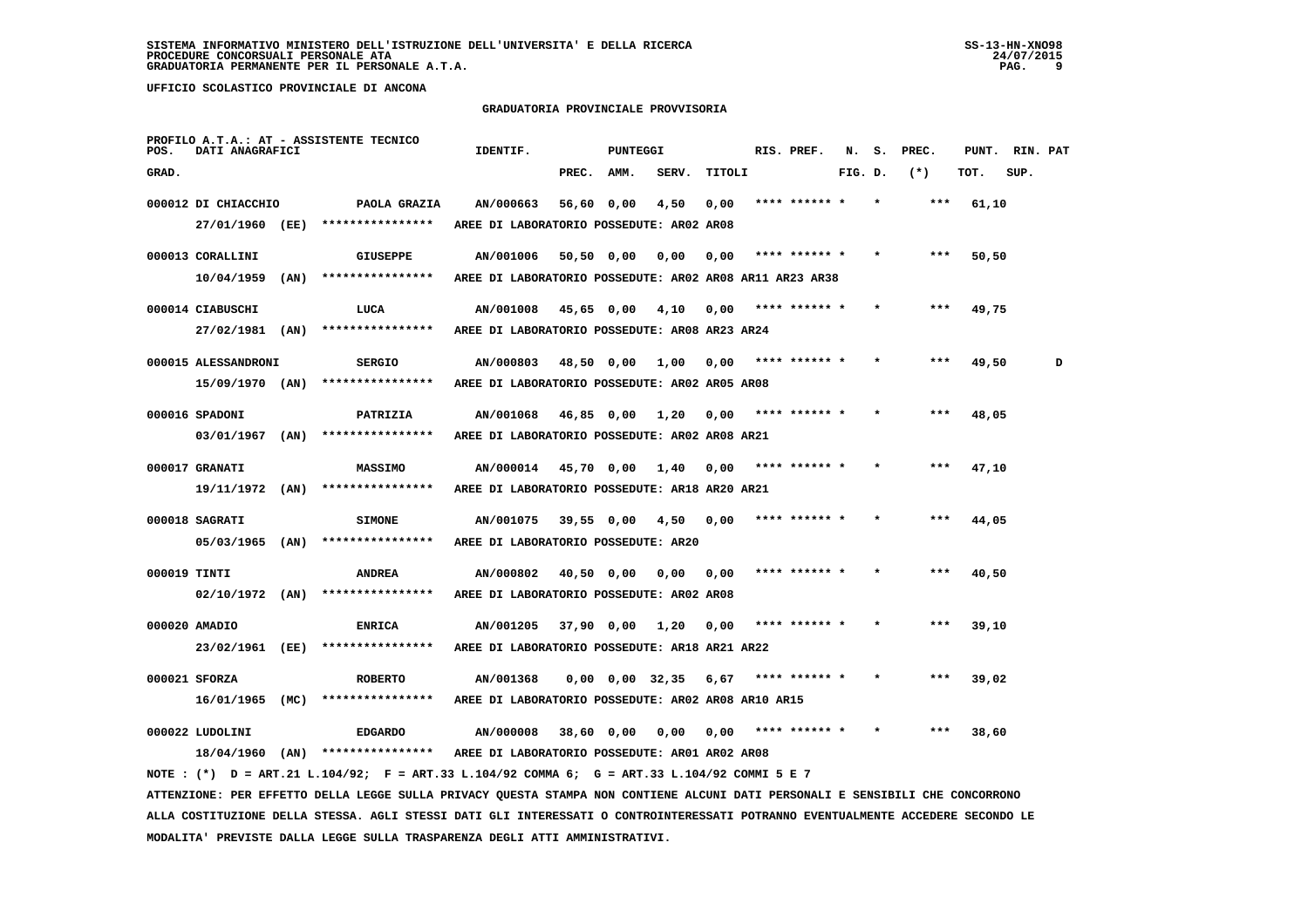#### **GRADUATORIA PROVINCIALE PROVVISORIA**

| POS.         | DATI ANAGRAFICI     |      | PROFILO A.T.A.: AT - ASSISTENTE TECNICO                                                                                         | IDENTIF.                                                |              | <b>PUNTEGGI</b>       |       |        | RIS. PREF.    | N.      | s. | PREC. | PUNT. | RIN. PAT |   |
|--------------|---------------------|------|---------------------------------------------------------------------------------------------------------------------------------|---------------------------------------------------------|--------------|-----------------------|-------|--------|---------------|---------|----|-------|-------|----------|---|
| GRAD.        |                     |      |                                                                                                                                 |                                                         | PREC.        | AMM.                  | SERV. | TITOLI |               | FIG. D. |    | $(*)$ | TOT.  | SUP.     |   |
|              | 000012 DI CHIACCHIO |      | PAOLA GRAZIA                                                                                                                    | AN/000663                                               | 56,60 0,00   |                       | 4,50  | 0,00   | **** ****** * |         |    | $***$ | 61,10 |          |   |
|              | 27/01/1960 (EE)     |      | ****************                                                                                                                | AREE DI LABORATORIO POSSEDUTE: AR02 AR08                |              |                       |       |        |               |         |    |       |       |          |   |
|              | 000013 CORALLINI    |      | <b>GIUSEPPE</b>                                                                                                                 | AN/001006                                               | $50,50$ 0,00 |                       | 0,00  | 0,00   | **** ****** * |         |    | $***$ | 50,50 |          |   |
|              | 10/04/1959          | (AN) | ****************                                                                                                                | AREE DI LABORATORIO POSSEDUTE: AR02 AR08 AR11 AR23 AR38 |              |                       |       |        |               |         |    |       |       |          |   |
|              | 000014 CIABUSCHI    |      | LUCA                                                                                                                            | AN/001008                                               | 45,65 0,00   |                       | 4,10  | 0,00   | **** ****** * |         |    | ***   | 49,75 |          |   |
|              | 27/02/1981 (AN)     |      | ****************                                                                                                                | AREE DI LABORATORIO POSSEDUTE: AR08 AR23 AR24           |              |                       |       |        |               |         |    |       |       |          |   |
|              | 000015 ALESSANDRONI |      | <b>SERGIO</b>                                                                                                                   | AN/000803                                               | 48,50 0,00   |                       | 1,00  | 0.00   |               |         |    |       | 49,50 |          | D |
|              | 15/09/1970 (AN)     |      | ****************                                                                                                                | AREE DI LABORATORIO POSSEDUTE: AR02 AR05 AR08           |              |                       |       |        |               |         |    |       |       |          |   |
|              | 000016 SPADONI      |      | <b>PATRIZIA</b>                                                                                                                 | AN/001068                                               | 46,85 0,00   |                       | 1,20  | 0,00   | **** ****** * |         |    |       | 48,05 |          |   |
|              | 03/01/1967 (AN)     |      | ****************                                                                                                                | AREE DI LABORATORIO POSSEDUTE: AR02 AR08 AR21           |              |                       |       |        |               |         |    |       |       |          |   |
|              | 000017 GRANATI      |      | <b>MASSIMO</b>                                                                                                                  | AN/000014                                               | 45,70 0,00   |                       | 1,40  | 0,00   |               |         |    |       | 47,10 |          |   |
|              | 19/11/1972 (AN)     |      | ****************                                                                                                                | AREE DI LABORATORIO POSSEDUTE: AR18 AR20 AR21           |              |                       |       |        |               |         |    |       |       |          |   |
|              | 000018 SAGRATI      |      | <b>SIMONE</b>                                                                                                                   | AN/001075                                               | $39,55$ 0,00 |                       | 4,50  | 0,00   | **** ****** * |         |    | ***   | 44,05 |          |   |
|              | $05/03/1965$ (AN)   |      | ****************                                                                                                                | AREE DI LABORATORIO POSSEDUTE: AR20                     |              |                       |       |        |               |         |    |       |       |          |   |
| 000019 TINTI |                     |      | <b>ANDREA</b>                                                                                                                   | AN/000802                                               | 40,50 0,00   |                       | 0.00  | 0.00   |               |         |    | ***   | 40,50 |          |   |
|              | $02/10/1972$ (AN)   |      | ****************                                                                                                                | AREE DI LABORATORIO POSSEDUTE: AR02 AR08                |              |                       |       |        |               |         |    |       |       |          |   |
|              | 000020 AMADIO       |      | <b>ENRICA</b>                                                                                                                   | AN/001205                                               |              | 37,90 0,00            | 1,20  | 0,00   | **** ****** * |         |    | ***   | 39,10 |          |   |
|              | 23/02/1961 (EE)     |      | ****************                                                                                                                | AREE DI LABORATORIO POSSEDUTE: AR18 AR21 AR22           |              |                       |       |        |               |         |    |       |       |          |   |
|              | 000021 SFORZA       |      | <b>ROBERTO</b>                                                                                                                  | AN/001368                                               |              | $0,00$ $0,00$ $32,35$ |       | 6,67   | **** ****** * |         |    | ***   | 39,02 |          |   |
|              | $16/01/1965$ (MC)   |      | ****************                                                                                                                | AREE DI LABORATORIO POSSEDUTE: AR02 AR08 AR10 AR15      |              |                       |       |        |               |         |    |       |       |          |   |
|              | 000022 LUDOLINI     |      | <b>EDGARDO</b>                                                                                                                  | AN/000008                                               | 38,60 0,00   |                       | 0,00  | 0.00   | **** ****** * |         |    | ***   | 38,60 |          |   |
|              |                     |      | $18/04/1960$ (AN) *****************                                                                                             | AREE DI LABORATORIO POSSEDUTE: AR01 AR02 AR08           |              |                       |       |        |               |         |    |       |       |          |   |
|              |                     |      | NOTE: (*) D = ART.21 L.104/92; F = ART.33 L.104/92 COMMA 6; G = ART.33 L.104/92 COMMI 5 E 7                                     |                                                         |              |                       |       |        |               |         |    |       |       |          |   |
|              |                     |      | ATTENZIONE: PER EFFETTO DELLA LEGGE SULLA PRIVACY QUESTA STAMPA NON CONTIENE ALCUNI DATI PERSONALI E SENSIBILI CHE CONCORRONO   |                                                         |              |                       |       |        |               |         |    |       |       |          |   |
|              |                     |      | ALLA COSTITUZIONE DELLA STESSA. AGLI STESSI DATI GLI INTERESSATI O CONTROINTERESSATI POTRANNO EVENTUALMENTE ACCEDERE SECONDO LE |                                                         |              |                       |       |        |               |         |    |       |       |          |   |

 **MODALITA' PREVISTE DALLA LEGGE SULLA TRASPARENZA DEGLI ATTI AMMINISTRATIVI.**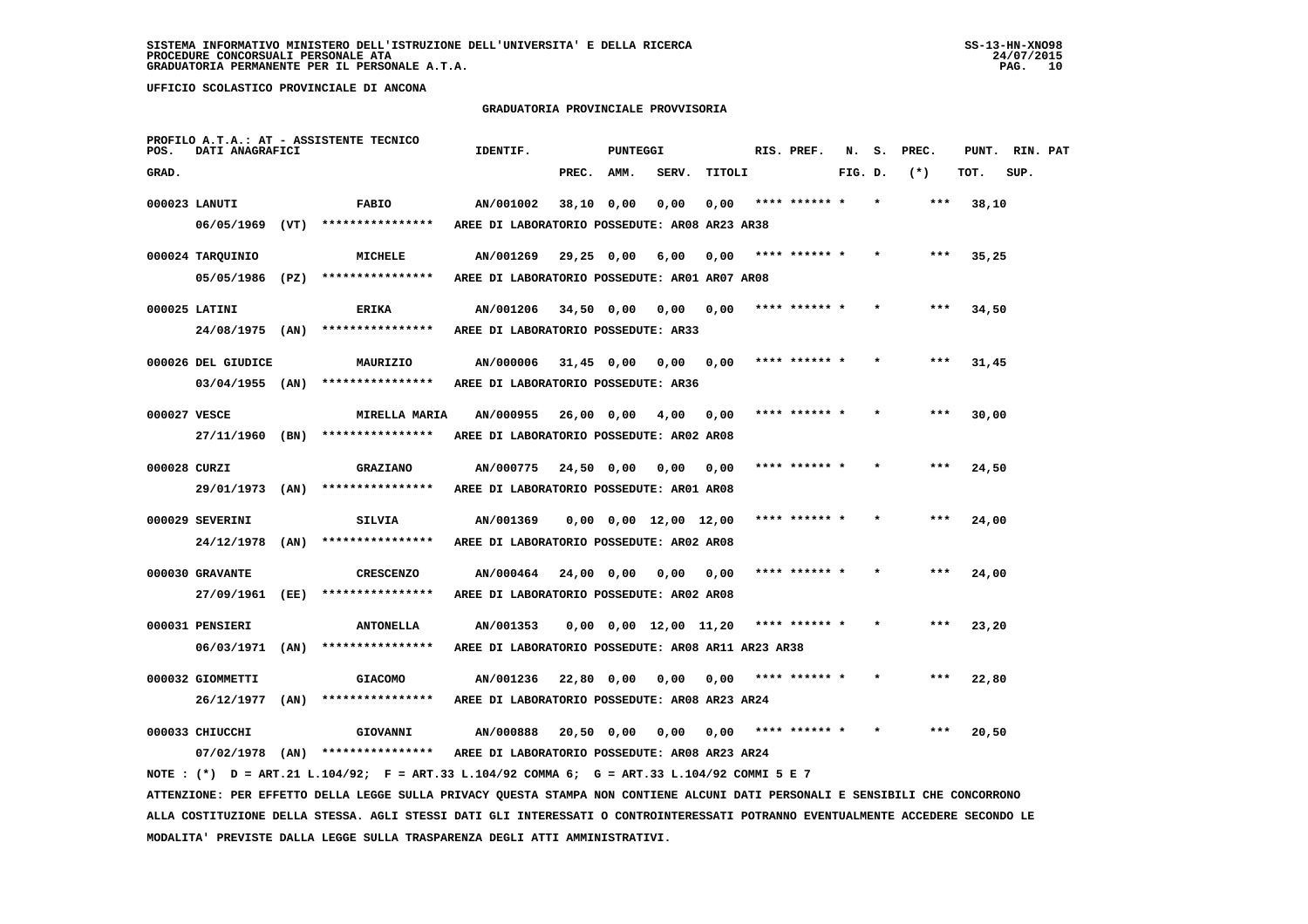#### **GRADUATORIA PROVINCIALE PROVVISORIA**

| POS.         | DATI ANAGRAFICI               |      | PROFILO A.T.A.: AT - ASSISTENTE TECNICO                                                                                       | IDENTIF.                                              |              | PUNTEGGI |                               |        | RIS. PREF.    | N.      | s. | PREC. | PUNT. | RIN. PAT |  |
|--------------|-------------------------------|------|-------------------------------------------------------------------------------------------------------------------------------|-------------------------------------------------------|--------------|----------|-------------------------------|--------|---------------|---------|----|-------|-------|----------|--|
| GRAD.        |                               |      |                                                                                                                               |                                                       | PREC.        | AMM.     | SERV.                         | TITOLI |               | FIG. D. |    | $(*)$ | TOT.  | SUP.     |  |
|              | 000023 LANUTI                 |      | <b>FABIO</b>                                                                                                                  | AN/001002                                             | 38,10 0,00   |          | 0,00                          | 0,00   | **** ****** * |         |    | ***   | 38,10 |          |  |
|              | 06/05/1969                    | (VT) | ****************                                                                                                              | AREE DI LABORATORIO POSSEDUTE: AR08 AR23 AR38         |              |          |                               |        |               |         |    |       |       |          |  |
|              | 000024 TAROUINIO              |      | MICHELE                                                                                                                       | AN/001269                                             | $29,25$ 0,00 |          | 6,00                          | 0.00   | **** ****** * |         |    | ***   | 35,25 |          |  |
|              | 05/05/1986 (PZ)               |      | ****************                                                                                                              | AREE DI LABORATORIO POSSEDUTE: AR01 AR07 AR08         |              |          |                               |        |               |         |    |       |       |          |  |
|              | 000025 LATINI                 |      | ERIKA                                                                                                                         | AN/001206                                             | 34,50 0,00   |          | 0,00                          | 0,00   | **** ****** * |         |    | ***   | 34,50 |          |  |
|              | 24/08/1975 (AN)               |      | ****************                                                                                                              | AREE DI LABORATORIO POSSEDUTE: AR33                   |              |          |                               |        |               |         |    |       |       |          |  |
|              | 000026 DEL GIUDICE            |      | MAURIZIO                                                                                                                      | AN/000006                                             | $31,45$ 0,00 |          | 0,00                          | 0,00   | **** ****** * |         |    | ***   | 31,45 |          |  |
|              | $03/04/1955$ (AN)             |      | ****************                                                                                                              | AREE DI LABORATORIO POSSEDUTE: AR36                   |              |          |                               |        |               |         |    |       |       |          |  |
| 000027 VESCE |                               |      | <b>MIRELLA MARIA</b>                                                                                                          | AN/000955                                             | 26,00 0,00   |          | 4,00                          | 0,00   | **** ****** * |         |    | ***   | 30,00 |          |  |
|              | 27/11/1960 (BN)               |      | ****************                                                                                                              | AREE DI LABORATORIO POSSEDUTE: AR02 AR08              |              |          |                               |        |               |         |    |       |       |          |  |
| 000028 CURZI |                               |      | <b>GRAZIANO</b>                                                                                                               | AN/000775                                             | 24,50 0,00   |          | 0,00                          | 0,00   |               |         |    |       | 24,50 |          |  |
|              | 29/01/1973                    | (AN) | ****************                                                                                                              | AREE DI LABORATORIO POSSEDUTE: AR01 AR08              |              |          |                               |        |               |         |    |       |       |          |  |
|              | 000029 SEVERINI               |      |                                                                                                                               | AN/001369                                             |              |          |                               |        | **** ****** * |         |    | ***   |       |          |  |
|              | 24/12/1978                    | (AN) | <b>SILVIA</b><br>****************                                                                                             | AREE DI LABORATORIO POSSEDUTE: AR02 AR08              |              |          | $0,00$ $0,00$ $12,00$ $12,00$ |        |               |         |    |       | 24,00 |          |  |
|              |                               |      |                                                                                                                               |                                                       |              |          |                               |        |               |         |    |       |       |          |  |
|              | 000030 GRAVANTE<br>27/09/1961 | (EE) | <b>CRESCENZO</b><br>****************                                                                                          | AN/000464<br>AREE DI LABORATORIO POSSEDUTE: AR02 AR08 | 24,00 0,00   |          | 0,00                          | 0,00   |               |         |    |       | 24,00 |          |  |
|              |                               |      |                                                                                                                               |                                                       |              |          |                               |        |               |         |    |       |       |          |  |
|              | 000031 PENSIERI               |      | <b>ANTONELLA</b>                                                                                                              | AN/001353                                             |              |          | $0,00$ $0,00$ $12,00$ $11,20$ |        | **** ****** * |         |    |       | 23,20 |          |  |
|              | 06/03/1971 (AN)               |      | ****************                                                                                                              | AREE DI LABORATORIO POSSEDUTE: AR08 AR11 AR23 AR38    |              |          |                               |        |               |         |    |       |       |          |  |
|              | 000032 GIOMMETTI              |      | <b>GIACOMO</b>                                                                                                                | AN/001236                                             | 22,80 0,00   |          | 0,00                          | 0,00   |               |         |    |       | 22,80 |          |  |
|              | 26/12/1977                    | (AN) | ****************                                                                                                              | AREE DI LABORATORIO POSSEDUTE: AR08 AR23 AR24         |              |          |                               |        |               |         |    |       |       |          |  |
|              | 000033 CHIUCCHI               |      | GIOVANNI                                                                                                                      | AN/000888                                             | 20,50 0,00   |          | 0,00                          | 0,00   | **** ****** * |         |    |       | 20,50 |          |  |
|              |                               |      | $07/02/1978$ (AN) ****************                                                                                            | AREE DI LABORATORIO POSSEDUTE: AR08 AR23 AR24         |              |          |                               |        |               |         |    |       |       |          |  |
|              |                               |      | NOTE: (*) D = ART.21 L.104/92; F = ART.33 L.104/92 COMMA 6; G = ART.33 L.104/92 COMMI 5 E 7                                   |                                                       |              |          |                               |        |               |         |    |       |       |          |  |
|              |                               |      | ATTENZIONE: PER EFFETTO DELLA LEGGE SULLA PRIVACY QUESTA STAMPA NON CONTIENE ALCUNI DATI PERSONALI E SENSIBILI CHE CONCORRONO |                                                       |              |          |                               |        |               |         |    |       |       |          |  |

 **ALLA COSTITUZIONE DELLA STESSA. AGLI STESSI DATI GLI INTERESSATI O CONTROINTERESSATI POTRANNO EVENTUALMENTE ACCEDERE SECONDO LE MODALITA' PREVISTE DALLA LEGGE SULLA TRASPARENZA DEGLI ATTI AMMINISTRATIVI.**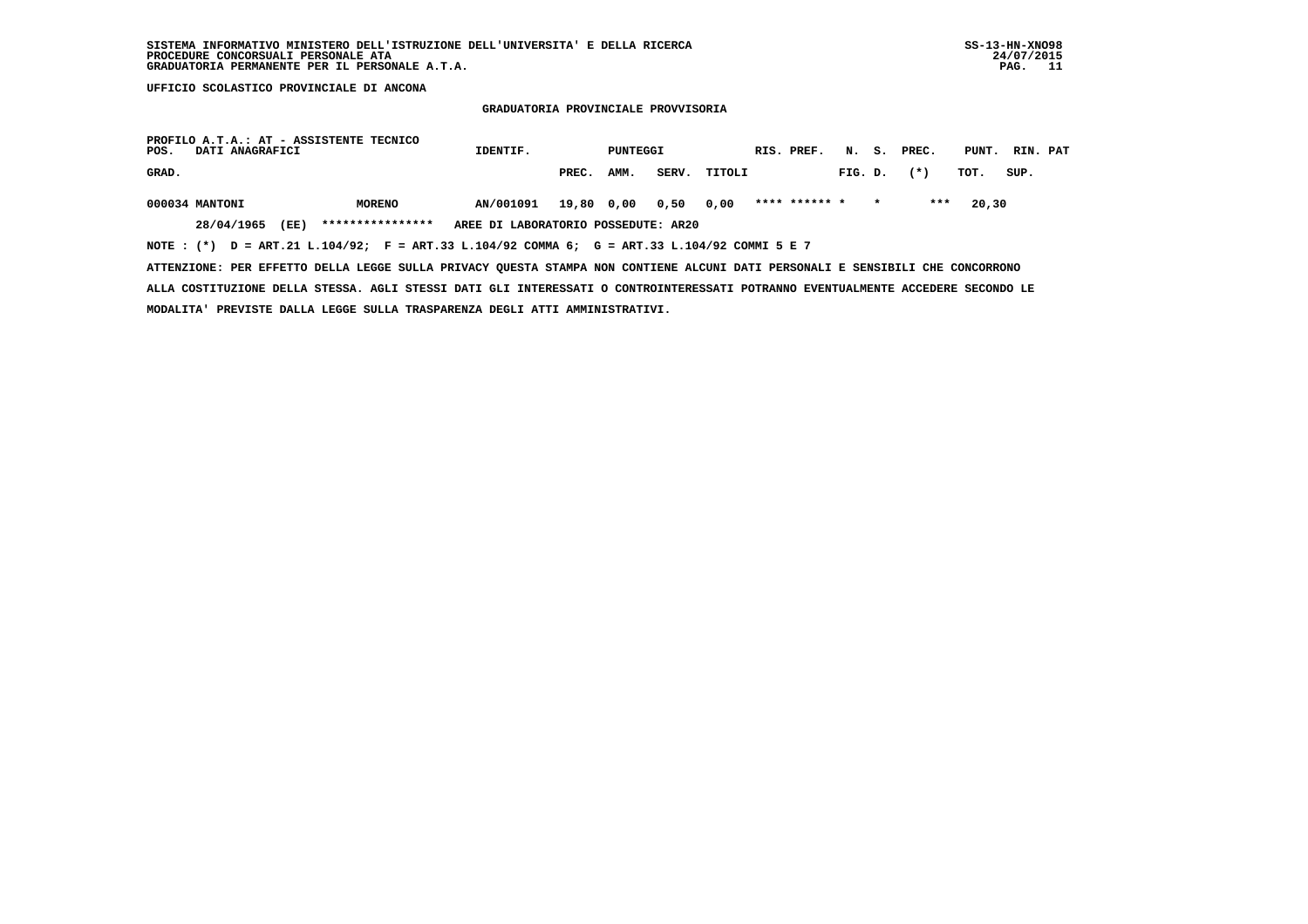## **GRADUATORIA PROVINCIALE PROVVISORIA**

| PROFILO A.T.A.: AT - ASSISTENTE TECNICO<br>POS.<br>DATI ANAGRAFICI                                                            |                  | IDENTIF.                            |            | PUNTEGGI |       |        | RIS. PREF.    |         |         | N. S. PREC. | PUNT. | RIN. PAT |  |
|-------------------------------------------------------------------------------------------------------------------------------|------------------|-------------------------------------|------------|----------|-------|--------|---------------|---------|---------|-------------|-------|----------|--|
| GRAD.                                                                                                                         |                  |                                     | PREC.      | AMM.     | SERV. | TITOLI |               | FIG. D. |         | $(*)$       | тот.  | SUP.     |  |
| 000034 MANTONI                                                                                                                | <b>MORENO</b>    | AN/001091                           | 19,80 0,00 |          | 0,50  | 0,00   | **** ****** * |         | $\star$ | ***         | 20,30 |          |  |
| 28/04/1965<br>(EE)                                                                                                            | **************** | AREE DI LABORATORIO POSSEDUTE: AR20 |            |          |       |        |               |         |         |             |       |          |  |
| NOTE: (*) D = ART.21 L.104/92; F = ART.33 L.104/92 COMMA 6; G = ART.33 L.104/92 COMMI 5 E 7                                   |                  |                                     |            |          |       |        |               |         |         |             |       |          |  |
| ATTENZIONE: PER EFFETTO DELLA LEGGE SULLA PRIVACY QUESTA STAMPA NON CONTIENE ALCUNI DATI PERSONALI E SENSIBILI CHE CONCORRONO |                  |                                     |            |          |       |        |               |         |         |             |       |          |  |

 **ALLA COSTITUZIONE DELLA STESSA. AGLI STESSI DATI GLI INTERESSATI O CONTROINTERESSATI POTRANNO EVENTUALMENTE ACCEDERE SECONDO LE MODALITA' PREVISTE DALLA LEGGE SULLA TRASPARENZA DEGLI ATTI AMMINISTRATIVI.**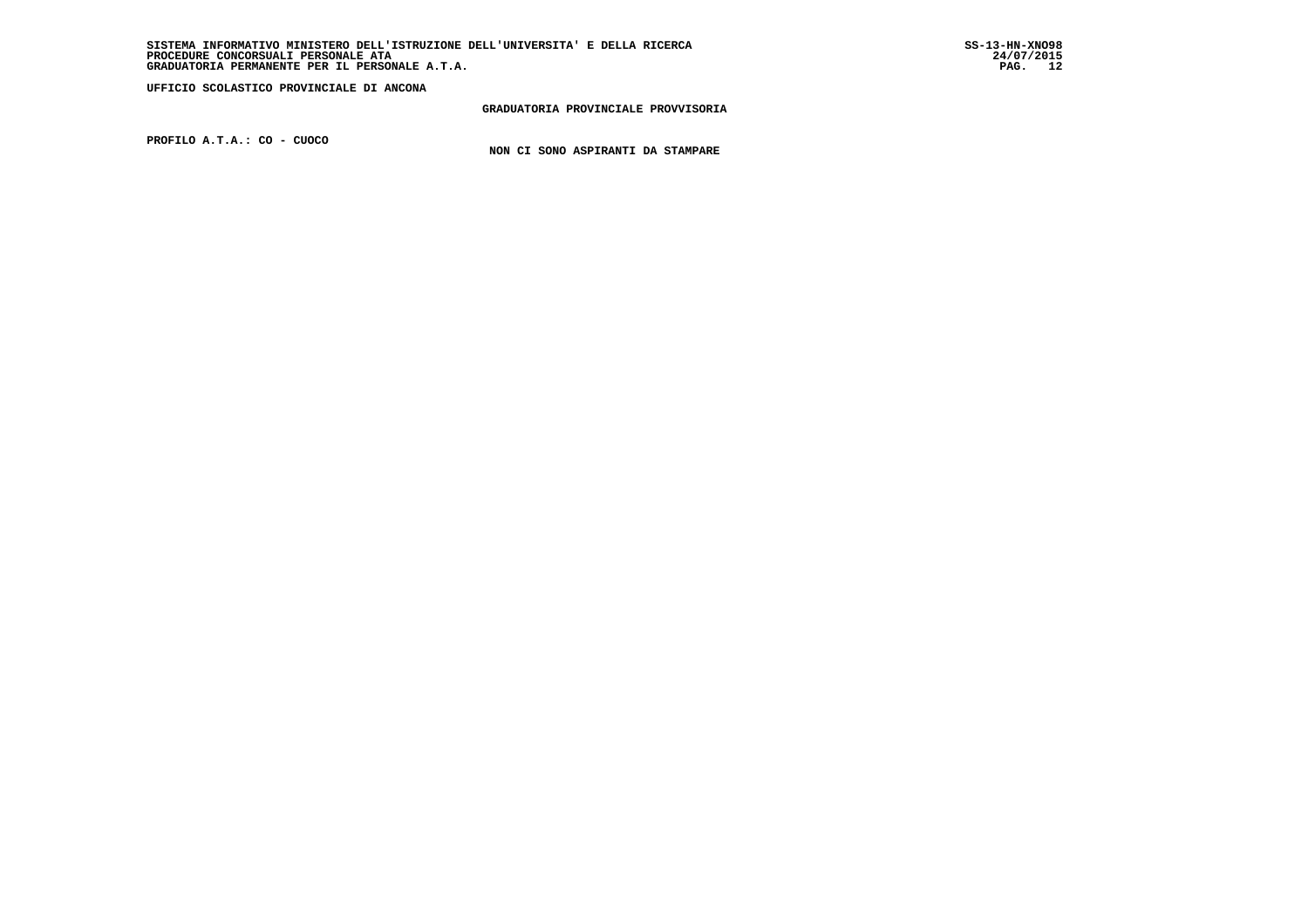**GRADUATORIA PROVINCIALE PROVVISORIA**

 **PROFILO A.T.A.: CO - CUOCO**

 **NON CI SONO ASPIRANTI DA STAMPARE**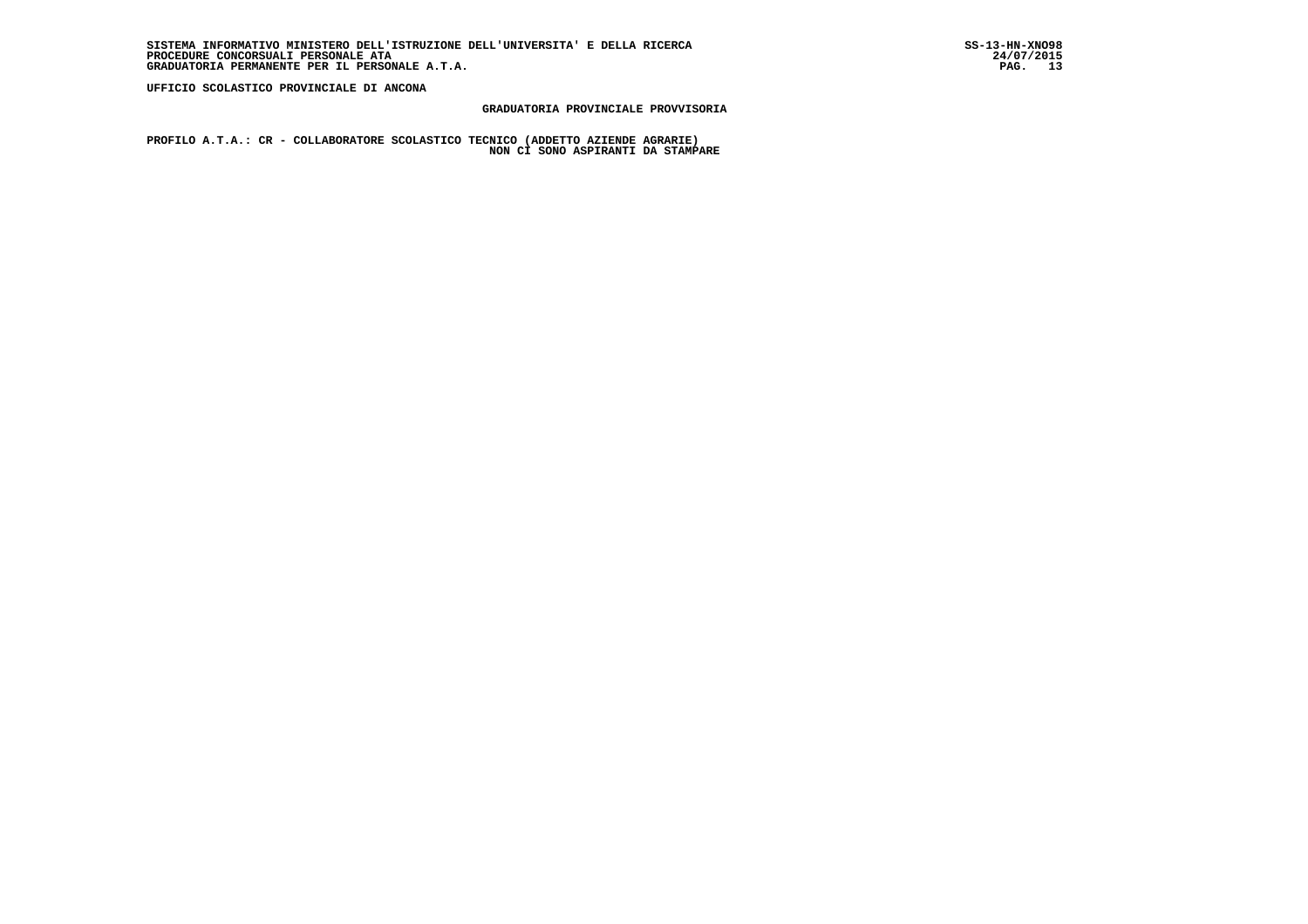## **GRADUATORIA PROVINCIALE PROVVISORIA**

 **PROFILO A.T.A.: CR - COLLABORATORE SCOLASTICO TECNICO (ADDETTO AZIENDE AGRARIE) NON CI SONO ASPIRANTI DA STAMPARE**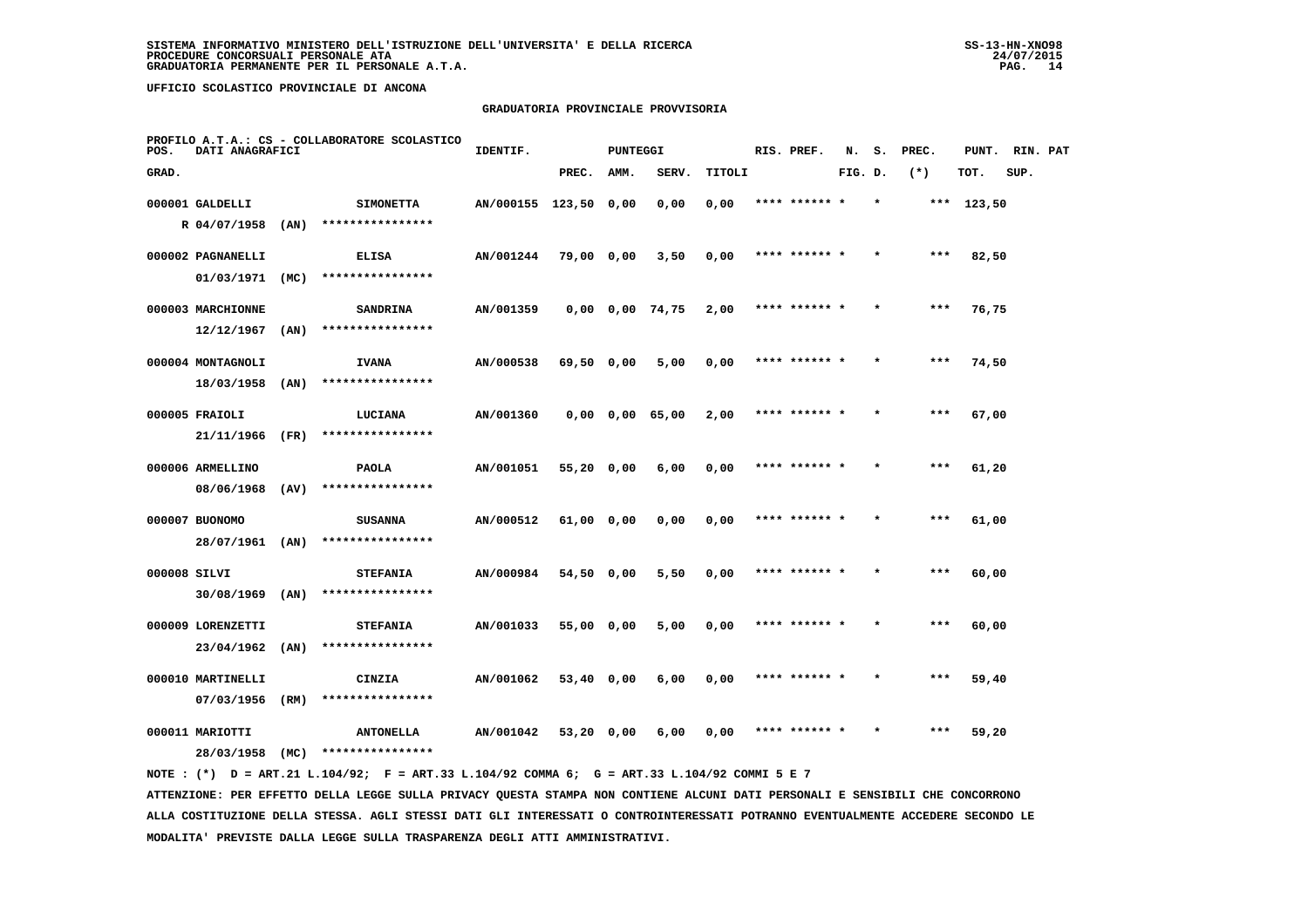## **GRADUATORIA PROVINCIALE PROVVISORIA**

| POS.         | DATI ANAGRAFICI   |      | PROFILO A.T.A.: CS - COLLABORATORE SCOLASTICO | IDENTIF.              |            | <b>PUNTEGGI</b> |                       |        | RIS. PREF.    | N.      | s.      | PREC. | PUNT.      | RIN. PAT |  |
|--------------|-------------------|------|-----------------------------------------------|-----------------------|------------|-----------------|-----------------------|--------|---------------|---------|---------|-------|------------|----------|--|
| GRAD.        |                   |      |                                               |                       | PREC.      | AMM.            | SERV.                 | TITOLI |               | FIG. D. |         | $(*)$ | TOT.       | SUP.     |  |
|              | 000001 GALDELLI   |      | <b>SIMONETTA</b>                              | AN/000155 123,50 0,00 |            |                 | 0,00                  | 0,00   | **** ****** * |         | $\star$ |       | *** 123,50 |          |  |
|              | R 04/07/1958      | (AN) | ****************                              |                       |            |                 |                       |        |               |         |         |       |            |          |  |
|              | 000002 PAGNANELLI |      | <b>ELISA</b>                                  | AN/001244             | 79,00 0,00 |                 | 3,50                  | 0,00   | **** ****** * |         |         | $***$ | 82,50      |          |  |
|              | 01/03/1971        | (MC) | ****************                              |                       |            |                 |                       |        |               |         |         |       |            |          |  |
|              | 000003 MARCHIONNE |      | <b>SANDRINA</b>                               | AN/001359             |            |                 | $0,00$ $0,00$ $74,75$ | 2,00   | **** ****** * |         |         | $***$ | 76,75      |          |  |
|              | 12/12/1967        | (AN) | ****************                              |                       |            |                 |                       |        |               |         |         |       |            |          |  |
|              | 000004 MONTAGNOLI |      | <b>IVANA</b>                                  | AN/000538             | 69,50 0,00 |                 | 5,00                  | 0,00   | **** ****** * |         |         | ***   | 74,50      |          |  |
|              | 18/03/1958        | (AN) | ****************                              |                       |            |                 |                       |        |               |         |         |       |            |          |  |
|              | 000005 FRAIOLI    |      | LUCIANA                                       | AN/001360             |            |                 | $0,00$ $0,00$ $65,00$ | 2,00   | **** ****** * |         |         | $***$ | 67,00      |          |  |
|              | 21/11/1966        | (FR) | ****************                              |                       |            |                 |                       |        |               |         |         |       |            |          |  |
|              | 000006 ARMELLINO  |      | <b>PAOLA</b>                                  | AN/001051             | 55,20 0,00 |                 | 6,00                  | 0,00   | **** ****** * |         |         | $***$ | 61,20      |          |  |
|              | 08/06/1968        | (AV) | ****************                              |                       |            |                 |                       |        |               |         |         |       |            |          |  |
|              | 000007 BUONOMO    |      | <b>SUSANNA</b>                                | AN/000512             | 61,00 0,00 |                 | 0,00                  | 0,00   | **** ****** * |         |         | ***   | 61,00      |          |  |
|              | 28/07/1961 (AN)   |      | ****************                              |                       |            |                 |                       |        |               |         |         |       |            |          |  |
| 000008 SILVI |                   |      | <b>STEFANIA</b>                               | AN/000984             | 54,50 0,00 |                 | 5,50                  | 0,00   |               |         |         | ***   | 60,00      |          |  |
|              | $30/08/1969$ (AN) |      | ****************                              |                       |            |                 |                       |        |               |         |         |       |            |          |  |
|              | 000009 LORENZETTI |      | <b>STEFANIA</b>                               | AN/001033             | 55,00 0,00 |                 | 5,00                  | 0,00   | **** ****** * |         |         | $***$ | 60,00      |          |  |
|              | 23/04/1962        | (AN) | ****************                              |                       |            |                 |                       |        |               |         |         |       |            |          |  |
|              | 000010 MARTINELLI |      | CINZIA                                        | AN/001062             | 53,40 0,00 |                 | 6,00                  | 0,00   | **** ****** * |         | $\star$ | ***   | 59,40      |          |  |
|              | 07/03/1956        | (RM) | ****************                              |                       |            |                 |                       |        |               |         |         |       |            |          |  |
|              | 000011 MARIOTTI   |      | <b>ANTONELLA</b>                              | AN/001042             | 53,20 0,00 |                 | 6,00                  | 0,00   | **** ****** * |         |         | ***   | 59,20      |          |  |
|              | 28/03/1958        | (MC) | ****************                              |                       |            |                 |                       |        |               |         |         |       |            |          |  |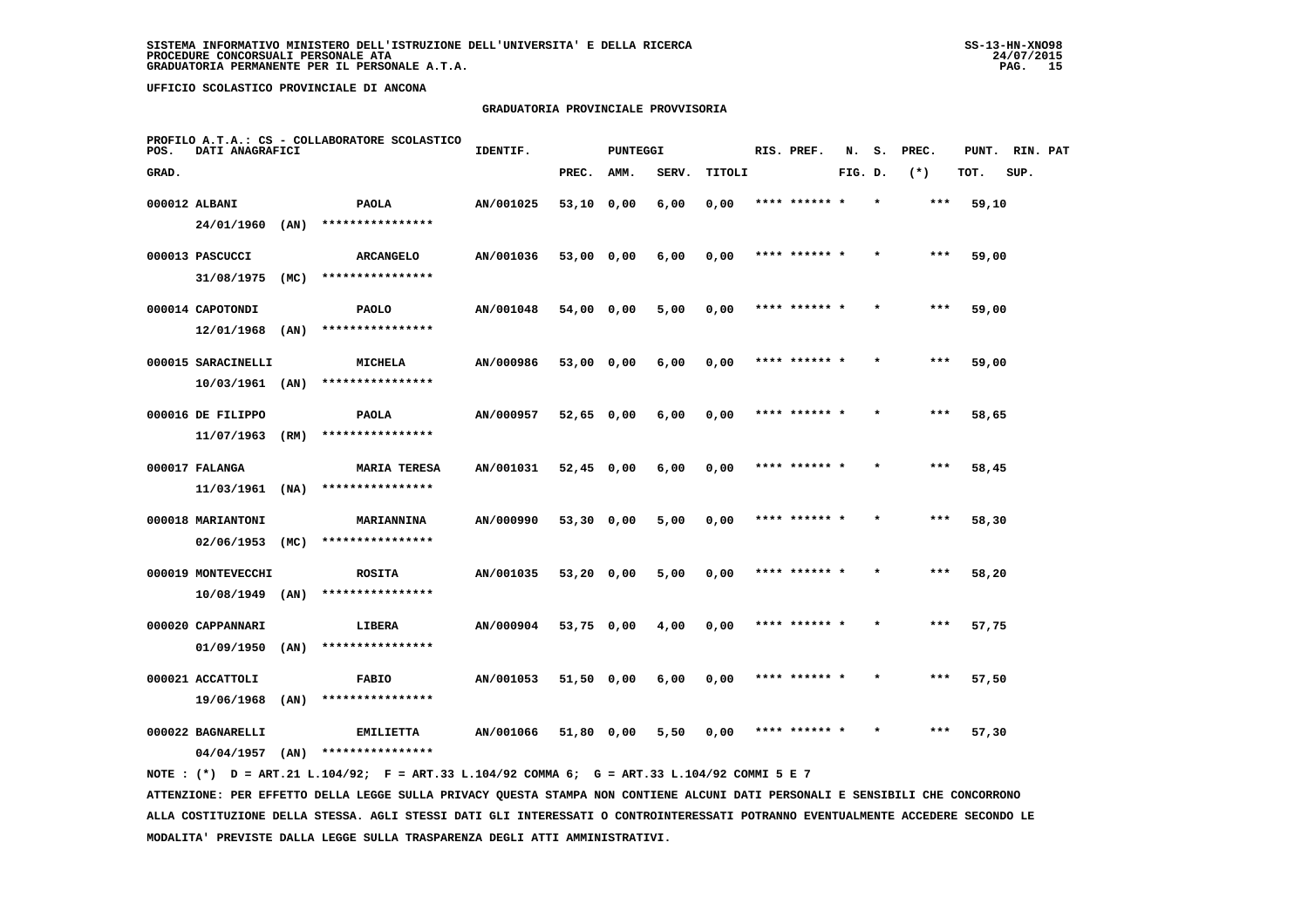## **GRADUATORIA PROVINCIALE PROVVISORIA**

| POS.  | DATI ANAGRAFICI                  |      | PROFILO A.T.A.: CS - COLLABORATORE SCOLASTICO | IDENTIF.  |              | <b>PUNTEGGI</b> |       |        | RIS. PREF.    | N.      | s.      | PREC. | PUNT. | RIN. PAT |  |
|-------|----------------------------------|------|-----------------------------------------------|-----------|--------------|-----------------|-------|--------|---------------|---------|---------|-------|-------|----------|--|
| GRAD. |                                  |      |                                               |           | PREC.        | AMM.            | SERV. | TITOLI |               | FIG. D. |         | $(*)$ | TOT.  | SUP.     |  |
|       | 000012 ALBANI                    |      | <b>PAOLA</b>                                  | AN/001025 | 53,10 0,00   |                 | 6,00  | 0,00   | **** ****** * |         |         | $***$ | 59,10 |          |  |
|       | 24/01/1960                       | (AN) | ****************                              |           |              |                 |       |        |               |         |         |       |       |          |  |
|       | 000013 PASCUCCI                  |      | <b>ARCANGELO</b>                              | AN/001036 | 53,00 0,00   |                 | 6,00  | 0,00   | **** ****** * |         |         | ***   | 59,00 |          |  |
|       | 31/08/1975                       | (MC) | ****************                              |           |              |                 |       |        |               |         |         |       |       |          |  |
|       | 000014 CAPOTONDI                 |      | <b>PAOLO</b>                                  | AN/001048 | 54,00 0,00   |                 | 5,00  | 0,00   | **** ****** * |         |         | $***$ | 59,00 |          |  |
|       | 12/01/1968                       | (AN) | ****************                              |           |              |                 |       |        |               |         |         |       |       |          |  |
|       | 000015 SARACINELLI               |      | <b>MICHELA</b>                                | AN/000986 | 53,00 0,00   |                 | 6,00  | 0,00   | **** ****** * |         |         | ***   | 59,00 |          |  |
|       | 10/03/1961                       | (AN) | ****************                              |           |              |                 |       |        |               |         |         |       |       |          |  |
|       | 000016 DE FILIPPO                |      | <b>PAOLA</b>                                  | AN/000957 | $52,65$ 0,00 |                 | 6,00  | 0,00   | **** ****** * |         |         | ***   | 58,65 |          |  |
|       | 11/07/1963                       | (RM) | ****************                              |           |              |                 |       |        |               |         |         |       |       |          |  |
|       | 000017 FALANGA                   |      | <b>MARIA TERESA</b>                           | AN/001031 | $52,45$ 0,00 |                 | 6,00  | 0,00   | **** ****** * |         |         | $***$ | 58,45 |          |  |
|       | 11/03/1961                       | (NA) | ****************                              |           |              |                 |       |        |               |         |         |       |       |          |  |
|       | 000018 MARIANTONI<br>02/06/1953  | (MC) | MARIANNINA<br>****************                | AN/000990 | 53,30 0,00   |                 | 5,00  | 0,00   | **** ****** * |         |         | $***$ | 58,30 |          |  |
|       |                                  |      |                                               |           |              |                 |       |        |               |         |         |       |       |          |  |
|       | 000019 MONTEVECCHI<br>10/08/1949 | (AN) | <b>ROSITA</b><br>****************             | AN/001035 | 53,20 0,00   |                 | 5,00  | 0,00   |               |         |         | ***   | 58,20 |          |  |
|       |                                  |      |                                               |           |              |                 |       |        |               |         |         |       |       |          |  |
|       | 000020 CAPPANNARI<br>01/09/1950  | (AN) | LIBERA<br>****************                    | AN/000904 | 53,75 0,00   |                 | 4,00  | 0,00   | **** ****** * |         |         | $***$ | 57,75 |          |  |
|       |                                  |      |                                               |           |              |                 |       |        |               |         |         |       |       |          |  |
|       | 000021 ACCATTOLI<br>19/06/1968   | (AN) | <b>FABIO</b><br>****************              | AN/001053 | 51,50 0,00   |                 | 6,00  | 0,00   | **** ****** * |         | $\star$ | $***$ | 57,50 |          |  |
|       |                                  |      |                                               |           |              |                 |       |        | **** ****** * |         |         | ***   |       |          |  |
|       | 000022 BAGNARELLI<br>04/04/1957  | (AN) | <b>EMILIETTA</b><br>****************          | AN/001066 | 51,80 0,00   |                 | 5,50  | 0,00   |               |         |         |       | 57,30 |          |  |
|       |                                  |      |                                               |           |              |                 |       |        |               |         |         |       |       |          |  |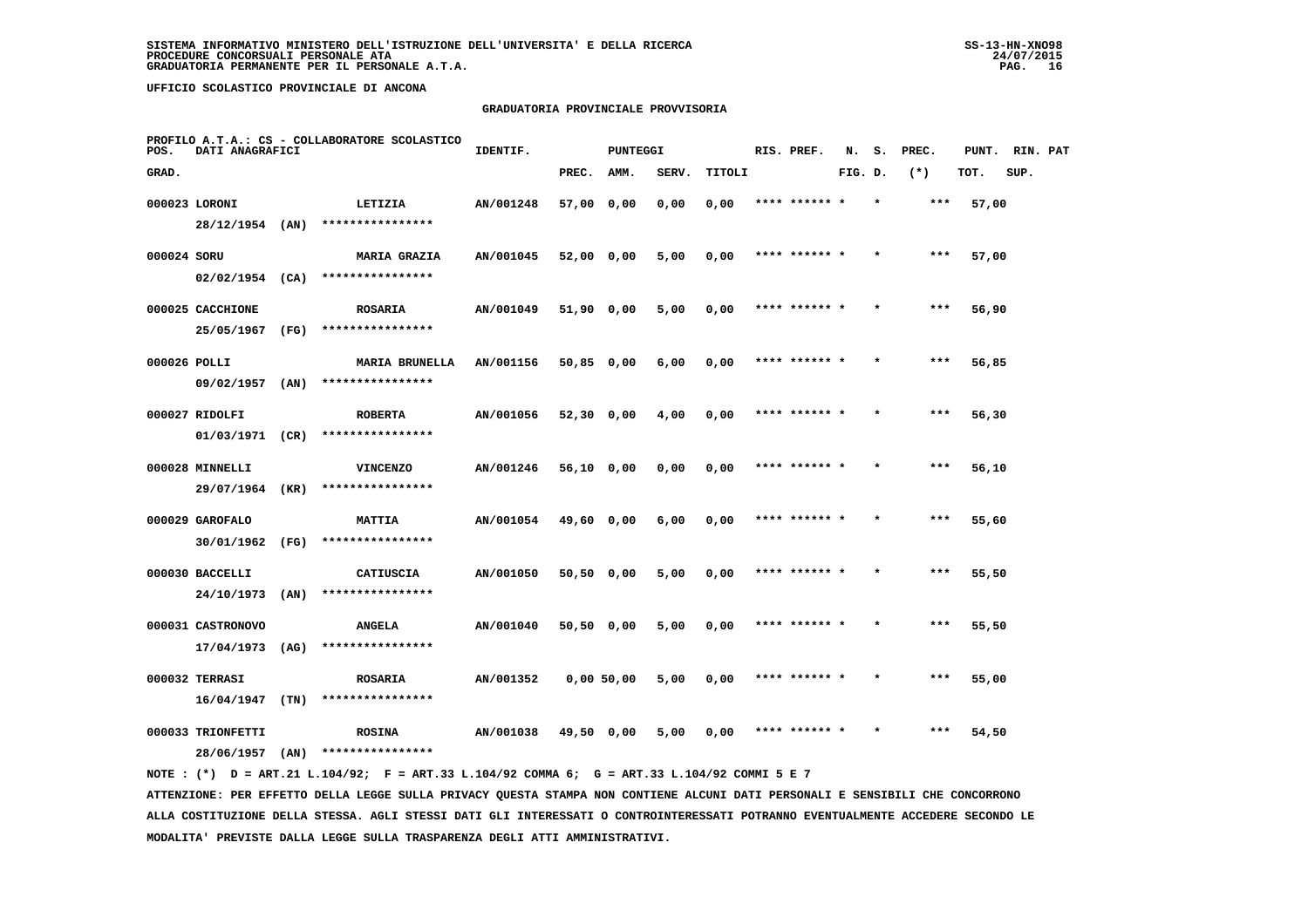## **GRADUATORIA PROVINCIALE PROVVISORIA**

| POS.        | DATI ANAGRAFICI                      |      | PROFILO A.T.A.: CS - COLLABORATORE SCOLASTICO | IDENTIF.  |              | <b>PUNTEGGI</b> |       |        | RIS. PREF.    | N.      | s.      | PREC. | PUNT. | RIN. PAT |  |
|-------------|--------------------------------------|------|-----------------------------------------------|-----------|--------------|-----------------|-------|--------|---------------|---------|---------|-------|-------|----------|--|
| GRAD.       |                                      |      |                                               |           | PREC.        | AMM.            | SERV. | TITOLI |               | FIG. D. |         | $(*)$ | TOT.  | SUP.     |  |
|             | 000023 LORONI                        |      | LETIZIA                                       | AN/001248 | 57,00 0,00   |                 | 0,00  | 0,00   | **** ****** * |         |         | ***   | 57,00 |          |  |
|             | 28/12/1954 (AN)                      |      | ****************                              |           |              |                 |       |        |               |         |         |       |       |          |  |
| 000024 SORU |                                      |      | <b>MARIA GRAZIA</b>                           | AN/001045 | 52,00 0,00   |                 | 5,00  | 0,00   | **** ****** * |         |         | $***$ | 57,00 |          |  |
|             | $02/02/1954$ (CA)                    |      | ****************                              |           |              |                 |       |        |               |         |         |       |       |          |  |
|             | 000025 CACCHIONE                     |      | <b>ROSARIA</b>                                | AN/001049 | 51,90 0,00   |                 | 5,00  | 0,00   | **** ****** * |         |         | ***   | 56,90 |          |  |
|             | 25/05/1967                           | (FG) | ****************                              |           |              |                 |       |        |               |         |         |       |       |          |  |
|             | 000026 POLLI                         |      | <b>MARIA BRUNELLA</b>                         | AN/001156 | 50,85 0,00   |                 | 6,00  | 0,00   | **** ****** * |         |         | ***   | 56,85 |          |  |
|             | 09/02/1957                           | (AN) | ****************                              |           |              |                 |       |        |               |         |         |       |       |          |  |
|             | 000027 RIDOLFI                       |      | <b>ROBERTA</b>                                | AN/001056 | $52,30$ 0,00 |                 | 4,00  | 0,00   | **** ****** * |         |         | ***   | 56,30 |          |  |
|             | 01/03/1971 (CR)                      |      | ****************                              |           |              |                 |       |        |               |         |         |       |       |          |  |
|             | 000028 MINNELLI                      |      | <b>VINCENZO</b>                               | AN/001246 | 56,10 0,00   |                 | 0,00  | 0,00   | **** ****** * |         |         | $***$ | 56,10 |          |  |
|             | 29/07/1964                           | (KR) | ****************                              |           |              |                 |       |        |               |         |         |       |       |          |  |
|             | 000029 GAROFALO                      |      | <b>MATTIA</b><br>****************             | AN/001054 | 49,60 0,00   |                 | 6,00  | 0,00   | **** ****** * |         | $\star$ | ***   | 55,60 |          |  |
|             | 30/01/1962 (FG)                      |      |                                               |           |              |                 |       |        |               |         |         |       |       |          |  |
|             | 000030 BACCELLI<br>$24/10/1973$ (AN) |      | CATIUSCIA<br>****************                 | AN/001050 | 50,50 0,00   |                 | 5,00  | 0,00   | **** ****** * |         |         | ***   | 55,50 |          |  |
|             |                                      |      |                                               |           |              |                 |       |        |               |         |         |       |       |          |  |
|             | 000031 CASTRONOVO<br>17/04/1973      | (AG) | <b>ANGELA</b><br>****************             | AN/001040 | 50,50 0,00   |                 | 5,00  | 0,00   | **** ****** * |         |         | ***   | 55,50 |          |  |
|             |                                      |      |                                               |           |              |                 |       |        |               |         |         |       |       |          |  |
|             | 000032 TERRASI<br>16/04/1947         | (TN) | <b>ROSARIA</b><br>****************            | AN/001352 |              | 0,00 50,00      | 5,00  | 0,00   | **** ****** * |         |         | ***   | 55,00 |          |  |
|             | 000033 TRIONFETTI                    |      |                                               |           |              |                 |       |        | **** ****** * |         |         | ***   |       |          |  |
|             | 28/06/1957                           | (AN) | <b>ROSINA</b><br>****************             | AN/001038 | 49,50 0,00   |                 | 5,00  | 0,00   |               |         |         |       | 54,50 |          |  |
|             |                                      |      |                                               |           |              |                 |       |        |               |         |         |       |       |          |  |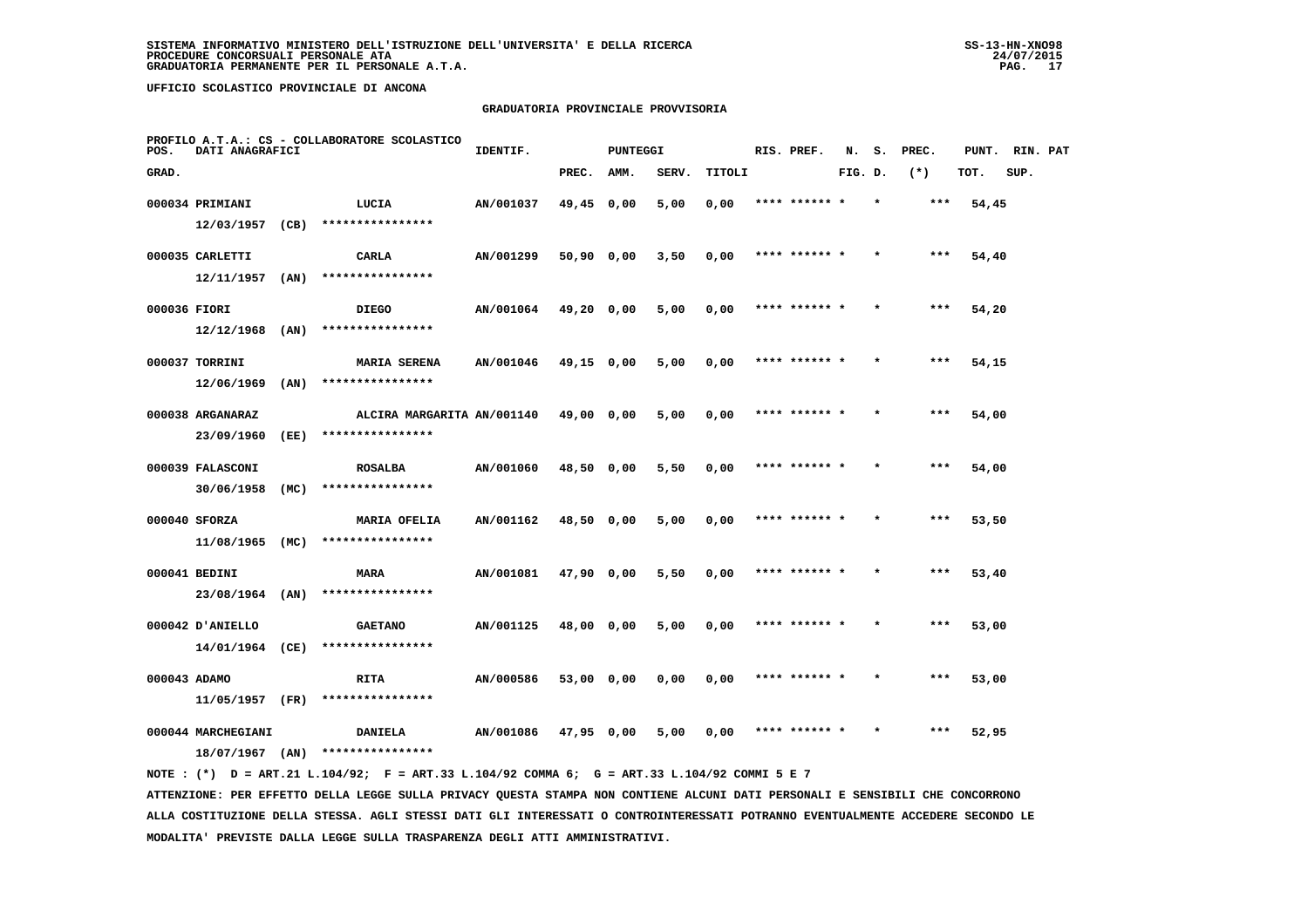## **GRADUATORIA PROVINCIALE PROVVISORIA**

| POS.         | DATI ANAGRAFICI                         |      | PROFILO A.T.A.: CS - COLLABORATORE SCOLASTICO | IDENTIF.  |            | <b>PUNTEGGI</b> |       |        | RIS. PREF.    | N.      | s.      | PREC. | PUNT. | RIN. PAT |  |
|--------------|-----------------------------------------|------|-----------------------------------------------|-----------|------------|-----------------|-------|--------|---------------|---------|---------|-------|-------|----------|--|
| GRAD.        |                                         |      |                                               |           | PREC.      | AMM.            | SERV. | TITOLI |               | FIG. D. |         | $(*)$ | TOT.  | SUP.     |  |
|              | 000034 PRIMIANI                         |      | LUCIA                                         | AN/001037 | 49,45 0,00 |                 | 5,00  | 0,00   | **** ****** * |         |         | ***   | 54,45 |          |  |
|              | 12/03/1957                              | (CB) | ****************                              |           |            |                 |       |        |               |         |         |       |       |          |  |
|              | 000035 CARLETTI                         |      | CARLA                                         | AN/001299 | 50,90 0,00 |                 | 3,50  | 0,00   | **** ****** * |         |         | ***   | 54,40 |          |  |
|              | 12/11/1957                              | (AN) | ****************                              |           |            |                 |       |        |               |         |         |       |       |          |  |
| 000036 FIORI |                                         |      | <b>DIEGO</b>                                  | AN/001064 | 49,20 0,00 |                 | 5,00  | 0,00   | **** ****** * |         |         | $***$ | 54,20 |          |  |
|              | 12/12/1968                              | (AN) | ****************                              |           |            |                 |       |        |               |         |         |       |       |          |  |
|              | 000037 TORRINI                          |      | <b>MARIA SERENA</b>                           | AN/001046 | 49,15 0,00 |                 | 5,00  | 0,00   | **** ****** * |         | $\star$ | ***   | 54,15 |          |  |
|              | 12/06/1969                              | (AN) | ****************                              |           |            |                 |       |        |               |         |         |       |       |          |  |
|              | 000038 ARGANARAZ                        |      | ALCIRA MARGARITA AN/001140                    |           | 49,00 0,00 |                 | 5,00  | 0,00   | **** ****** * |         |         | ***   | 54,00 |          |  |
|              | 23/09/1960                              | (EE) | ****************                              |           |            |                 |       |        |               |         |         |       |       |          |  |
|              | 000039 FALASCONI                        |      | <b>ROSALBA</b>                                | AN/001060 | 48,50 0,00 |                 | 5,50  | 0,00   | **** ****** * |         |         | ***   | 54,00 |          |  |
|              | 30/06/1958                              | (MC) | ****************                              |           |            |                 |       |        |               |         |         |       |       |          |  |
|              | 000040 SFORZA                           |      | <b>MARIA OFELIA</b><br>****************       | AN/001162 | 48,50 0,00 |                 | 5,00  | 0,00   | **** ****** * |         |         | $***$ | 53,50 |          |  |
|              | 11/08/1965 (MC)                         |      |                                               |           |            |                 |       |        |               |         |         |       |       |          |  |
|              | 000041 BEDINI                           |      | <b>MARA</b><br>****************               | AN/001081 | 47,90 0,00 |                 | 5,50  | 0,00   | **** ****** * |         |         | ***   | 53,40 |          |  |
|              | 23/08/1964 (AN)                         |      |                                               |           |            |                 |       |        |               |         |         |       |       |          |  |
|              | 000042 D'ANIELLO<br>14/01/1964 (CE)     |      | <b>GAETANO</b><br>****************            | AN/001125 | 48,00 0,00 |                 | 5,00  | 0,00   |               |         |         | ***   | 53,00 |          |  |
|              |                                         |      |                                               |           |            |                 |       |        |               |         |         |       |       |          |  |
| 000043 ADAMO | 11/05/1957                              | (FR) | RITA<br>****************                      | AN/000586 | 53,00 0,00 |                 | 0,00  | 0,00   | **** ****** * |         |         | $***$ | 53,00 |          |  |
|              |                                         |      |                                               |           |            |                 |       |        |               |         |         |       |       |          |  |
|              | 000044 MARCHEGIANI<br>$18/07/1967$ (AN) |      | DANIELA<br>****************                   | AN/001086 | 47,95 0,00 |                 | 5,00  | 0,00   | **** ****** * |         | $\star$ | ***   | 52,95 |          |  |
|              |                                         |      |                                               |           |            |                 |       |        |               |         |         |       |       |          |  |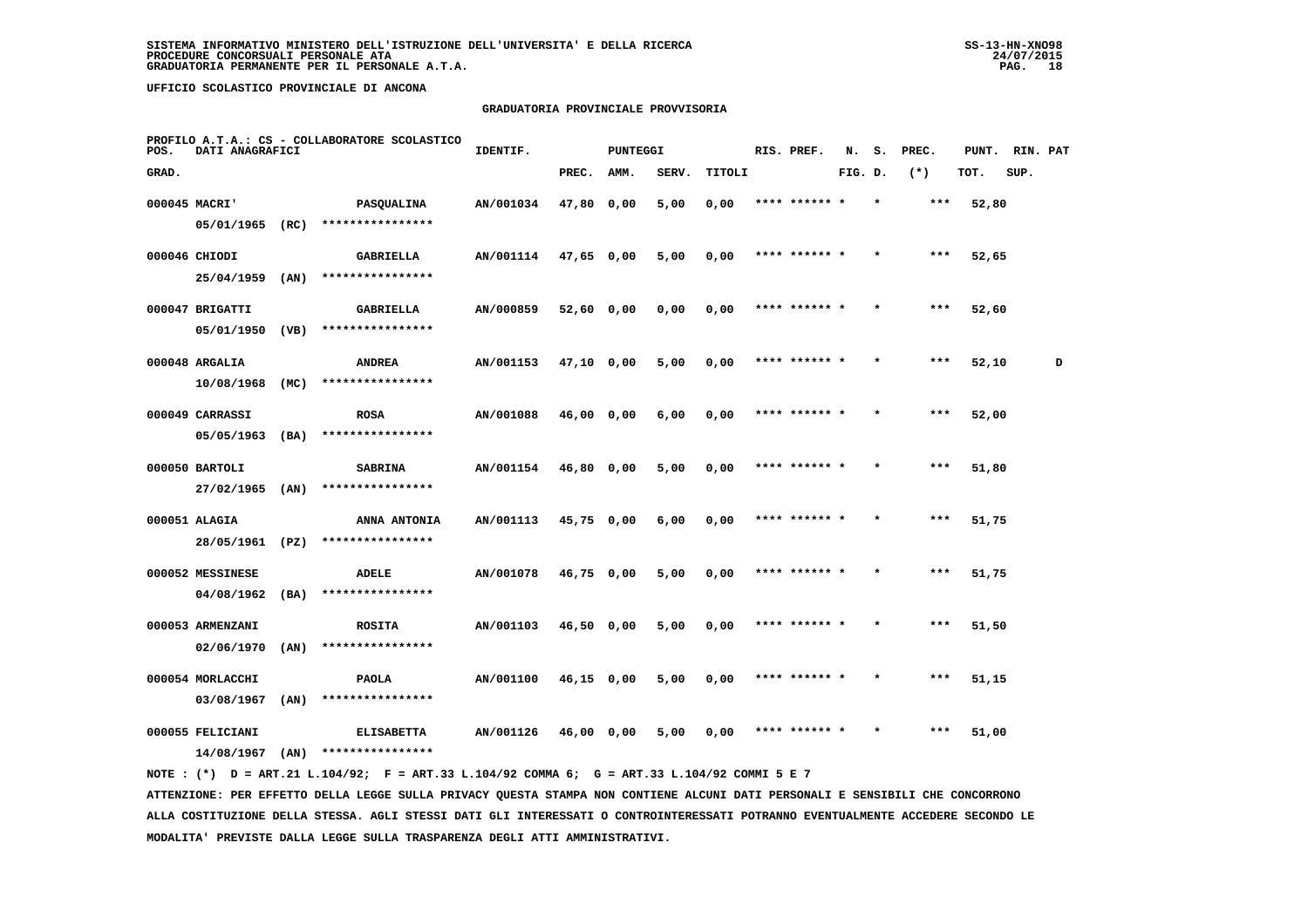# **GRADUATORIA PROVINCIALE PROVVISORIA**

| POS.  | DATI ANAGRAFICI                |      | PROFILO A.T.A.: CS - COLLABORATORE SCOLASTICO | IDENTIF.  |              | <b>PUNTEGGI</b> |       |        | RIS. PREF.    | N.      | s.      | PREC. | PUNT. | RIN. PAT |   |
|-------|--------------------------------|------|-----------------------------------------------|-----------|--------------|-----------------|-------|--------|---------------|---------|---------|-------|-------|----------|---|
| GRAD. |                                |      |                                               |           | PREC.        | AMM.            | SERV. | TITOLI |               | FIG. D. |         | $(*)$ | TOT.  | SUP.     |   |
|       | 000045 MACRI'                  |      | <b>PASQUALINA</b>                             | AN/001034 | 47,80 0,00   |                 | 5,00  | 0,00   | **** ****** * |         | $\star$ | $***$ | 52,80 |          |   |
|       | 05/01/1965 (RC)                |      | ****************                              |           |              |                 |       |        |               |         |         |       |       |          |   |
|       | 000046 CHIODI                  |      | GABRIELLA                                     | AN/001114 | $47,65$ 0,00 |                 | 5,00  | 0,00   | **** ******   |         |         | ***   | 52,65 |          |   |
|       | 25/04/1959                     | (AN) | ****************                              |           |              |                 |       |        |               |         |         |       |       |          |   |
|       | 000047 BRIGATTI                |      | GABRIELLA                                     | AN/000859 | 52,60 0,00   |                 | 0,00  | 0,00   | **** ****** * |         |         | ***   | 52,60 |          |   |
|       | 05/01/1950                     | (VB) | ****************                              |           |              |                 |       |        |               |         |         |       |       |          |   |
|       | 000048 ARGALIA                 |      | <b>ANDREA</b>                                 | AN/001153 | $47,10$ 0,00 |                 | 5,00  | 0,00   | **** ****** * |         | $\star$ | ***   | 52,10 |          | D |
|       | 10/08/1968                     | (MC) | ****************                              |           |              |                 |       |        |               |         |         |       |       |          |   |
|       | 000049 CARRASSI                |      | <b>ROSA</b>                                   | AN/001088 | 46,00 0,00   |                 | 6,00  | 0,00   | **** ****** * |         |         | ***   | 52,00 |          |   |
|       | 05/05/1963                     | (BA) | ****************                              |           |              |                 |       |        |               |         |         |       |       |          |   |
|       | 000050 BARTOLI                 |      | <b>SABRINA</b><br>****************            | AN/001154 | 46,80 0,00   |                 | 5,00  | 0,00   | **** ****** * |         |         | ***   | 51,80 |          |   |
|       | 27/02/1965                     | (AN) |                                               |           |              |                 |       |        |               |         |         |       |       |          |   |
|       | 000051 ALAGIA<br>28/05/1961    | (PZ) | ANNA ANTONIA<br>****************              | AN/001113 | 45,75 0,00   |                 | 6,00  | 0,00   | **** ****** * |         | $\star$ | $***$ | 51,75 |          |   |
|       |                                |      |                                               |           |              |                 |       |        |               |         |         |       |       |          |   |
|       | 000052 MESSINESE<br>04/08/1962 | (BA) | ADELE<br>****************                     | AN/001078 | 46,75 0,00   |                 | 5,00  | 0,00   | **** ****** * |         |         | ***   | 51,75 |          |   |
|       |                                |      |                                               |           |              |                 |       |        |               |         |         |       |       |          |   |
|       | 000053 ARMENZANI<br>02/06/1970 | (AN) | <b>ROSITA</b><br>****************             | AN/001103 | 46,50 0,00   |                 | 5,00  | 0,00   | **** ****** * |         |         | ***   | 51,50 |          |   |
|       |                                |      |                                               |           |              |                 |       |        | **** ****** * |         |         | ***   |       |          |   |
|       | 000054 MORLACCHI<br>03/08/1967 | (AN) | <b>PAOLA</b><br>****************              | AN/001100 | 46,15 0,00   |                 | 5,00  | 0,00   |               |         |         |       | 51,15 |          |   |
|       | 000055 FELICIANI               |      | <b>ELISABETTA</b>                             | AN/001126 | 46,00 0,00   |                 | 5,00  | 0,00   | **** ****** * |         |         | ***   | 51,00 |          |   |
|       | 14/08/1967                     | (AN) | ****************                              |           |              |                 |       |        |               |         |         |       |       |          |   |
|       |                                |      |                                               |           |              |                 |       |        |               |         |         |       |       |          |   |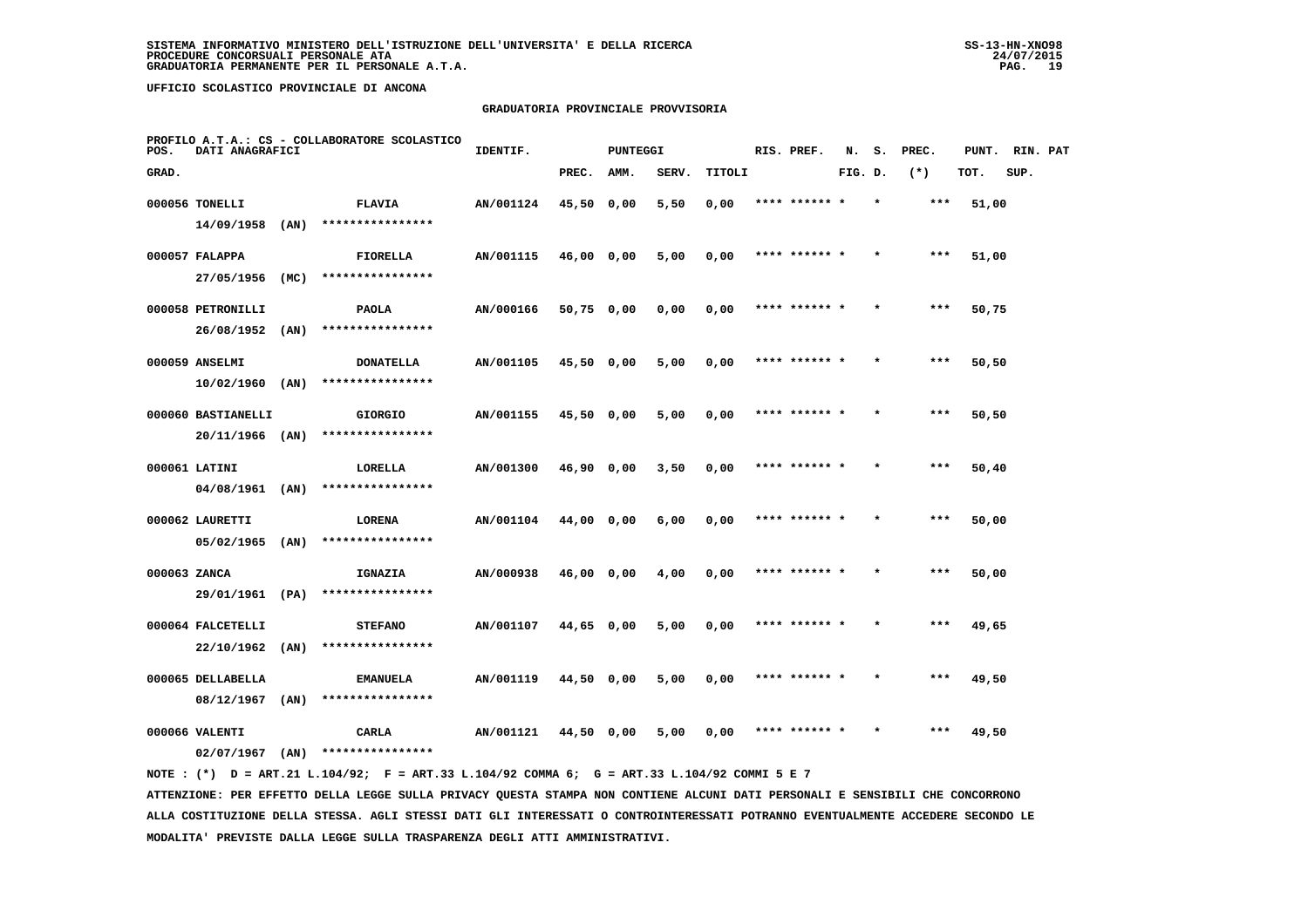## **GRADUATORIA PROVINCIALE PROVVISORIA**

| POS.         | DATI ANAGRAFICI    |      | PROFILO A.T.A.: CS - COLLABORATORE SCOLASTICO | IDENTIF.  |              | <b>PUNTEGGI</b> |       |        | RIS. PREF.    | N.      | s.      | PREC. | PUNT. | RIN. PAT |  |
|--------------|--------------------|------|-----------------------------------------------|-----------|--------------|-----------------|-------|--------|---------------|---------|---------|-------|-------|----------|--|
| GRAD.        |                    |      |                                               |           | PREC.        | AMM.            | SERV. | TITOLI |               | FIG. D. |         | $(*)$ | TOT.  | SUP.     |  |
|              | 000056 TONELLI     |      | <b>FLAVIA</b>                                 | AN/001124 | 45,50 0,00   |                 | 5,50  | 0,00   | **** ****** * |         |         | ***   | 51,00 |          |  |
|              | 14/09/1958         | (AN) | ****************                              |           |              |                 |       |        |               |         |         |       |       |          |  |
|              | 000057 FALAPPA     |      | FIORELLA                                      | AN/001115 | 46,00 0,00   |                 | 5,00  | 0,00   | **** ****** * |         |         | ***   | 51,00 |          |  |
|              | 27/05/1956         | (MC) | ****************                              |           |              |                 |       |        |               |         |         |       |       |          |  |
|              | 000058 PETRONILLI  |      | PAOLA                                         | AN/000166 | $50,75$ 0,00 |                 | 0,00  | 0,00   | **** ****** * |         |         | ***   | 50,75 |          |  |
|              | 26/08/1952 (AN)    |      | ****************                              |           |              |                 |       |        |               |         |         |       |       |          |  |
|              | 000059 ANSELMI     |      | <b>DONATELLA</b>                              | AN/001105 | 45,50 0,00   |                 | 5,00  | 0,00   | **** ****** * |         |         | ***   | 50,50 |          |  |
|              | $10/02/1960$ (AN)  |      | ****************                              |           |              |                 |       |        |               |         |         |       |       |          |  |
|              | 000060 BASTIANELLI |      | <b>GIORGIO</b>                                | AN/001155 | $45,50$ 0,00 |                 | 5,00  | 0,00   | **** ****** * |         |         | $***$ | 50,50 |          |  |
|              | $20/11/1966$ (AN)  |      | ****************                              |           |              |                 |       |        |               |         |         |       |       |          |  |
|              | 000061 LATINI      |      | LORELLA                                       | AN/001300 | 46,90 0,00   |                 | 3,50  | 0,00   | **** ****** * |         |         | $***$ | 50,40 |          |  |
|              | $04/08/1961$ (AN)  |      | ****************                              |           |              |                 |       |        |               |         |         |       |       |          |  |
|              | 000062 LAURETTI    |      | LORENA                                        | AN/001104 | 44,00 0,00   |                 | 6,00  | 0,00   | **** ****** * |         |         | ***   | 50,00 |          |  |
|              | $05/02/1965$ (AN)  |      | ****************                              |           |              |                 |       |        |               |         |         |       |       |          |  |
| 000063 ZANCA |                    |      | IGNAZIA                                       | AN/000938 | 46,00 0,00   |                 | 4,00  | 0,00   |               |         |         | ***   | 50,00 |          |  |
|              | 29/01/1961 (PA)    |      | ****************                              |           |              |                 |       |        |               |         |         |       |       |          |  |
|              | 000064 FALCETELLI  |      | <b>STEFANO</b>                                | AN/001107 | 44,65 0,00   |                 | 5,00  | 0,00   | **** ****** * |         |         | $***$ | 49,65 |          |  |
|              | 22/10/1962         | (AN) | ****************                              |           |              |                 |       |        |               |         |         |       |       |          |  |
|              | 000065 DELLABELLA  |      | <b>EMANUELA</b>                               | AN/001119 | 44,50 0,00   |                 | 5,00  | 0,00   | **** ****** * |         | $\star$ | ***   | 49,50 |          |  |
|              | 08/12/1967         | (AN) | ****************                              |           |              |                 |       |        |               |         |         |       |       |          |  |
|              | 000066 VALENTI     |      | CARLA                                         | AN/001121 | 44,50 0,00   |                 | 5,00  | 0,00   | **** ****** * |         |         | ***   | 49,50 |          |  |
|              | $02/07/1967$ (AN)  |      | ****************                              |           |              |                 |       |        |               |         |         |       |       |          |  |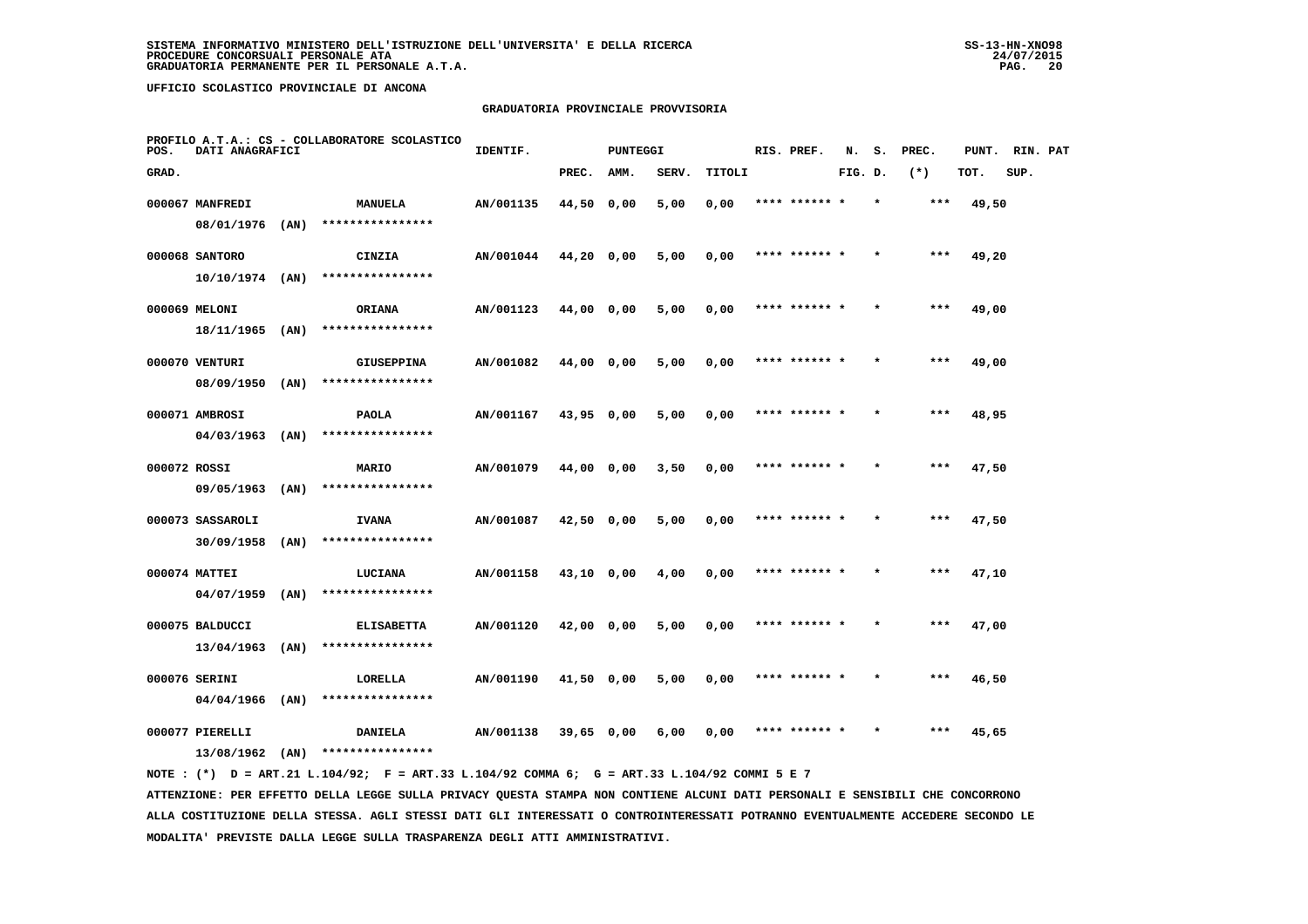## **GRADUATORIA PROVINCIALE PROVVISORIA**

| POS.         | DATI ANAGRAFICI   |      | PROFILO A.T.A.: CS - COLLABORATORE SCOLASTICO | IDENTIF.  |              | <b>PUNTEGGI</b> |       |        | RIS. PREF.    | N.      | s. | PREC. | PUNT. | RIN. PAT |  |
|--------------|-------------------|------|-----------------------------------------------|-----------|--------------|-----------------|-------|--------|---------------|---------|----|-------|-------|----------|--|
| GRAD.        |                   |      |                                               |           | PREC.        | AMM.            | SERV. | TITOLI |               | FIG. D. |    | $(*)$ | TOT.  | SUP.     |  |
|              | 000067 MANFREDI   |      | <b>MANUELA</b>                                | AN/001135 | 44,50 0,00   |                 | 5,00  | 0,00   | **** ****** * |         |    | ***   | 49,50 |          |  |
|              | 08/01/1976        | (AN) | ****************                              |           |              |                 |       |        |               |         |    |       |       |          |  |
|              | 000068 SANTORO    |      | CINZIA                                        | AN/001044 | $44,20$ 0,00 |                 | 5,00  | 0,00   | **** ****** * |         |    | $***$ | 49,20 |          |  |
|              | $10/10/1974$ (AN) |      | ****************                              |           |              |                 |       |        |               |         |    |       |       |          |  |
|              | 000069 MELONI     |      | <b>ORIANA</b>                                 | AN/001123 | 44,00 0,00   |                 | 5,00  | 0,00   | **** ****** * |         |    | $***$ | 49,00 |          |  |
|              | $18/11/1965$ (AN) |      | ****************                              |           |              |                 |       |        |               |         |    |       |       |          |  |
|              | 000070 VENTURI    |      | <b>GIUSEPPINA</b>                             | AN/001082 | 44,00 0,00   |                 | 5,00  | 0,00   | **** ****** * |         |    | $***$ | 49,00 |          |  |
|              | 08/09/1950        | (AN) | ****************                              |           |              |                 |       |        |               |         |    |       |       |          |  |
|              | 000071 AMBROSI    |      | <b>PAOLA</b>                                  | AN/001167 | 43,95 0,00   |                 | 5,00  | 0,00   | **** ****** * |         |    | $***$ | 48,95 |          |  |
|              | $04/03/1963$ (AN) |      | ****************                              |           |              |                 |       |        |               |         |    |       |       |          |  |
| 000072 ROSSI |                   |      | MARIO                                         | AN/001079 | 44,00 0,00   |                 | 3,50  | 0,00   | **** ****** * |         |    | ***   | 47,50 |          |  |
|              | 09/05/1963 (AN)   |      | ****************                              |           |              |                 |       |        |               |         |    |       |       |          |  |
|              | 000073 SASSAROLI  |      | <b>IVANA</b>                                  | AN/001087 | 42,50 0,00   |                 | 5,00  | 0,00   | **** ****** * |         |    | $***$ | 47,50 |          |  |
|              | 30/09/1958        | (AN) | ****************                              |           |              |                 |       |        |               |         |    |       |       |          |  |
|              | 000074 MATTEI     |      | LUCIANA                                       | AN/001158 | 43,10 0,00   |                 | 4,00  | 0,00   | **** ******   |         |    | ***   | 47,10 |          |  |
|              | 04/07/1959        | (AN) | ****************                              |           |              |                 |       |        |               |         |    |       |       |          |  |
|              | 000075 BALDUCCI   |      | <b>ELISABETTA</b>                             | AN/001120 | $42,00$ 0,00 |                 | 5,00  | 0,00   | **** ****** * |         |    | $***$ | 47,00 |          |  |
|              | 13/04/1963        | (AN) | ****************                              |           |              |                 |       |        |               |         |    |       |       |          |  |
|              | 000076 SERINI     |      | LORELLA                                       | AN/001190 | 41,50 0,00   |                 | 5,00  | 0,00   | **** ****** * |         |    | ***   | 46,50 |          |  |
|              | 04/04/1966        | (AN) | ****************                              |           |              |                 |       |        |               |         |    |       |       |          |  |
|              | 000077 PIERELLI   |      | <b>DANIELA</b>                                | AN/001138 | $39,65$ 0,00 |                 | 6,00  | 0,00   | **** ****** * |         |    | ***   | 45,65 |          |  |
|              | 13/08/1962        | (AN) | ****************                              |           |              |                 |       |        |               |         |    |       |       |          |  |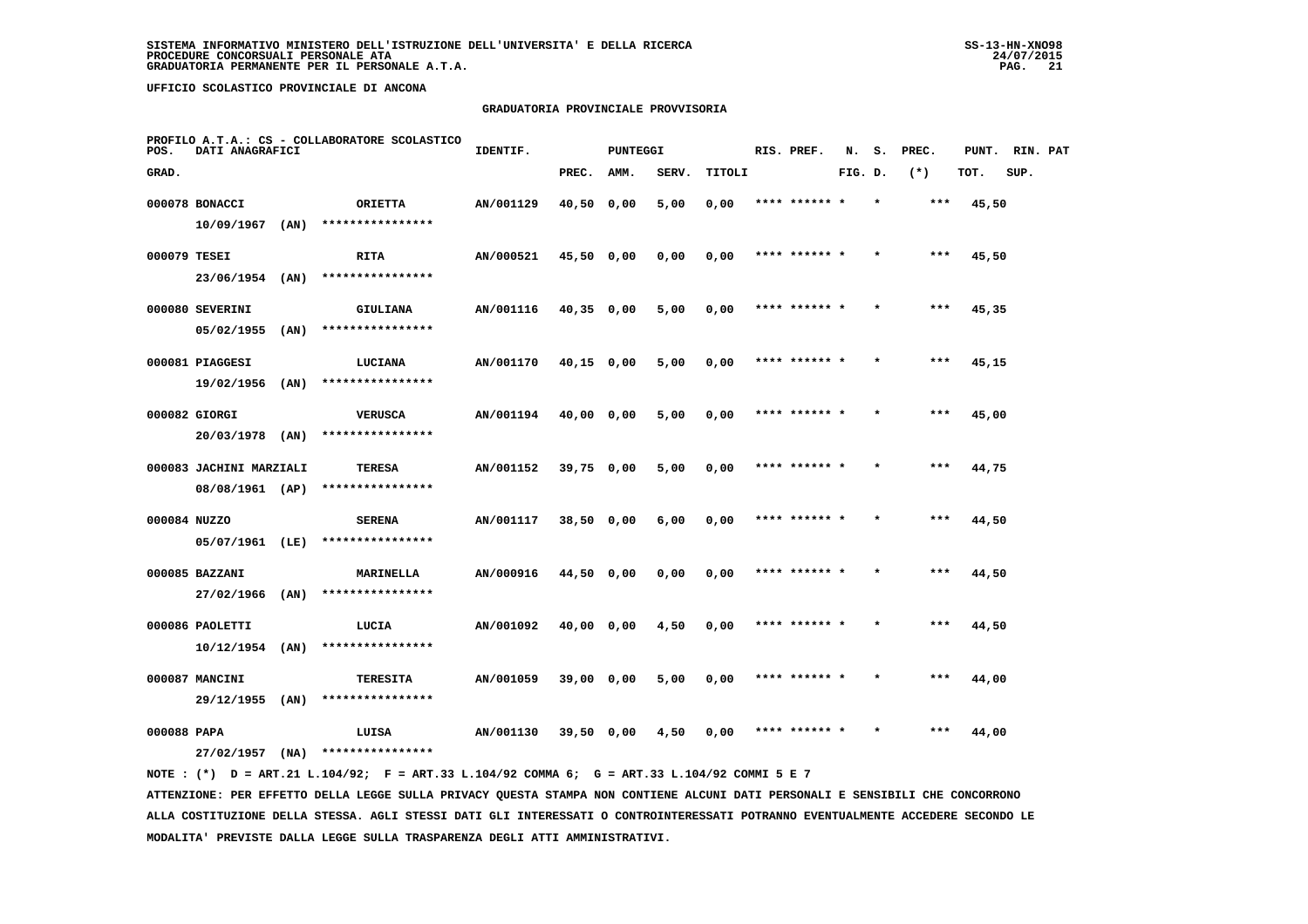## **GRADUATORIA PROVINCIALE PROVVISORIA**

| POS.         | DATI ANAGRAFICI         |      | PROFILO A.T.A.: CS - COLLABORATORE SCOLASTICO | IDENTIF.  |            | PUNTEGGI |       |        | RIS. PREF.    | N.      | s.      | PREC. | PUNT. | RIN. PAT |  |
|--------------|-------------------------|------|-----------------------------------------------|-----------|------------|----------|-------|--------|---------------|---------|---------|-------|-------|----------|--|
| GRAD.        |                         |      |                                               |           | PREC.      | AMM.     | SERV. | TITOLI |               | FIG. D. |         | $(*)$ | TOT.  | SUP.     |  |
|              | 000078 BONACCI          |      | <b>ORIETTA</b>                                | AN/001129 | 40,50 0,00 |          | 5,00  | 0,00   | **** ****** * |         |         | $***$ | 45,50 |          |  |
|              | $10/09/1967$ (AN)       |      | ****************                              |           |            |          |       |        |               |         |         |       |       |          |  |
| 000079 TESEI |                         |      | <b>RITA</b>                                   | AN/000521 | 45,50 0,00 |          | 0,00  | 0,00   | **** ****** * |         |         | $***$ | 45,50 |          |  |
|              | 23/06/1954 (AN)         |      | ****************                              |           |            |          |       |        |               |         |         |       |       |          |  |
|              | 000080 SEVERINI         |      | GIULIANA                                      | AN/001116 | 40,35 0,00 |          | 5,00  | 0,00   | **** ****** * |         | $\star$ | $***$ | 45,35 |          |  |
|              | 05/02/1955              | (AN) | ****************                              |           |            |          |       |        |               |         |         |       |       |          |  |
|              | 000081 PIAGGESI         |      | LUCIANA                                       | AN/001170 | 40,15 0,00 |          | 5,00  | 0,00   | **** ****** * |         |         | ***   | 45,15 |          |  |
|              | $19/02/1956$ (AN)       |      | ****************                              |           |            |          |       |        |               |         |         |       |       |          |  |
|              | 000082 GIORGI           |      | <b>VERUSCA</b>                                | AN/001194 | 40,00 0,00 |          | 5,00  | 0,00   | **** ****** * |         | $\star$ | $***$ | 45,00 |          |  |
|              | 20/03/1978 (AN)         |      | ****************                              |           |            |          |       |        |               |         |         |       |       |          |  |
|              | 000083 JACHINI MARZIALI |      | <b>TERESA</b>                                 | AN/001152 | 39,75 0,00 |          | 5,00  | 0,00   | **** ****** * |         | $\star$ | $***$ | 44,75 |          |  |
|              | 08/08/1961 (AP)         |      | ****************                              |           |            |          |       |        |               |         |         |       |       |          |  |
| 000084 NUZZO |                         |      | <b>SERENA</b>                                 | AN/001117 | 38,50 0,00 |          | 6,00  | 0,00   |               |         |         | ***   | 44,50 |          |  |
|              | 05/07/1961 (LE)         |      | ****************                              |           |            |          |       |        |               |         |         |       |       |          |  |
|              | 000085 BAZZANI          |      | MARINELLA                                     | AN/000916 | 44,50 0,00 |          | 0,00  | 0,00   | **** ****** * |         |         | $***$ | 44,50 |          |  |
|              | 27/02/1966              | (AN) | ****************                              |           |            |          |       |        |               |         |         |       |       |          |  |
|              | 000086 PAOLETTI         |      | LUCIA                                         | AN/001092 | 40,00 0,00 |          | 4,50  | 0,00   | **** ****** * |         |         | $***$ | 44,50 |          |  |
|              | 10/12/1954              | (AN) | ****************                              |           |            |          |       |        |               |         |         |       |       |          |  |
|              | 000087 MANCINI          |      | TERESITA                                      | AN/001059 | 39,00 0,00 |          | 5,00  | 0,00   | **** ****** * |         |         | ***   | 44,00 |          |  |
|              | 29/12/1955 (AN)         |      | ****************                              |           |            |          |       |        |               |         |         |       |       |          |  |
| 000088 PAPA  |                         |      | LUISA<br>****************                     | AN/001130 | 39,50 0,00 |          | 4,50  | 0,00   |               |         |         | ***   | 44,00 |          |  |
|              | 27/02/1957              | (NA) |                                               |           |            |          |       |        |               |         |         |       |       |          |  |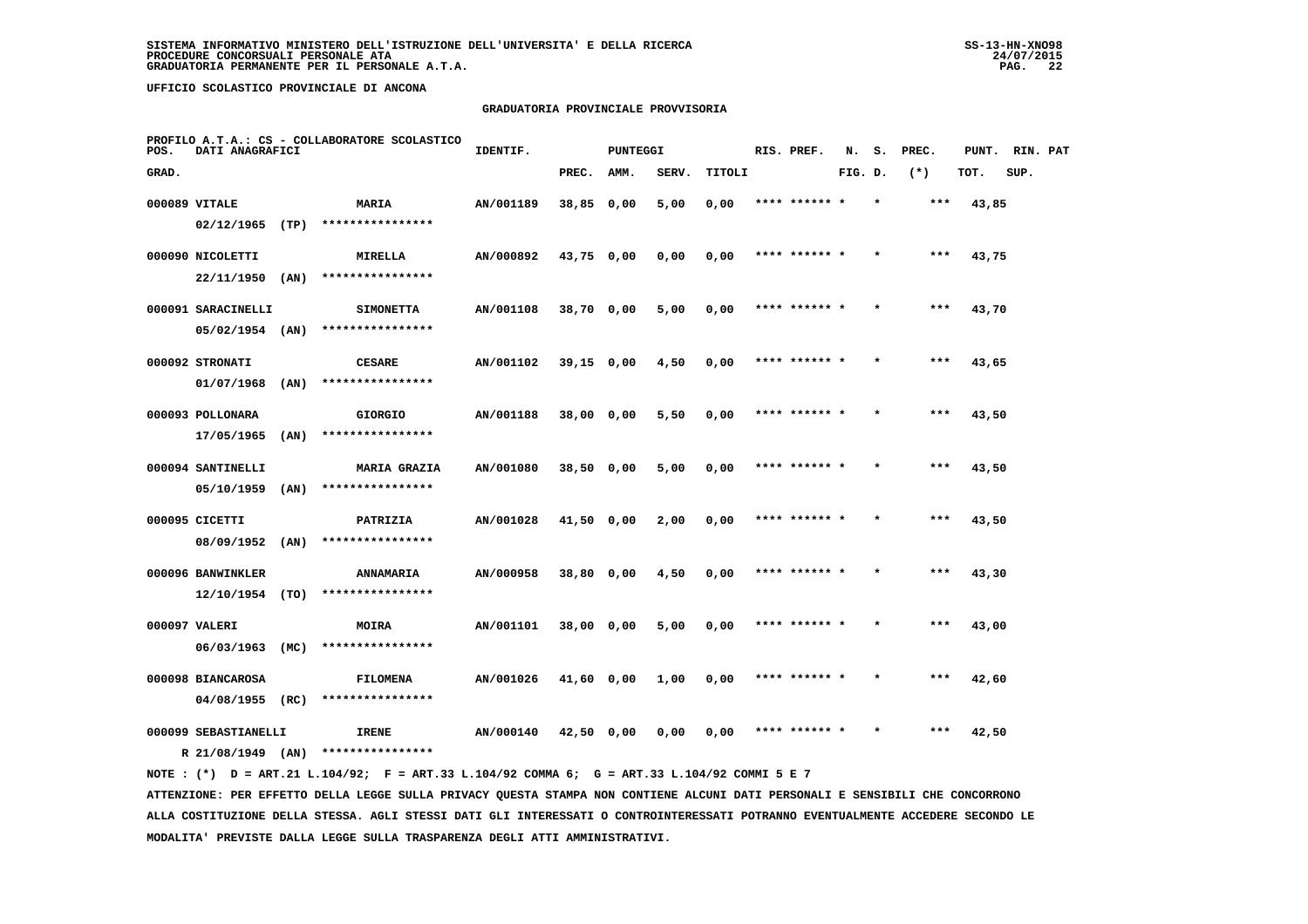## **GRADUATORIA PROVINCIALE PROVVISORIA**

| POS.  | DATI ANAGRAFICI                           |      | PROFILO A.T.A.: CS - COLLABORATORE SCOLASTICO | IDENTIF.  |              | <b>PUNTEGGI</b> |       |        | RIS. PREF.    | N.      | s. | PREC. | PUNT. | RIN. PAT |  |
|-------|-------------------------------------------|------|-----------------------------------------------|-----------|--------------|-----------------|-------|--------|---------------|---------|----|-------|-------|----------|--|
| GRAD. |                                           |      |                                               |           | PREC.        | AMM.            | SERV. | TITOLI |               | FIG. D. |    | $(*)$ | TOT.  | SUP.     |  |
|       | 000089 VITALE                             |      | MARIA                                         | AN/001189 | 38,85 0,00   |                 | 5,00  | 0,00   | **** ****** * |         |    | ***   | 43,85 |          |  |
|       | $02/12/1965$ (TP)                         |      | ****************                              |           |              |                 |       |        |               |         |    |       |       |          |  |
|       | 000090 NICOLETTI                          |      | MIRELLA                                       | AN/000892 | 43,75 0,00   |                 | 0,00  | 0,00   | **** ****** * |         |    | $***$ | 43,75 |          |  |
|       | 22/11/1950                                | (AN) | ****************                              |           |              |                 |       |        |               |         |    |       |       |          |  |
|       | 000091 SARACINELLI                        |      | <b>SIMONETTA</b>                              | AN/001108 | 38,70 0,00   |                 | 5,00  | 0,00   | **** ****** * |         |    | $***$ | 43,70 |          |  |
|       | $05/02/1954$ (AN)                         |      | ****************                              |           |              |                 |       |        |               |         |    |       |       |          |  |
|       | 000092 STRONATI                           |      | <b>CESARE</b>                                 | AN/001102 | $39,15$ 0,00 |                 | 4,50  | 0,00   | **** ****** * |         |    | ***   | 43,65 |          |  |
|       | 01/07/1968                                | (AN) | ****************                              |           |              |                 |       |        |               |         |    |       |       |          |  |
|       | 000093 POLLONARA                          |      | <b>GIORGIO</b>                                | AN/001188 | 38,00 0,00   |                 | 5,50  | 0,00   | **** ****** * |         |    | $***$ | 43,50 |          |  |
|       | 17/05/1965                                | (AN) | ****************                              |           |              |                 |       |        |               |         |    |       |       |          |  |
|       | 000094 SANTINELLI                         |      | <b>MARIA GRAZIA</b>                           | AN/001080 | 38,50 0,00   |                 | 5,00  | 0,00   | **** ****** * |         |    | $***$ | 43,50 |          |  |
|       | $05/10/1959$ (AN)                         |      | ****************                              |           |              |                 |       |        |               |         |    |       |       |          |  |
|       | 000095 CICETTI                            |      | PATRIZIA                                      | AN/001028 | $41,50$ 0,00 |                 | 2,00  | 0,00   | **** ****** * |         |    | $***$ | 43,50 |          |  |
|       | 08/09/1952 (AN)                           |      | ****************                              |           |              |                 |       |        |               |         |    |       |       |          |  |
|       | 000096 BANWINKLER                         |      | ANNAMARIA<br>****************                 | AN/000958 | 38,80 0,00   |                 | 4,50  | 0,00   | **** ******   |         |    | ***   | 43,30 |          |  |
|       | 12/10/1954 (TO)                           |      |                                               |           |              |                 |       |        |               |         |    |       |       |          |  |
|       | 000097 VALERI<br>06/03/1963               | (MC) | <b>MOIRA</b><br>****************              | AN/001101 | 38,00 0,00   |                 | 5,00  | 0,00   | **** ****** * |         |    | $***$ | 43,00 |          |  |
|       |                                           |      |                                               |           |              |                 |       |        |               |         |    |       |       |          |  |
|       | 000098 BIANCAROSA<br>$04/08/1955$ (RC)    |      | <b>FILOMENA</b><br>****************           | AN/001026 | 41,60 0,00   |                 | 1,00  | 0,00   | **** ****** * |         |    | ***   | 42,60 |          |  |
|       |                                           |      |                                               |           |              |                 |       |        |               |         |    |       |       |          |  |
|       | 000099 SEBASTIANELLI<br>R 21/08/1949 (AN) |      | <b>IRENE</b><br>****************              | AN/000140 | 42,50 0,00   |                 | 0,00  | 0,00   |               |         |    | ***   | 42,50 |          |  |
|       |                                           |      |                                               |           |              |                 |       |        |               |         |    |       |       |          |  |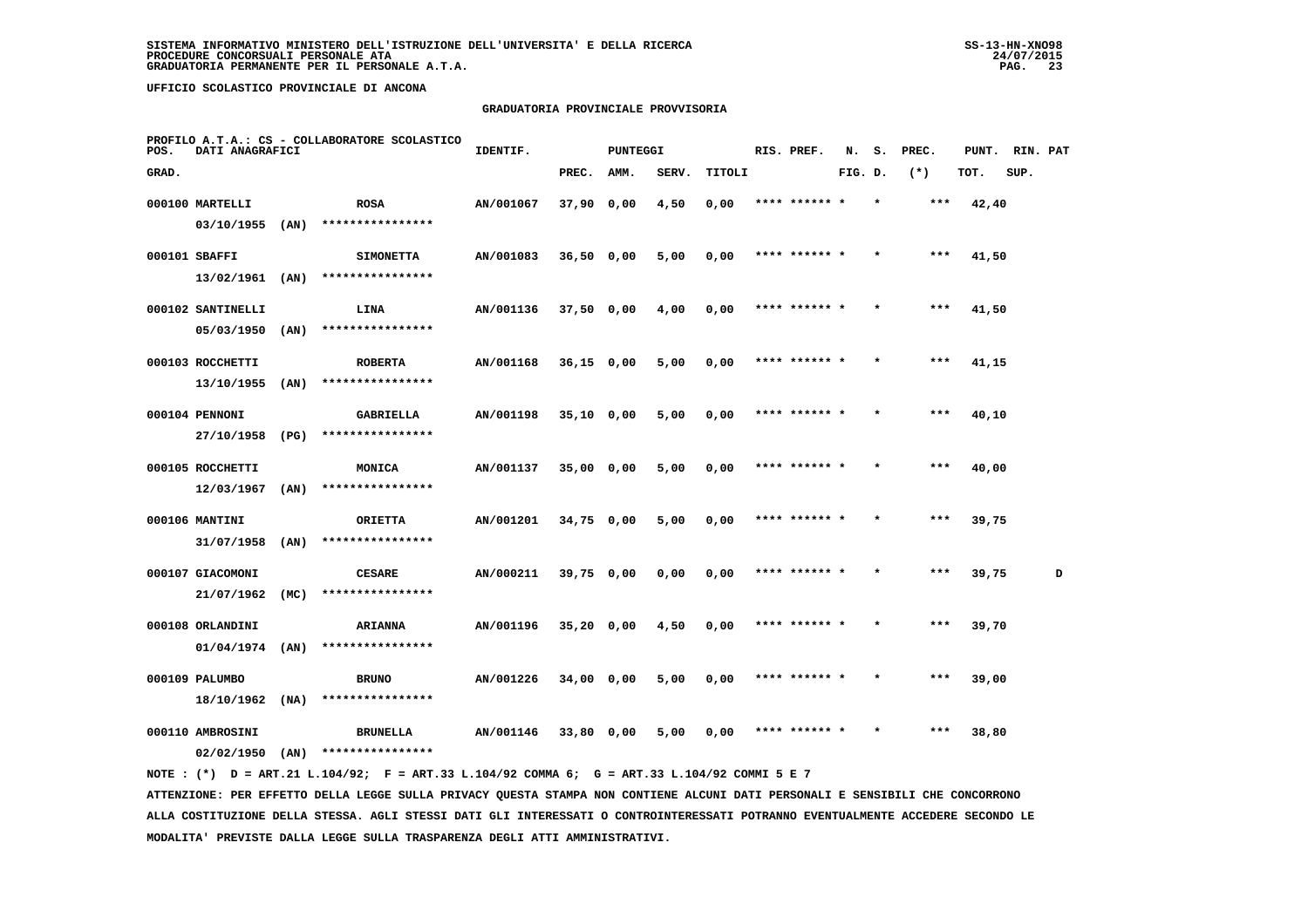## **GRADUATORIA PROVINCIALE PROVVISORIA**

| POS.  | DATI ANAGRAFICI                |      | PROFILO A.T.A.: CS - COLLABORATORE SCOLASTICO | IDENTIF.  |              | <b>PUNTEGGI</b> |       |        | RIS. PREF.    | N.      | s.      | PREC. | PUNT. | RIN. PAT |   |
|-------|--------------------------------|------|-----------------------------------------------|-----------|--------------|-----------------|-------|--------|---------------|---------|---------|-------|-------|----------|---|
| GRAD. |                                |      |                                               |           | PREC.        | AMM.            | SERV. | TITOLI |               | FIG. D. |         | $(*)$ | TOT.  | SUP.     |   |
|       | 000100 MARTELLI                |      | <b>ROSA</b>                                   | AN/001067 | $37,90$ 0,00 |                 | 4,50  | 0,00   | **** ****** * |         |         | ***   | 42,40 |          |   |
|       | 03/10/1955                     | (AN) | ****************                              |           |              |                 |       |        |               |         |         |       |       |          |   |
|       | 000101 SBAFFI                  |      | <b>SIMONETTA</b>                              | AN/001083 | $36,50$ 0,00 |                 | 5,00  | 0,00   | **** ****** * |         |         | ***   | 41,50 |          |   |
|       | 13/02/1961                     | (AN) | ****************                              |           |              |                 |       |        |               |         |         |       |       |          |   |
|       | 000102 SANTINELLI              |      | LINA                                          | AN/001136 | 37,50 0,00   |                 | 4,00  | 0,00   | **** ****** * |         |         | ***   | 41,50 |          |   |
|       | 05/03/1950                     | (AN) | ****************                              |           |              |                 |       |        |               |         |         |       |       |          |   |
|       | 000103 ROCCHETTI               |      | <b>ROBERTA</b>                                | AN/001168 | $36,15$ 0,00 |                 | 5,00  | 0,00   | **** ****** * |         | $\star$ | ***   | 41,15 |          |   |
|       | 13/10/1955                     | (AN) | ****************                              |           |              |                 |       |        |               |         |         |       |       |          |   |
|       | 000104 PENNONI                 |      | <b>GABRIELLA</b>                              | AN/001198 | $35,10$ 0,00 |                 | 5,00  | 0,00   | **** ****** * |         |         | ***   | 40,10 |          |   |
|       | 27/10/1958                     | (PG) | ****************                              |           |              |                 |       |        |               |         |         |       |       |          |   |
|       | 000105 ROCCHETTI               |      | MONICA                                        | AN/001137 | $35,00$ 0,00 |                 | 5,00  | 0,00   | **** ****** * |         |         | $***$ | 40,00 |          |   |
|       | 12/03/1967                     | (AN) | ****************                              |           |              |                 |       |        |               |         |         |       |       |          |   |
|       | 000106 MANTINI                 |      | <b>ORIETTA</b><br>****************            | AN/001201 | 34,75 0,00   |                 | 5,00  | 0,00   | **** ****** * |         | $\star$ | ***   | 39,75 |          |   |
|       | 31/07/1958                     | (AN) |                                               |           |              |                 |       |        |               |         |         |       |       |          |   |
|       | 000107 GIACOMONI<br>21/07/1962 | (MC) | <b>CESARE</b><br>****************             | AN/000211 | 39,75 0,00   |                 | 0,00  | 0,00   | **** ******   |         |         | ***   | 39,75 |          | D |
|       |                                |      |                                               |           |              |                 |       |        |               |         |         |       |       |          |   |
|       | 000108 ORLANDINI<br>01/04/1974 | (AN) | <b>ARIANNA</b><br>****************            | AN/001196 | $35,20$ 0,00 |                 | 4,50  | 0,00   | **** ****** * |         |         | ***   | 39,70 |          |   |
|       |                                |      |                                               |           |              |                 |       |        |               |         |         |       |       |          |   |
|       | 000109 PALUMBO<br>18/10/1962   | (NA) | <b>BRUNO</b><br>****************              | AN/001226 | 34,00 0,00   |                 | 5,00  | 0,00   | **** ****** * |         |         | ***   | 39,00 |          |   |
|       |                                |      |                                               |           |              |                 |       |        | **** ****** * |         |         | $***$ |       |          |   |
|       | 000110 AMBROSINI<br>02/02/1950 | (AN) | <b>BRUNELLA</b><br>****************           | AN/001146 | 33,80 0,00   |                 | 5,00  | 0,00   |               |         |         |       | 38,80 |          |   |
|       |                                |      |                                               |           |              |                 |       |        |               |         |         |       |       |          |   |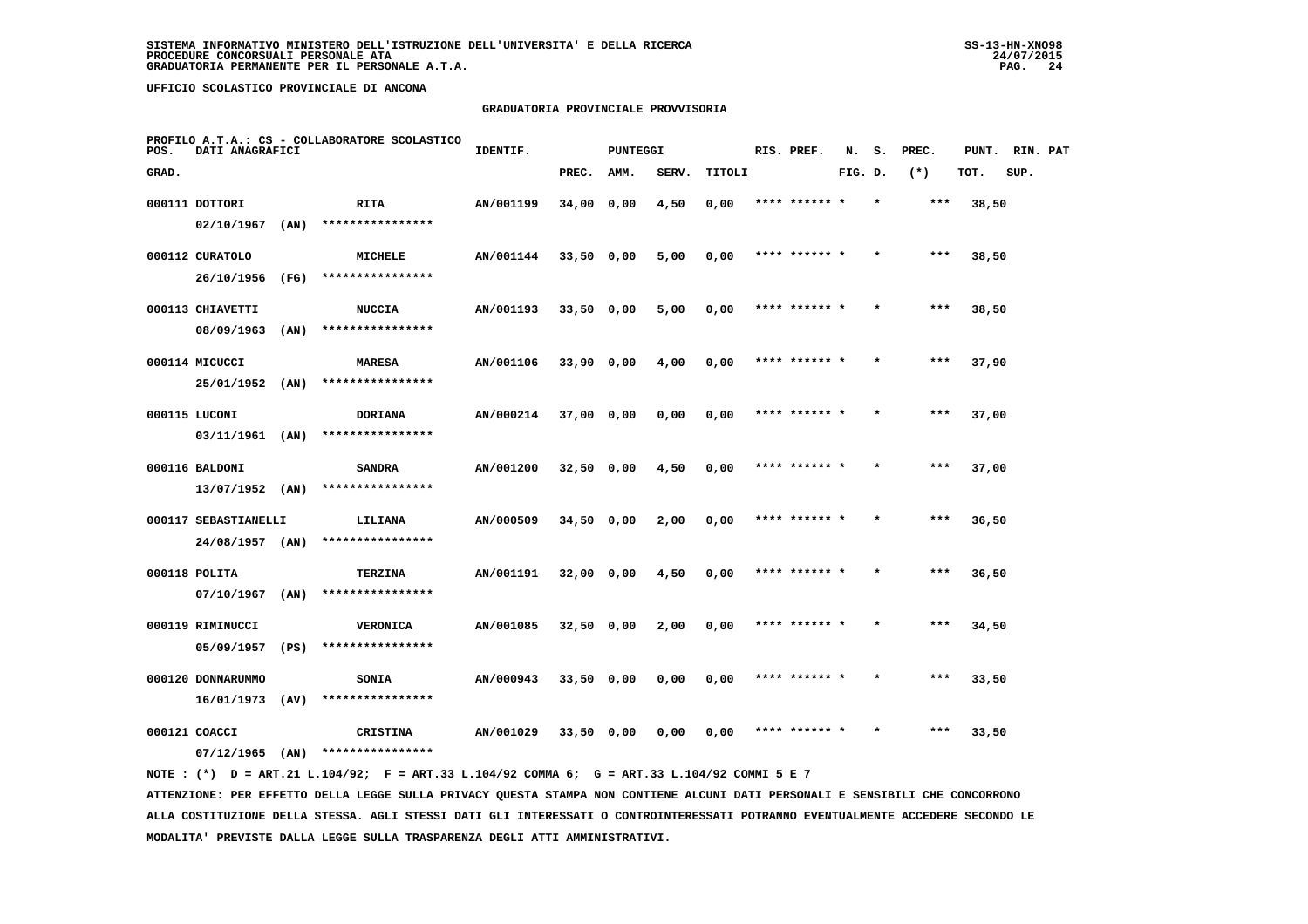## **GRADUATORIA PROVINCIALE PROVVISORIA**

| POS.  | DATI ANAGRAFICI                         |      | PROFILO A.T.A.: CS - COLLABORATORE SCOLASTICO | IDENTIF.  |              | <b>PUNTEGGI</b> |       |        | RIS. PREF.    | N.      | s.      | PREC. | PUNT. | RIN. PAT |  |
|-------|-----------------------------------------|------|-----------------------------------------------|-----------|--------------|-----------------|-------|--------|---------------|---------|---------|-------|-------|----------|--|
| GRAD. |                                         |      |                                               |           | PREC.        | AMM.            | SERV. | TITOLI |               | FIG. D. |         | $(*)$ | TOT.  | SUP.     |  |
|       | 000111 DOTTORI                          |      | RITA                                          | AN/001199 | 34,00 0,00   |                 | 4,50  | 0,00   | **** ****** * |         | $\star$ | $***$ | 38,50 |          |  |
|       | 02/10/1967                              | (AN) | ****************                              |           |              |                 |       |        |               |         |         |       |       |          |  |
|       | 000112 CURATOLO                         |      | MICHELE                                       | AN/001144 | $33,50$ 0,00 |                 | 5,00  | 0,00   | **** ****** * |         |         | ***   | 38,50 |          |  |
|       | 26/10/1956                              | (FG) | ****************                              |           |              |                 |       |        |               |         |         |       |       |          |  |
|       | 000113 CHIAVETTI                        |      | <b>NUCCIA</b>                                 | AN/001193 | $33,50$ 0,00 |                 | 5,00  | 0,00   | **** ****** * |         |         | ***   | 38,50 |          |  |
|       | 08/09/1963                              | (AN) | ****************                              |           |              |                 |       |        |               |         |         |       |       |          |  |
|       | 000114 MICUCCI                          |      | <b>MARESA</b>                                 | AN/001106 | $33,90$ 0,00 |                 | 4,00  | 0,00   | **** ****** * |         |         | ***   | 37,90 |          |  |
|       | 25/01/1952                              | (AN) | ****************                              |           |              |                 |       |        |               |         |         |       |       |          |  |
|       | 000115 LUCONI                           |      | <b>DORIANA</b>                                | AN/000214 | $37,00$ 0,00 |                 | 0,00  | 0,00   | **** ****** * |         |         | ***   | 37,00 |          |  |
|       | $03/11/1961$ (AN)                       |      | ****************                              |           |              |                 |       |        |               |         |         |       |       |          |  |
|       | 000116 BALDONI                          |      | <b>SANDRA</b><br>****************             | AN/001200 | $32,50$ 0,00 |                 | 4,50  | 0,00   | **** ****** * |         |         | $***$ | 37,00 |          |  |
|       | $13/07/1952$ (AN)                       |      |                                               |           |              |                 |       |        |               |         |         |       |       |          |  |
|       | 000117 SEBASTIANELLI<br>24/08/1957 (AN) |      | LILIANA<br>****************                   | AN/000509 | $34,50$ 0,00 |                 | 2,00  | 0,00   | **** ****** * |         |         | ***   | 36,50 |          |  |
|       |                                         |      |                                               |           |              |                 |       |        |               |         |         |       |       |          |  |
|       | 000118 POLITA<br>$07/10/1967$ (AN)      |      | TERZINA<br>****************                   | AN/001191 | 32,00 0,00   |                 | 4,50  | 0,00   | **** ****** * |         |         | ***   | 36,50 |          |  |
|       |                                         |      |                                               |           |              |                 |       |        | **** ****** * |         |         | ***   |       |          |  |
|       | 000119 RIMINUCCI<br>05/09/1957          | (PS) | <b>VERONICA</b><br>****************           | AN/001085 | $32,50$ 0,00 |                 | 2,00  | 0,00   |               |         |         |       | 34,50 |          |  |
|       | 000120 DONNARUMMO                       |      | <b>SONIA</b>                                  | AN/000943 | $33,50$ 0,00 |                 | 0,00  | 0,00   | **** ****** * |         |         | $***$ | 33,50 |          |  |
|       | 16/01/1973                              | (AV) | ****************                              |           |              |                 |       |        |               |         |         |       |       |          |  |
|       | 000121 COACCI                           |      | <b>CRISTINA</b>                               | AN/001029 | $33,50$ 0,00 |                 | 0,00  | 0,00   | **** ****** * |         |         | ***   | 33,50 |          |  |
|       | 07/12/1965                              | (AN) | ****************                              |           |              |                 |       |        |               |         |         |       |       |          |  |
|       |                                         |      |                                               |           |              |                 |       |        |               |         |         |       |       |          |  |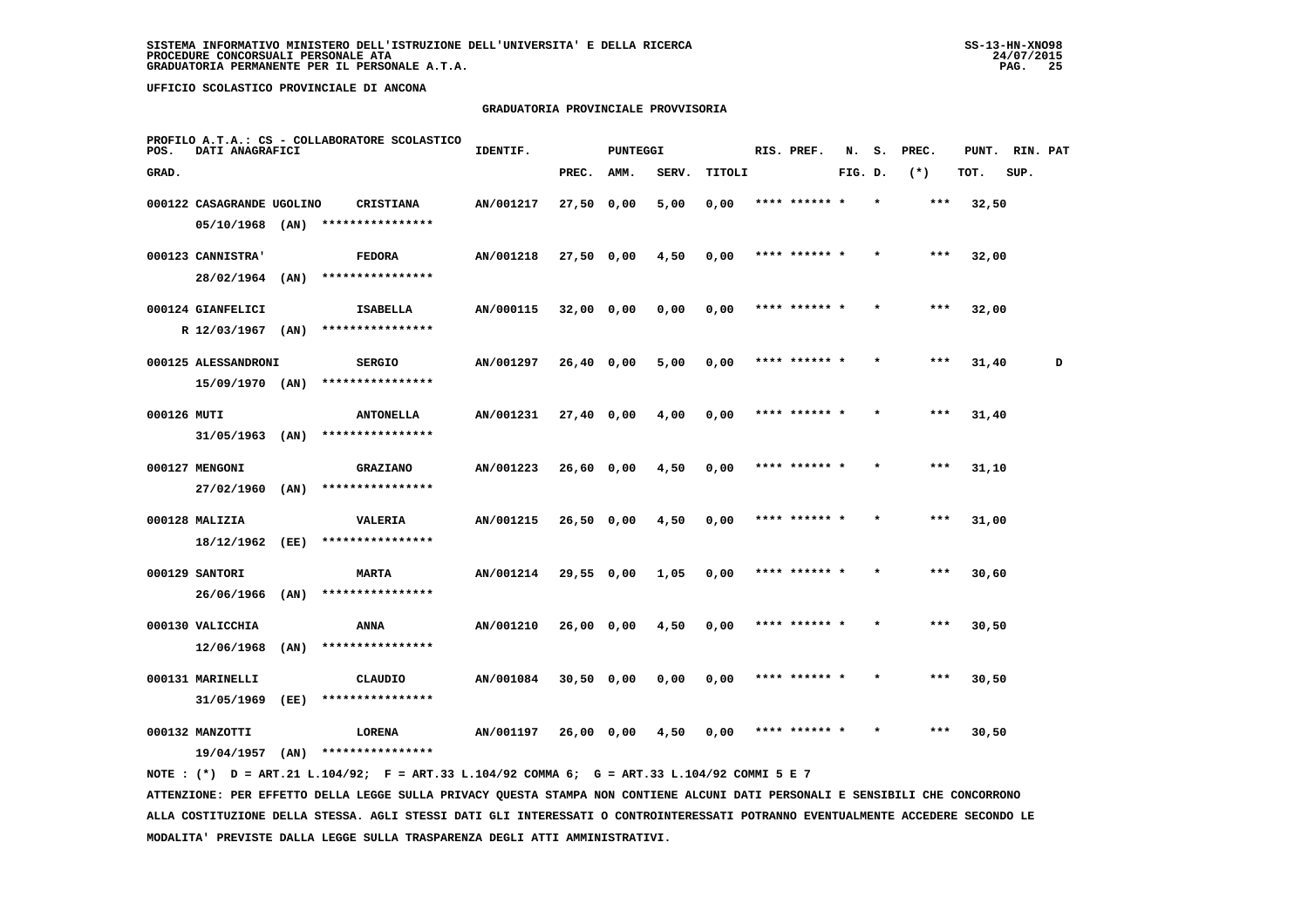## **GRADUATORIA PROVINCIALE PROVVISORIA**

| POS.        | DATI ANAGRAFICI           |      | PROFILO A.T.A.: CS - COLLABORATORE SCOLASTICO | IDENTIF.  |              | <b>PUNTEGGI</b> |       |        | RIS. PREF.    | N.      | s.      | PREC. | PUNT. | RIN. PAT |   |
|-------------|---------------------------|------|-----------------------------------------------|-----------|--------------|-----------------|-------|--------|---------------|---------|---------|-------|-------|----------|---|
| GRAD.       |                           |      |                                               |           | PREC.        | AMM.            | SERV. | TITOLI |               | FIG. D. |         | $(*)$ | TOT.  | SUP.     |   |
|             | 000122 CASAGRANDE UGOLINO |      | <b>CRISTIANA</b>                              | AN/001217 | $27,50$ 0,00 |                 | 5,00  | 0,00   | **** ****** * |         | $\star$ | $***$ | 32,50 |          |   |
|             | 05/10/1968                | (AN) | ****************                              |           |              |                 |       |        |               |         |         |       |       |          |   |
|             | 000123 CANNISTRA'         |      | <b>FEDORA</b>                                 | AN/001218 | 27,50 0,00   |                 | 4,50  | 0,00   | **** ****** * |         |         | ***   | 32,00 |          |   |
|             | 28/02/1964                | (AN) | ****************                              |           |              |                 |       |        |               |         |         |       |       |          |   |
|             | 000124 GIANFELICI         |      | ISABELLA                                      | AN/000115 | 32,00 0,00   |                 | 0,00  | 0,00   | **** ****** * |         |         | $***$ | 32,00 |          |   |
|             | R 12/03/1967              | (AN) | ****************                              |           |              |                 |       |        |               |         |         |       |       |          |   |
|             | 000125 ALESSANDRONI       |      | <b>SERGIO</b>                                 | AN/001297 | 26,40 0,00   |                 | 5,00  | 0,00   | **** ****** * |         | $\star$ | $***$ | 31,40 |          | D |
|             | 15/09/1970 (AN)           |      | ****************                              |           |              |                 |       |        |               |         |         |       |       |          |   |
| 000126 MUTI |                           |      | <b>ANTONELLA</b>                              | AN/001231 | $27,40$ 0,00 |                 | 4,00  | 0,00   | **** ****** * |         |         | $***$ | 31,40 |          |   |
|             | $31/05/1963$ (AN)         |      | ****************                              |           |              |                 |       |        |               |         |         |       |       |          |   |
|             | 000127 MENGONI            |      | GRAZIANO                                      | AN/001223 | 26,60 0,00   |                 | 4,50  | 0,00   |               |         |         | ***   | 31,10 |          |   |
|             | 27/02/1960                | (AN) | ****************                              |           |              |                 |       |        |               |         |         |       |       |          |   |
|             | 000128 MALIZIA            |      | <b>VALERIA</b>                                | AN/001215 | $26,50$ 0,00 |                 | 4,50  | 0,00   | **** ******   |         |         | $***$ | 31,00 |          |   |
|             | 18/12/1962 (EE)           |      | ****************                              |           |              |                 |       |        |               |         |         |       |       |          |   |
|             | 000129 SANTORI            |      | <b>MARTA</b>                                  | AN/001214 | 29,55 0,00   |                 | 1,05  | 0,00   | **** ****** * |         |         | $***$ | 30,60 |          |   |
|             | 26/06/1966                | (AN) | ****************                              |           |              |                 |       |        |               |         |         |       |       |          |   |
|             | 000130 VALICCHIA          |      | ANNA                                          | AN/001210 | 26,00 0,00   |                 | 4,50  | 0,00   | **** ****** * |         |         | $***$ | 30,50 |          |   |
|             | 12/06/1968                | (AN) | ****************                              |           |              |                 |       |        |               |         |         |       |       |          |   |
|             | 000131 MARINELLI          |      | CLAUDIO<br>****************                   | AN/001084 | $30,50$ 0,00 |                 | 0,00  | 0,00   | **** ****** * |         |         | ***   | 30,50 |          |   |
|             | 31/05/1969                | (EE) |                                               |           |              |                 |       |        |               |         |         |       |       |          |   |
|             | 000132 MANZOTTI           |      | LORENA                                        | AN/001197 | 26,00 0,00   |                 | 4,50  | 0.00   |               |         |         | ***   | 30,50 |          |   |
|             | 19/04/1957                | (AN) | ****************                              |           |              |                 |       |        |               |         |         |       |       |          |   |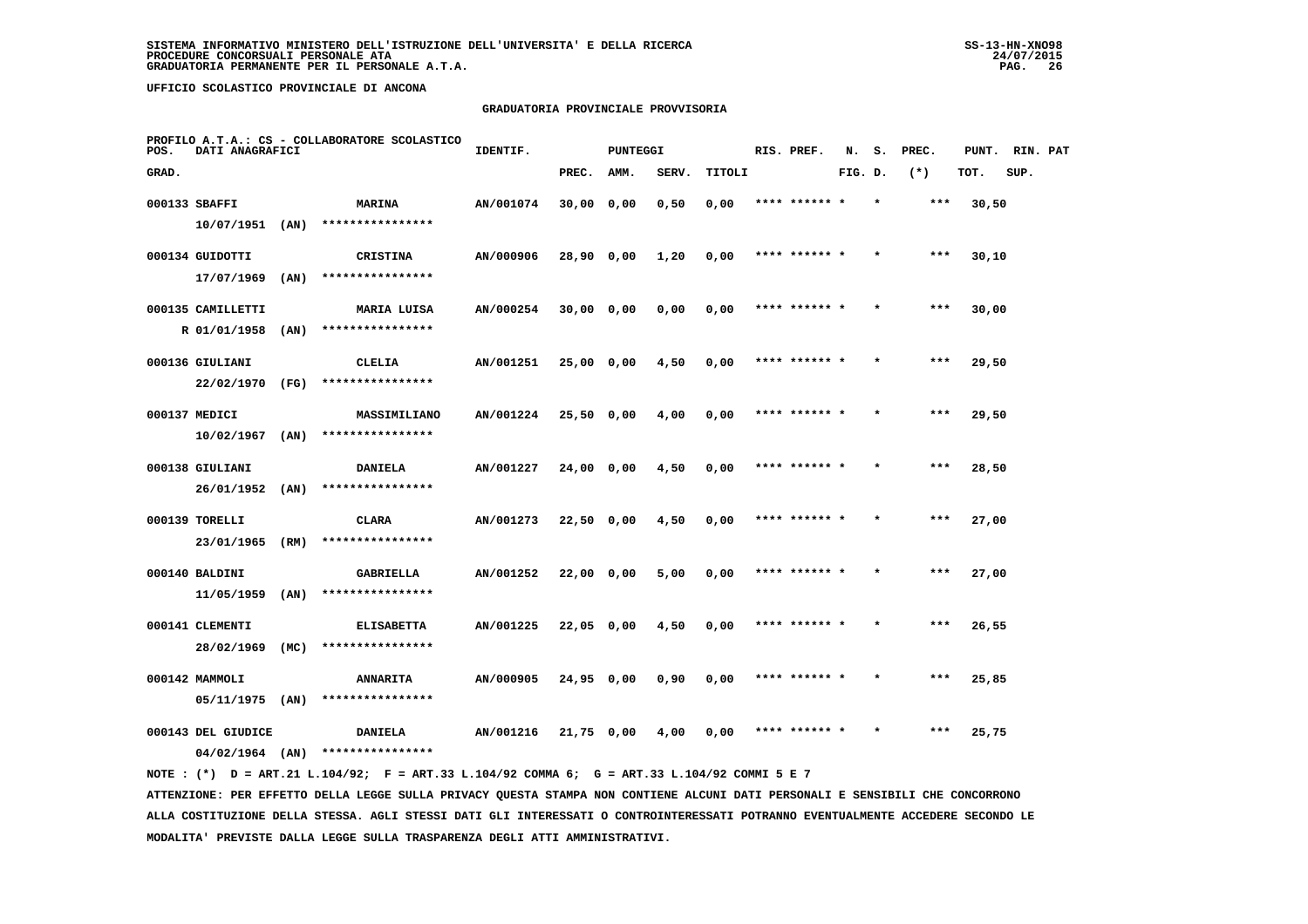## **GRADUATORIA PROVINCIALE PROVVISORIA**

| POS.  | DATI ANAGRAFICI    |      | PROFILO A.T.A.: CS - COLLABORATORE SCOLASTICO | IDENTIF.  |              | <b>PUNTEGGI</b> |       |        | RIS. PREF.    | N.      | s.      | PREC. | PUNT. | RIN. PAT |  |
|-------|--------------------|------|-----------------------------------------------|-----------|--------------|-----------------|-------|--------|---------------|---------|---------|-------|-------|----------|--|
| GRAD. |                    |      |                                               |           | PREC.        | AMM.            | SERV. | TITOLI |               | FIG. D. |         | $(*)$ | TOT.  | SUP.     |  |
|       | 000133 SBAFFI      |      | <b>MARINA</b>                                 | AN/001074 | 30,00 0,00   |                 | 0,50  | 0,00   | **** ****** * |         |         | ***   | 30,50 |          |  |
|       | $10/07/1951$ (AN)  |      | ****************                              |           |              |                 |       |        |               |         |         |       |       |          |  |
|       | 000134 GUIDOTTI    |      | <b>CRISTINA</b>                               | AN/000906 | 28,90 0,00   |                 | 1,20  | 0,00   | **** ****** * |         |         | $***$ | 30,10 |          |  |
|       | 17/07/1969         | (AN) | ****************                              |           |              |                 |       |        |               |         |         |       |       |          |  |
|       | 000135 CAMILLETTI  |      | MARIA LUISA                                   | AN/000254 | $30,00$ 0,00 |                 | 0,00  | 0,00   | **** ****** * |         |         | $***$ | 30,00 |          |  |
|       | R 01/01/1958       | (AN) | ****************                              |           |              |                 |       |        |               |         |         |       |       |          |  |
|       | 000136 GIULIANI    |      | CLELIA                                        | AN/001251 | 25,00 0,00   |                 | 4,50  | 0,00   | **** ****** * |         |         | ***   | 29,50 |          |  |
|       | 22/02/1970         | (FG) | ****************                              |           |              |                 |       |        |               |         |         |       |       |          |  |
|       | 000137 MEDICI      |      | MASSIMILIANO                                  | AN/001224 | $25,50$ 0,00 |                 | 4,00  | 0,00   | **** ****** * |         |         | $***$ | 29,50 |          |  |
|       | 10/02/1967         | (AN) | ****************                              |           |              |                 |       |        |               |         |         |       |       |          |  |
|       | 000138 GIULIANI    |      | DANIELA                                       | AN/001227 | 24,00 0,00   |                 | 4,50  | 0,00   | **** ****** * |         |         | $***$ | 28,50 |          |  |
|       | $26/01/1952$ (AN)  |      | ****************                              |           |              |                 |       |        |               |         |         |       |       |          |  |
|       | 000139 TORELLI     |      | CLARA                                         | AN/001273 | 22,50 0,00   |                 | 4,50  | 0,00   | **** ****** * |         |         | ***   | 27,00 |          |  |
|       | 23/01/1965         | (RM) | ****************                              |           |              |                 |       |        |               |         |         |       |       |          |  |
|       | 000140 BALDINI     |      | <b>GABRIELLA</b>                              | AN/001252 | $22,00$ 0,00 |                 | 5,00  | 0,00   |               |         |         | ***   | 27,00 |          |  |
|       | 11/05/1959         | (AN) | ****************                              |           |              |                 |       |        |               |         |         |       |       |          |  |
|       | 000141 CLEMENTI    |      | <b>ELISABETTA</b>                             | AN/001225 | 22,05 0,00   |                 | 4,50  | 0,00   | **** ****** * |         |         | $***$ | 26,55 |          |  |
|       | 28/02/1969         | (MC) | ****************                              |           |              |                 |       |        |               |         |         |       |       |          |  |
|       | 000142 MAMMOLI     |      | <b>ANNARITA</b>                               | AN/000905 | 24,95 0,00   |                 | 0,90  | 0,00   | **** ****** * |         | $\star$ | ***   | 25,85 |          |  |
|       | $05/11/1975$ (AN)  |      | ****************                              |           |              |                 |       |        |               |         |         |       |       |          |  |
|       | 000143 DEL GIUDICE |      | <b>DANIELA</b>                                | AN/001216 | 21,75 0,00   |                 | 4,00  | 0,00   | **** ****** * |         |         | $***$ | 25,75 |          |  |
|       | $04/02/1964$ (AN)  |      | ****************                              |           |              |                 |       |        |               |         |         |       |       |          |  |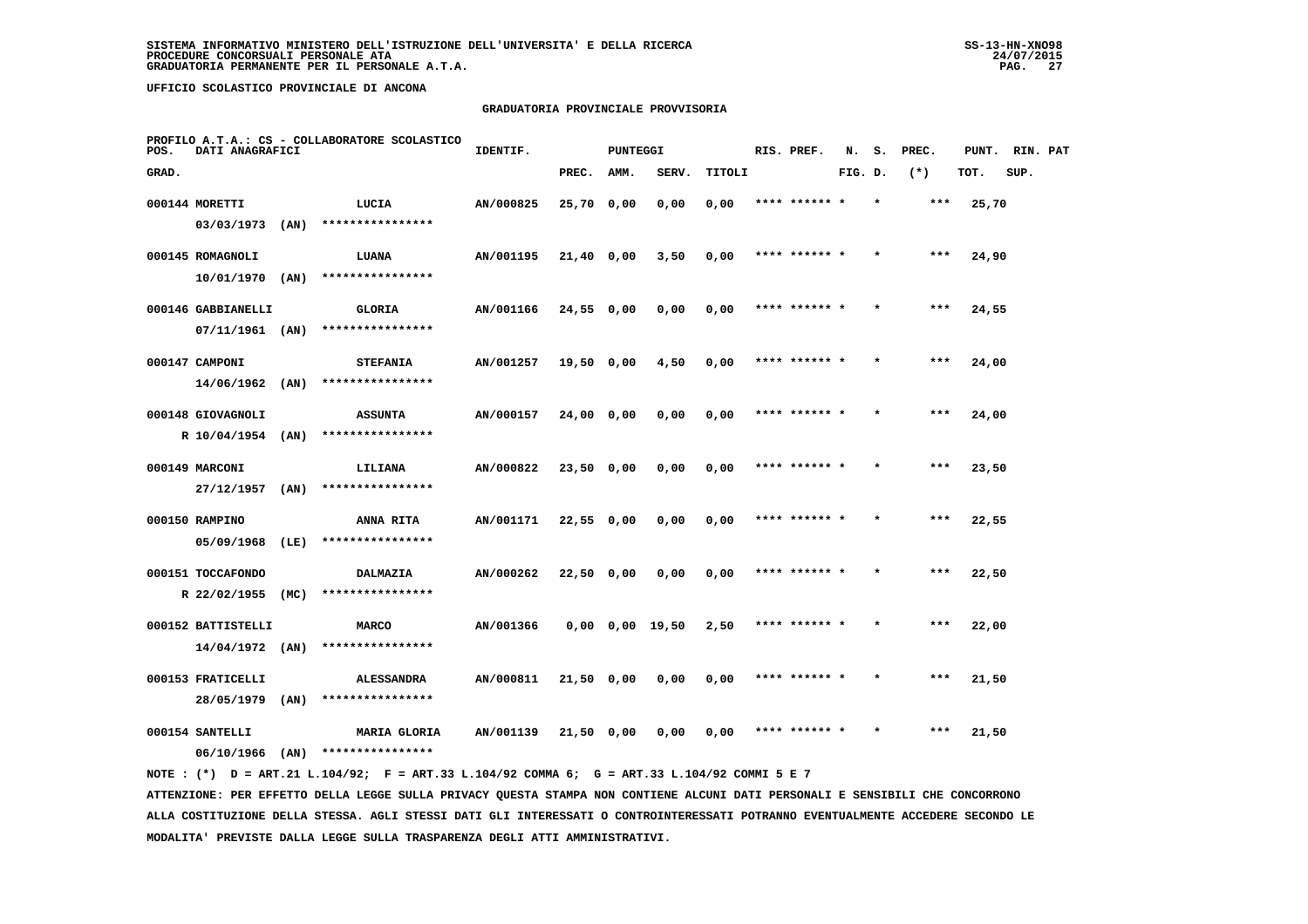## **GRADUATORIA PROVINCIALE PROVVISORIA**

| PROFILO A.T.A.: CS - COLLABORATORE SCOLASTICO<br>POS.<br>DATI ANAGRAFICI |                                 |      |                                       | IDENTIF.  | <b>PUNTEGGI</b> |      |                       |        | RIS. PREF. | N.            |         | PREC. | PUNT. | RIN. PAT |      |  |
|--------------------------------------------------------------------------|---------------------------------|------|---------------------------------------|-----------|-----------------|------|-----------------------|--------|------------|---------------|---------|-------|-------|----------|------|--|
| GRAD.                                                                    |                                 |      |                                       |           | PREC.           | AMM. | SERV.                 | TITOLI |            |               | FIG. D. |       | $(*)$ | TOT.     | SUP. |  |
|                                                                          | 000144 MORETTI                  |      | LUCIA                                 | AN/000825 | 25,70 0,00      |      | 0,00                  | 0,00   |            | **** ****** * |         |       | $***$ | 25,70    |      |  |
|                                                                          | 03/03/1973                      | (AN) | ****************                      |           |                 |      |                       |        |            |               |         |       |       |          |      |  |
|                                                                          | 000145 ROMAGNOLI                |      | LUANA                                 | AN/001195 | 21,40 0,00      |      | 3,50                  | 0,00   |            | **** ****** * |         |       | $***$ | 24,90    |      |  |
|                                                                          | 10/01/1970                      | (AN) | ****************                      |           |                 |      |                       |        |            |               |         |       |       |          |      |  |
|                                                                          | 000146 GABBIANELLI              |      | GLORIA                                | AN/001166 | 24,55 0,00      |      | 0,00                  | 0,00   |            | **** ****** * |         |       | $***$ | 24,55    |      |  |
|                                                                          | $07/11/1961$ (AN)               |      | ****************                      |           |                 |      |                       |        |            |               |         |       |       |          |      |  |
|                                                                          | 000147 CAMPONI                  |      | <b>STEFANIA</b>                       | AN/001257 | $19,50$ 0,00    |      | 4,50                  | 0,00   |            | **** ****** * |         |       | ***   | 24,00    |      |  |
|                                                                          | 14/06/1962                      | (AN) | ****************                      |           |                 |      |                       |        |            |               |         |       |       |          |      |  |
|                                                                          | 000148 GIOVAGNOLI               |      | <b>ASSUNTA</b>                        | AN/000157 | 24,00 0,00      |      | 0,00                  | 0,00   |            | **** ****** * |         |       | ***   | 24,00    |      |  |
|                                                                          | R 10/04/1954 (AN)               |      | ****************                      |           |                 |      |                       |        |            |               |         |       |       |          |      |  |
|                                                                          | 000149 MARCONI                  |      | LILIANA                               | AN/000822 | 23,50 0,00      |      | 0,00                  | 0,00   |            | **** ****** * |         |       | $***$ | 23,50    |      |  |
|                                                                          | $27/12/1957$ (AN)               |      | ****************                      |           |                 |      |                       |        |            |               |         |       |       |          |      |  |
|                                                                          | 000150 RAMPINO                  |      | <b>ANNA RITA</b>                      | AN/001171 | 22,550,00       |      | 0,00                  | 0,00   |            | **** ****** * |         |       | ***   | 22,55    |      |  |
|                                                                          | 05/09/1968                      | (LE) | ****************                      |           |                 |      |                       |        |            |               |         |       |       |          |      |  |
|                                                                          | 000151 TOCCAFONDO               |      | DALMAZIA                              | AN/000262 | $22,50$ 0,00    |      | 0,00                  | 0,00   |            | **** ****** * |         |       | $***$ | 22,50    |      |  |
|                                                                          | R 22/02/1955                    | (MC) | ****************                      |           |                 |      |                       |        |            |               |         |       |       |          |      |  |
|                                                                          | 000152 BATTISTELLI              |      | <b>MARCO</b><br>****************      | AN/001366 |                 |      | $0,00$ $0,00$ $19,50$ | 2,50   |            | **** ****** * |         |       | $***$ | 22,00    |      |  |
|                                                                          | $14/04/1972$ (AN)               |      |                                       |           |                 |      |                       |        |            |               |         |       |       |          |      |  |
|                                                                          | 000153 FRATICELLI<br>28/05/1979 | (AN) | <b>ALESSANDRA</b><br>**************** | AN/000811 | 21,50 0,00      |      | 0,00                  | 0,00   |            | **** ****** * |         |       | ***   | 21,50    |      |  |
|                                                                          |                                 |      |                                       |           |                 |      |                       |        |            |               |         |       |       |          |      |  |
|                                                                          | 000154 SANTELLI<br>06/10/1966   | (AN) | MARIA GLORIA<br>****************      | AN/001139 | 21,50 0,00      |      | 0,00                  | 0,00   |            | **** ****** * |         |       | ***   | 21,50    |      |  |
|                                                                          |                                 |      |                                       |           |                 |      |                       |        |            |               |         |       |       |          |      |  |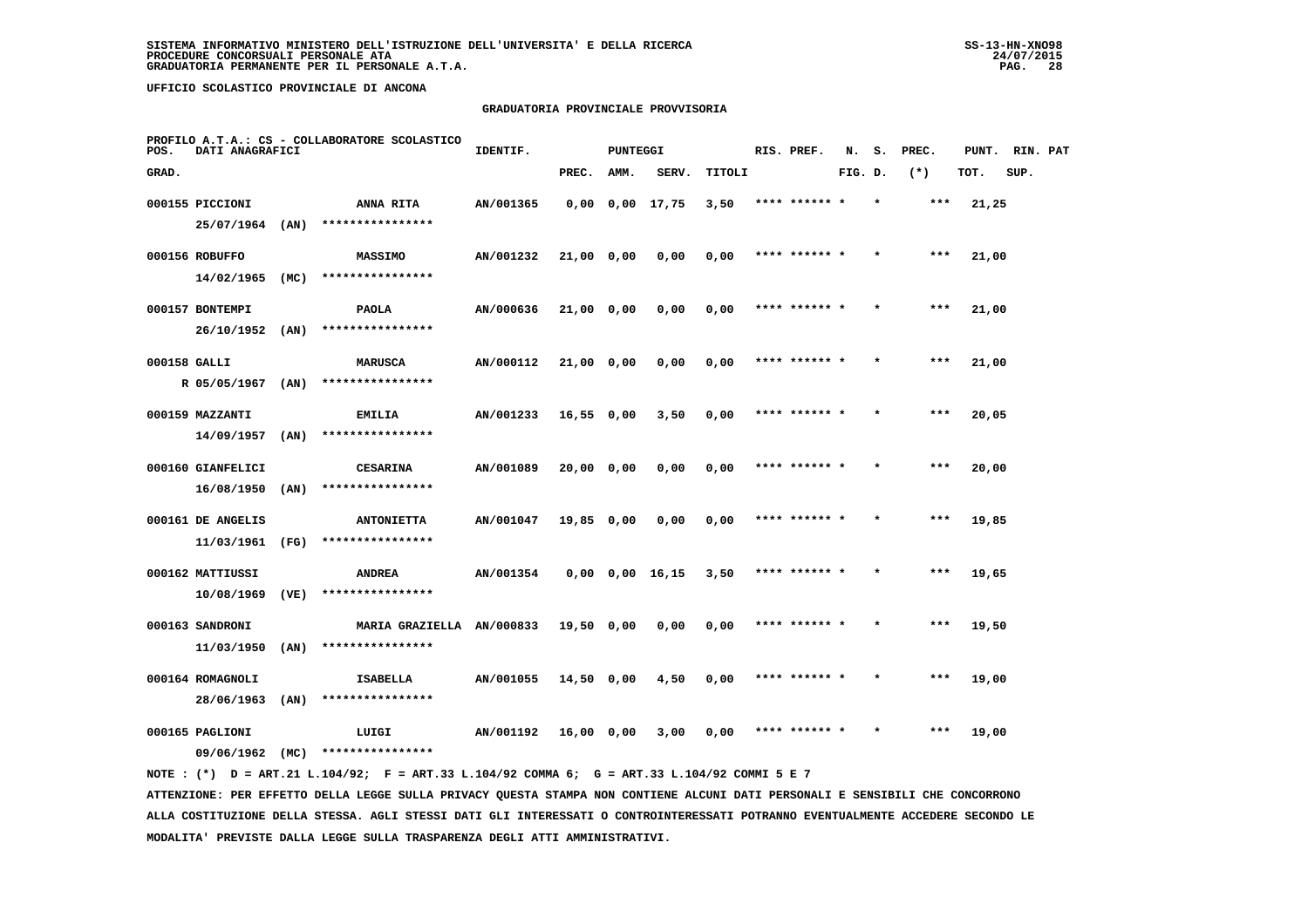## **GRADUATORIA PROVINCIALE PROVVISORIA**

| PROFILO A.T.A.: CS - COLLABORATORE SCOLASTICO<br>POS.<br>DATI ANAGRAFICI |                   |      |                           | IDENTIF.  |              | PUNTEGGI |                              |        |  | RIS. PREF.    | N.      | s.      | PREC. | PUNT.<br>RIN. PAT |      |  |
|--------------------------------------------------------------------------|-------------------|------|---------------------------|-----------|--------------|----------|------------------------------|--------|--|---------------|---------|---------|-------|-------------------|------|--|
| GRAD.                                                                    |                   |      |                           |           | PREC.        | AMM.     | SERV.                        | TITOLI |  |               | FIG. D. |         | $(*)$ | TOT.              | SUP. |  |
|                                                                          | 000155 PICCIONI   |      | <b>ANNA RITA</b>          | AN/001365 |              |          | $0,00$ $0,00$ $17,75$        | 3,50   |  | **** ****** * |         | $\star$ | ***   | 21,25             |      |  |
|                                                                          | 25/07/1964 (AN)   |      | ****************          |           |              |          |                              |        |  |               |         |         |       |                   |      |  |
|                                                                          | 000156 ROBUFFO    |      | <b>MASSIMO</b>            | AN/001232 | 21,00 0,00   |          | 0,00                         | 0,00   |  | **** ****** * |         |         | ***   | 21,00             |      |  |
|                                                                          | 14/02/1965 (MC)   |      | ****************          |           |              |          |                              |        |  |               |         |         |       |                   |      |  |
|                                                                          | 000157 BONTEMPI   |      | <b>PAOLA</b>              | AN/000636 | $21,00$ 0,00 |          | 0,00                         | 0,00   |  | **** ****** * |         |         | ***   | 21,00             |      |  |
|                                                                          | 26/10/1952 (AN)   |      | ****************          |           |              |          |                              |        |  |               |         |         |       |                   |      |  |
| 000158 GALLI                                                             |                   |      | <b>MARUSCA</b>            | AN/000112 | $21,00$ 0,00 |          | 0,00                         | 0,00   |  | **** ****** * |         |         | $***$ | 21,00             |      |  |
|                                                                          | R 05/05/1967 (AN) |      | ****************          |           |              |          |                              |        |  |               |         |         |       |                   |      |  |
|                                                                          | 000159 MAZZANTI   |      | <b>EMILIA</b>             | AN/001233 | $16,55$ 0,00 |          | 3,50                         | 0,00   |  | **** ****** * |         |         | ***   | 20,05             |      |  |
|                                                                          | 14/09/1957        | (AN) | ****************          |           |              |          |                              |        |  |               |         |         |       |                   |      |  |
|                                                                          | 000160 GIANFELICI |      | <b>CESARINA</b>           | AN/001089 | 20,00 0,00   |          | 0,00                         | 0,00   |  | **** ****** * |         |         | $***$ | 20,00             |      |  |
|                                                                          | 16/08/1950        | (AN) | ****************          |           |              |          |                              |        |  |               |         |         |       |                   |      |  |
|                                                                          | 000161 DE ANGELIS |      | <b>ANTONIETTA</b>         | AN/001047 | 19,85 0,00   |          | 0.00                         | 0,00   |  | **** ****** * |         |         | $***$ | 19,85             |      |  |
|                                                                          | 11/03/1961        | (FG) | ****************          |           |              |          |                              |        |  |               |         |         |       |                   |      |  |
|                                                                          | 000162 MATTIUSSI  |      | <b>ANDREA</b>             | AN/001354 |              |          | $0,00$ $0,00$ $16,15$ $3,50$ |        |  | **** ****** * |         |         | $***$ | 19,65             |      |  |
|                                                                          | 10/08/1969        | (VE) | ****************          |           |              |          |                              |        |  |               |         |         |       |                   |      |  |
|                                                                          | 000163 SANDRONI   |      | MARIA GRAZIELLA AN/000833 |           | 19,50 0,00   |          | 0,00                         | 0,00   |  | **** ****** * |         |         | ***   | 19,50             |      |  |
|                                                                          | $11/03/1950$ (AN) |      | ****************          |           |              |          |                              |        |  |               |         |         |       |                   |      |  |
|                                                                          | 000164 ROMAGNOLI  |      | <b>ISABELLA</b>           | AN/001055 | 14,50 0,00   |          | 4,50                         | 0,00   |  | **** ****** * |         |         | ***   | 19,00             |      |  |
|                                                                          | 28/06/1963        | (AN) | ****************          |           |              |          |                              |        |  |               |         |         |       |                   |      |  |
|                                                                          | 000165 PAGLIONI   |      | LUIGI                     | AN/001192 | 16,00 0,00   |          | 3,00                         | 0,00   |  | **** ****** * |         |         | ***   | 19,00             |      |  |
|                                                                          | 09/06/1962        | (MC) | ****************          |           |              |          |                              |        |  |               |         |         |       |                   |      |  |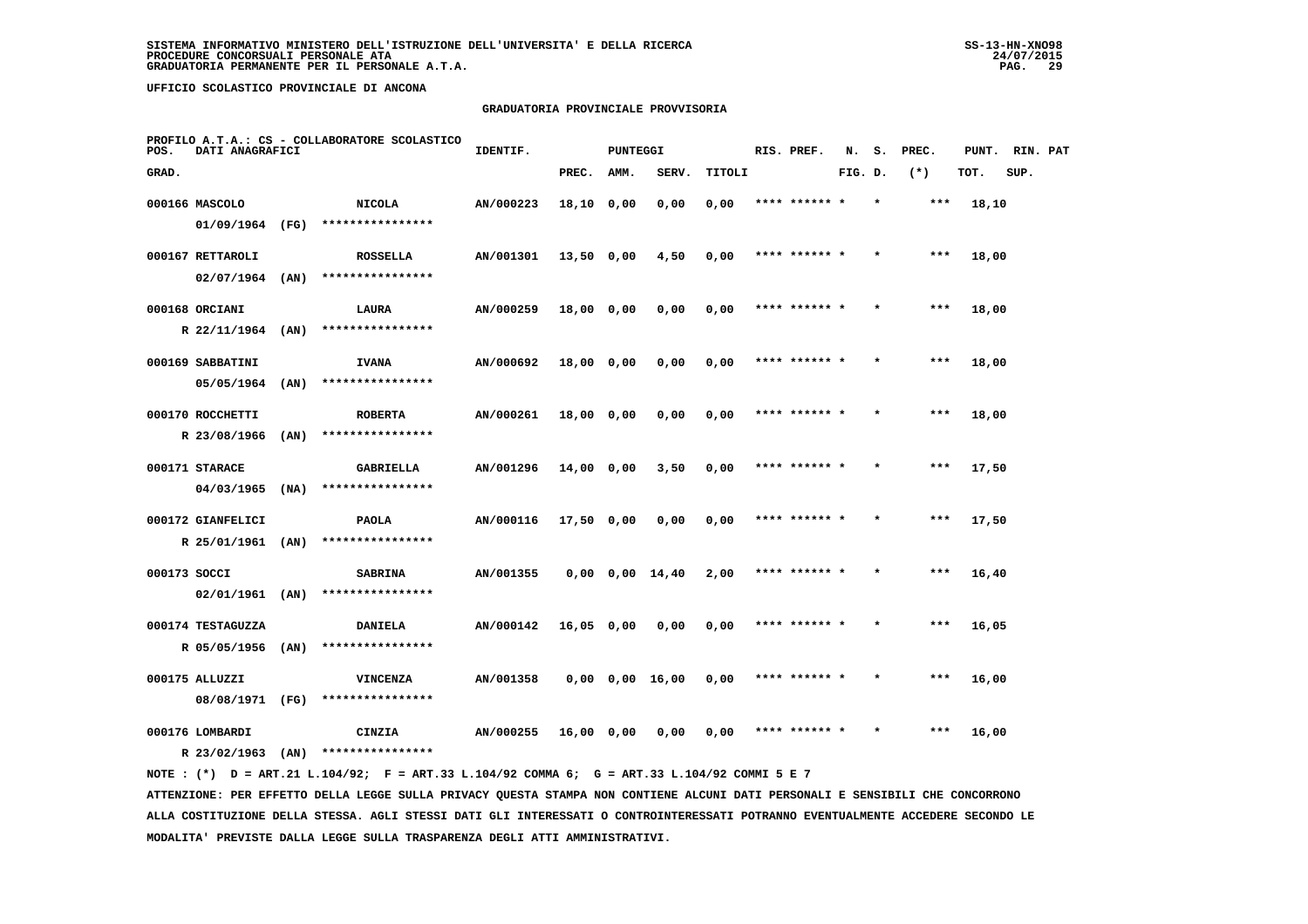## **GRADUATORIA PROVINCIALE PROVVISORIA**

| PROFILO A.T.A.: CS - COLLABORATORE SCOLASTICO<br>POS.<br>DATI ANAGRAFICI |                   |      |                                     | IDENTIF.  | <b>PUNTEGGI</b> |      | RIS. PREF.            | N.     | s.            | PREC.   | PUNT.   | RIN. PAT |       |      |  |
|--------------------------------------------------------------------------|-------------------|------|-------------------------------------|-----------|-----------------|------|-----------------------|--------|---------------|---------|---------|----------|-------|------|--|
| GRAD.                                                                    |                   |      |                                     |           | PREC.           | AMM. | SERV.                 | TITOLI |               | FIG. D. |         | $(*)$    | TOT.  | SUP. |  |
|                                                                          | 000166 MASCOLO    |      | <b>NICOLA</b>                       | AN/000223 | 18,10 0,00      |      | 0,00                  | 0,00   | **** ****** * |         | $\star$ | $***$    | 18,10 |      |  |
|                                                                          | 01/09/1964 (FG)   |      | ****************                    |           |                 |      |                       |        |               |         |         |          |       |      |  |
|                                                                          | 000167 RETTAROLI  |      | <b>ROSSELLA</b>                     | AN/001301 | $13,50$ 0,00    |      | 4,50                  | 0,00   | **** ****** * |         |         | ***      | 18,00 |      |  |
|                                                                          | 02/07/1964        | (AN) | ****************                    |           |                 |      |                       |        |               |         |         |          |       |      |  |
|                                                                          | 000168 ORCIANI    |      | LAURA                               | AN/000259 | 18,00 0,00      |      | 0,00                  | 0,00   | **** ****** * |         |         | $***$    | 18,00 |      |  |
|                                                                          | R 22/11/1964      | (AN) | ****************                    |           |                 |      |                       |        |               |         |         |          |       |      |  |
|                                                                          | 000169 SABBATINI  |      | <b>IVANA</b>                        | AN/000692 | 18,00 0,00      |      | 0,00                  | 0,00   | **** ****** * |         |         | $***$    | 18,00 |      |  |
|                                                                          | 05/05/1964        | (AN) | ****************                    |           |                 |      |                       |        |               |         |         |          |       |      |  |
|                                                                          | 000170 ROCCHETTI  |      | <b>ROBERTA</b>                      | AN/000261 | 18,00 0,00      |      | 0,00                  | 0,00   | **** ****** * |         |         | $***$    | 18,00 |      |  |
|                                                                          | R 23/08/1966      | (AN) | ****************                    |           |                 |      |                       |        |               |         |         |          |       |      |  |
|                                                                          | 000171 STARACE    |      | <b>GABRIELLA</b>                    | AN/001296 | 14,00 0,00      |      | 3,50                  | 0,00   | **** ******   |         |         | $***$    | 17,50 |      |  |
|                                                                          | 04/03/1965        | (NA) | ****************                    |           |                 |      |                       |        |               |         |         |          |       |      |  |
|                                                                          | 000172 GIANFELICI |      | <b>PAOLA</b>                        | AN/000116 | $17,50$ 0,00    |      | 0,00                  | 0,00   | **** ****** * |         |         | $***$    | 17,50 |      |  |
|                                                                          | R 25/01/1961 (AN) |      | ****************                    |           |                 |      |                       |        |               |         |         |          |       |      |  |
|                                                                          | 000173 SOCCI      |      | <b>SABRINA</b><br>****************  | AN/001355 |                 |      | $0,00$ $0,00$ $14,40$ | 2,00   | **** ****** * |         |         | $***$    | 16,40 |      |  |
|                                                                          | $02/01/1961$ (AN) |      |                                     |           |                 |      |                       |        |               |         |         |          |       |      |  |
|                                                                          | 000174 TESTAGUZZA |      | <b>DANIELA</b><br>****************  | AN/000142 | 16,05 0,00      |      | 0,00                  | 0,00   | **** ****** * |         |         | ***      | 16,05 |      |  |
|                                                                          | R 05/05/1956      | (AN) |                                     |           |                 |      |                       |        |               |         |         |          |       |      |  |
|                                                                          | 000175 ALLUZZI    |      | <b>VINCENZA</b><br>**************** | AN/001358 |                 |      | $0,00$ $0,00$ $16,00$ | 0,00   | **** ****** * |         |         | $***$    | 16,00 |      |  |
|                                                                          | 08/08/1971 (FG)   |      |                                     |           |                 |      |                       |        |               |         |         |          |       |      |  |
|                                                                          | 000176 LOMBARDI   |      | CINZIA                              | AN/000255 | 16,00 0,00      |      | 0.00                  | 0.00   |               |         |         | ***      | 16,00 |      |  |
|                                                                          | R 23/02/1963      | (AN) | ****************                    |           |                 |      |                       |        |               |         |         |          |       |      |  |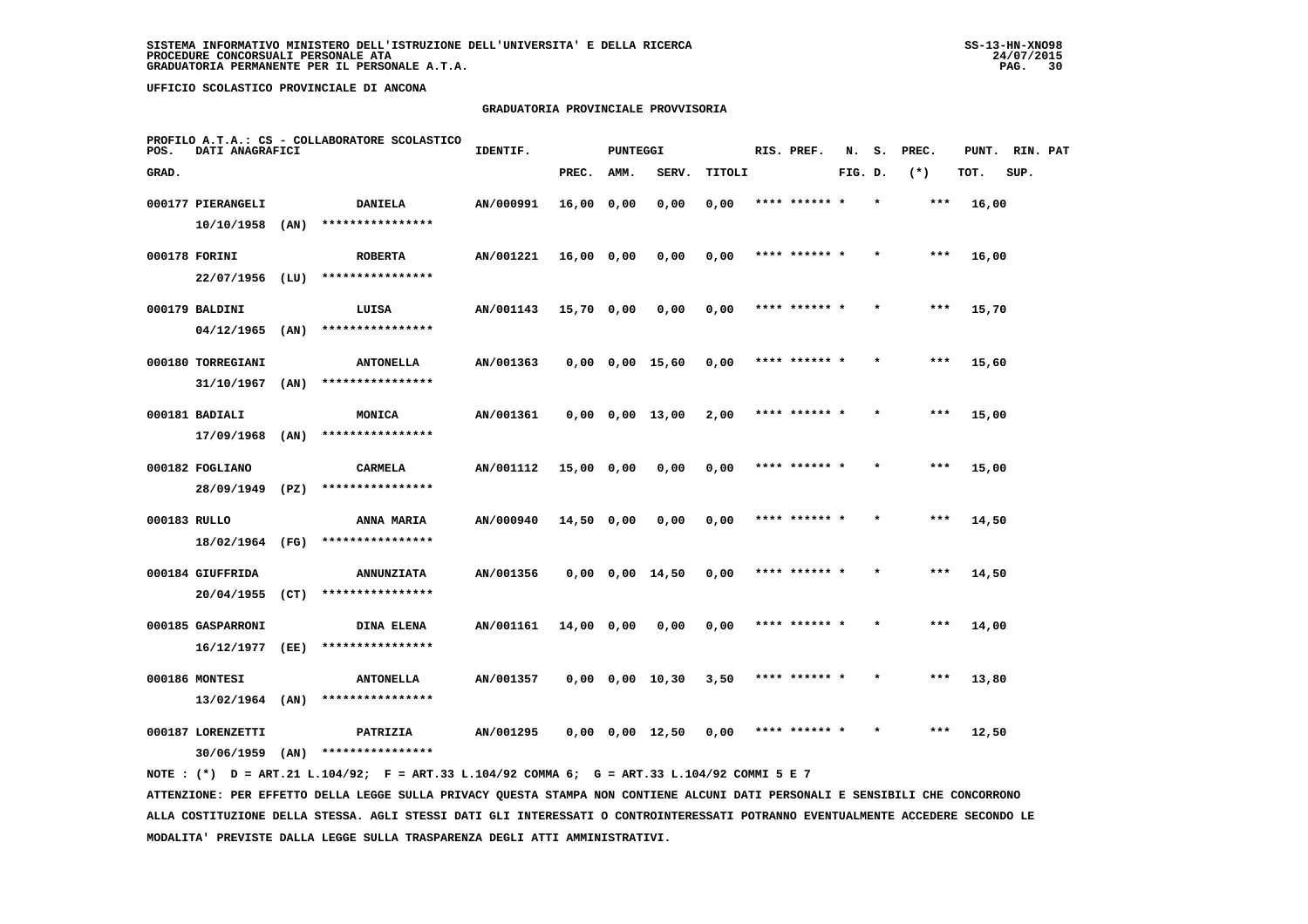## **GRADUATORIA PROVINCIALE PROVVISORIA**

| PROFILO A.T.A.: CS - COLLABORATORE SCOLASTICO<br>POS.<br>DATI ANAGRAFICI |                   |      |                   | IDENTIF.  | <b>PUNTEGGI</b> |      |                         |        | RIS. PREF. | N.            |         | PREC. | PUNT.  | RIN. PAT |      |  |
|--------------------------------------------------------------------------|-------------------|------|-------------------|-----------|-----------------|------|-------------------------|--------|------------|---------------|---------|-------|--------|----------|------|--|
| GRAD.                                                                    |                   |      |                   |           | PREC.           | AMM. | SERV.                   | TITOLI |            |               | FIG. D. |       | $(* )$ | TOT.     | SUP. |  |
|                                                                          | 000177 PIERANGELI |      | <b>DANIELA</b>    | AN/000991 | $16,00$ 0,00    |      | 0,00                    | 0,00   |            | **** ****** * |         |       | $***$  | 16,00    |      |  |
|                                                                          | 10/10/1958        | (AN) | ****************  |           |                 |      |                         |        |            |               |         |       |        |          |      |  |
|                                                                          | 000178 FORINI     |      | <b>ROBERTA</b>    | AN/001221 | $16,00$ 0,00    |      | 0,00                    | 0,00   |            | **** ****** * |         |       | $***$  | 16,00    |      |  |
|                                                                          | 22/07/1956 (LU)   |      | ****************  |           |                 |      |                         |        |            |               |         |       |        |          |      |  |
|                                                                          | 000179 BALDINI    |      | LUISA             | AN/001143 | $15,70$ 0,00    |      | 0,00                    | 0,00   |            | **** ****** * |         |       | $***$  | 15,70    |      |  |
|                                                                          | 04/12/1965        | (AN) | ****************  |           |                 |      |                         |        |            |               |         |       |        |          |      |  |
|                                                                          | 000180 TORREGIANI |      | <b>ANTONELLA</b>  | AN/001363 |                 |      | $0,00$ $0,00$ $15,60$   | 0,00   |            | **** ****** * |         |       | ***    | 15,60    |      |  |
|                                                                          | 31/10/1967        | (AN) | ****************  |           |                 |      |                         |        |            |               |         |       |        |          |      |  |
|                                                                          | 000181 BADIALI    |      | MONICA            | AN/001361 |                 |      | $0,00$ $0,00$ $13,00$   | 2,00   |            | **** ****** * |         |       | $***$  | 15,00    |      |  |
|                                                                          | 17/09/1968        | (AN) | ****************  |           |                 |      |                         |        |            |               |         |       |        |          |      |  |
|                                                                          | 000182 FOGLIANO   |      | CARMELA           | AN/001112 | 15,00 0,00      |      | 0,00                    | 0,00   |            | **** ****** * |         |       | $***$  | 15,00    |      |  |
|                                                                          | 28/09/1949        | (PZ) | ****************  |           |                 |      |                         |        |            |               |         |       |        |          |      |  |
| 000183 RULLO                                                             |                   |      | ANNA MARIA        | AN/000940 | 14,50 0,00      |      | 0,00                    | 0,00   |            | **** ****** * |         |       | ***    | 14,50    |      |  |
|                                                                          | 18/02/1964 (FG)   |      | ****************  |           |                 |      |                         |        |            |               |         |       |        |          |      |  |
|                                                                          | 000184 GIUFFRIDA  |      | <b>ANNUNZIATA</b> | AN/001356 |                 |      | $0,00$ $0,00$ $14,50$   | 0,00   |            | **** ****** * |         |       | ***    | 14,50    |      |  |
|                                                                          | 20/04/1955        | (CT) | ****************  |           |                 |      |                         |        |            |               |         |       |        |          |      |  |
|                                                                          | 000185 GASPARRONI |      | <b>DINA ELENA</b> | AN/001161 | 14,00 0,00      |      | 0,00                    | 0,00   |            | **** ****** * |         |       | $***$  | 14,00    |      |  |
|                                                                          | 16/12/1977        | (EE) | ****************  |           |                 |      |                         |        |            |               |         |       |        |          |      |  |
|                                                                          | 000186 MONTESI    |      | <b>ANTONELLA</b>  | AN/001357 |                 |      | $0,00$ $0,00$ $10,30$   | 3,50   |            | **** ****** * |         |       | $***$  | 13,80    |      |  |
|                                                                          | $13/02/1964$ (AN) |      | ****************  |           |                 |      |                         |        |            |               |         |       |        |          |      |  |
|                                                                          | 000187 LORENZETTI |      | PATRIZIA          | AN/001295 |                 |      | $0.00 \t 0.00 \t 12.50$ | 0.00   |            | **** ****** * |         |       | ***    | 12,50    |      |  |
|                                                                          | 30/06/1959        | (AN) | ****************  |           |                 |      |                         |        |            |               |         |       |        |          |      |  |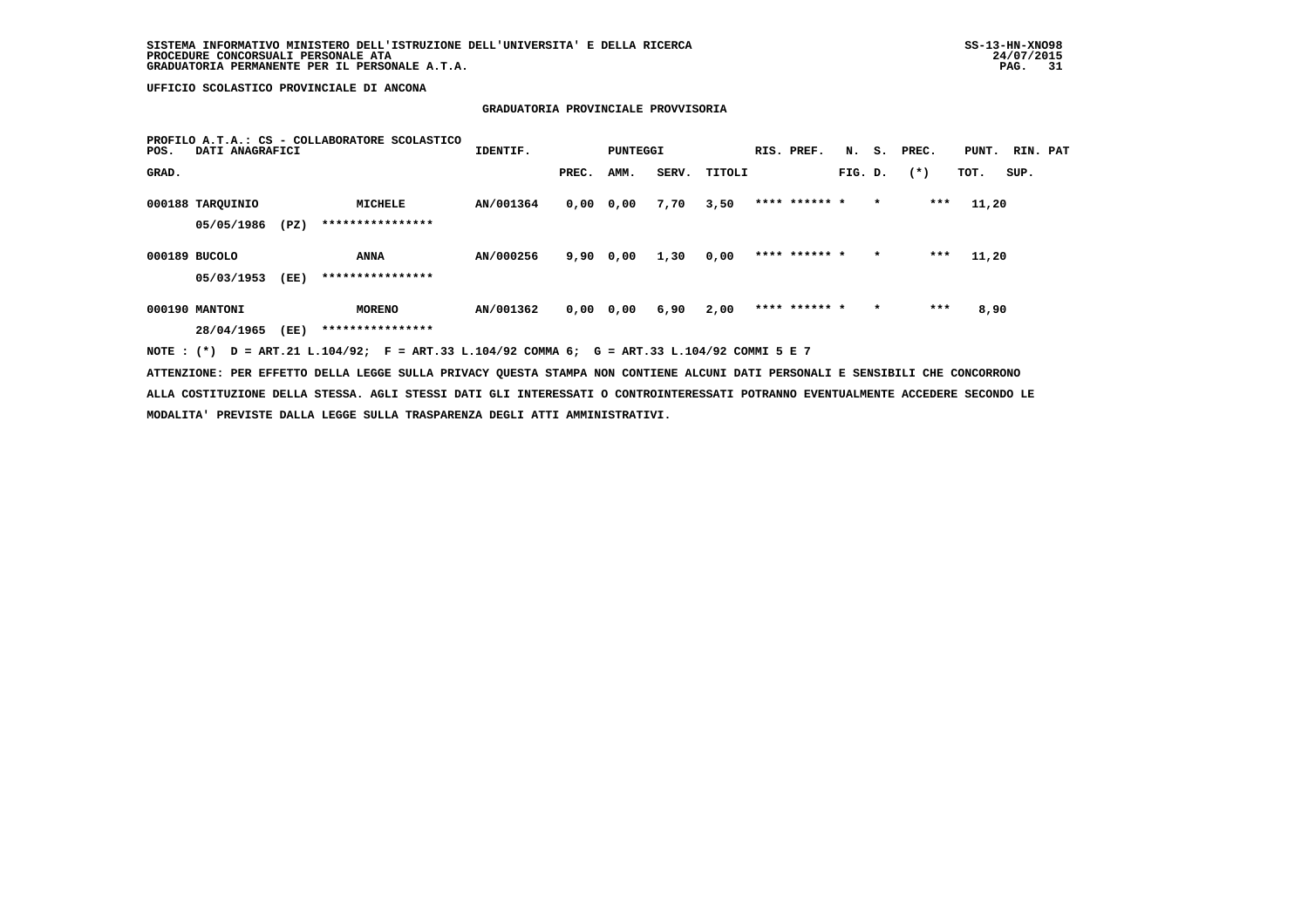# **GRADUATORIA PROVINCIALE PROVVISORIA**

| PROFILO A.T.A.: CS - COLLABORATORE SCOLASTICO<br>DATI ANAGRAFICI<br>POS. |                                |      | IDENTIF.<br>PUNTEGGI               |           |               |      | RIS. PREF. |        |               | N. S. PREC. | PUNT.   | RIN. PAT |       |      |  |
|--------------------------------------------------------------------------|--------------------------------|------|------------------------------------|-----------|---------------|------|------------|--------|---------------|-------------|---------|----------|-------|------|--|
| GRAD.                                                                    |                                |      |                                    |           | PREC.         | AMM. | SERV.      | TITOLI |               | FIG. D.     |         | $(* )$   | TOT.  | SUP. |  |
|                                                                          | 000188 TARQUINIO<br>05/05/1986 | (PZ) | <b>MICHELE</b><br>**************** | AN/001364 | $0,00$ $0,00$ |      | 7,70       | 3,50   | **** ****** * |             | $\star$ | ***      | 11,20 |      |  |
|                                                                          | 000189 BUCOLO<br>05/03/1953    | (EE) | <b>ANNA</b><br>****************    | AN/000256 | 9,90          | 0,00 | 1,30       | 0,00   | **** ****** * |             | $\star$ | $***$    | 11,20 |      |  |
|                                                                          | 000190 MANTONI<br>28/04/1965   | (EE) | <b>MORENO</b><br>****************  | AN/001362 | $0,00$ 0,00   |      | 6,90       | 2,00   | **** ****** * |             | $\star$ | $***$    | 8,90  |      |  |

 **NOTE : (\*) D = ART.21 L.104/92; F = ART.33 L.104/92 COMMA 6; G = ART.33 L.104/92 COMMI 5 E 7**

 **ATTENZIONE: PER EFFETTO DELLA LEGGE SULLA PRIVACY QUESTA STAMPA NON CONTIENE ALCUNI DATI PERSONALI E SENSIBILI CHE CONCORRONO ALLA COSTITUZIONE DELLA STESSA. AGLI STESSI DATI GLI INTERESSATI O CONTROINTERESSATI POTRANNO EVENTUALMENTE ACCEDERE SECONDO LE MODALITA' PREVISTE DALLA LEGGE SULLA TRASPARENZA DEGLI ATTI AMMINISTRATIVI.**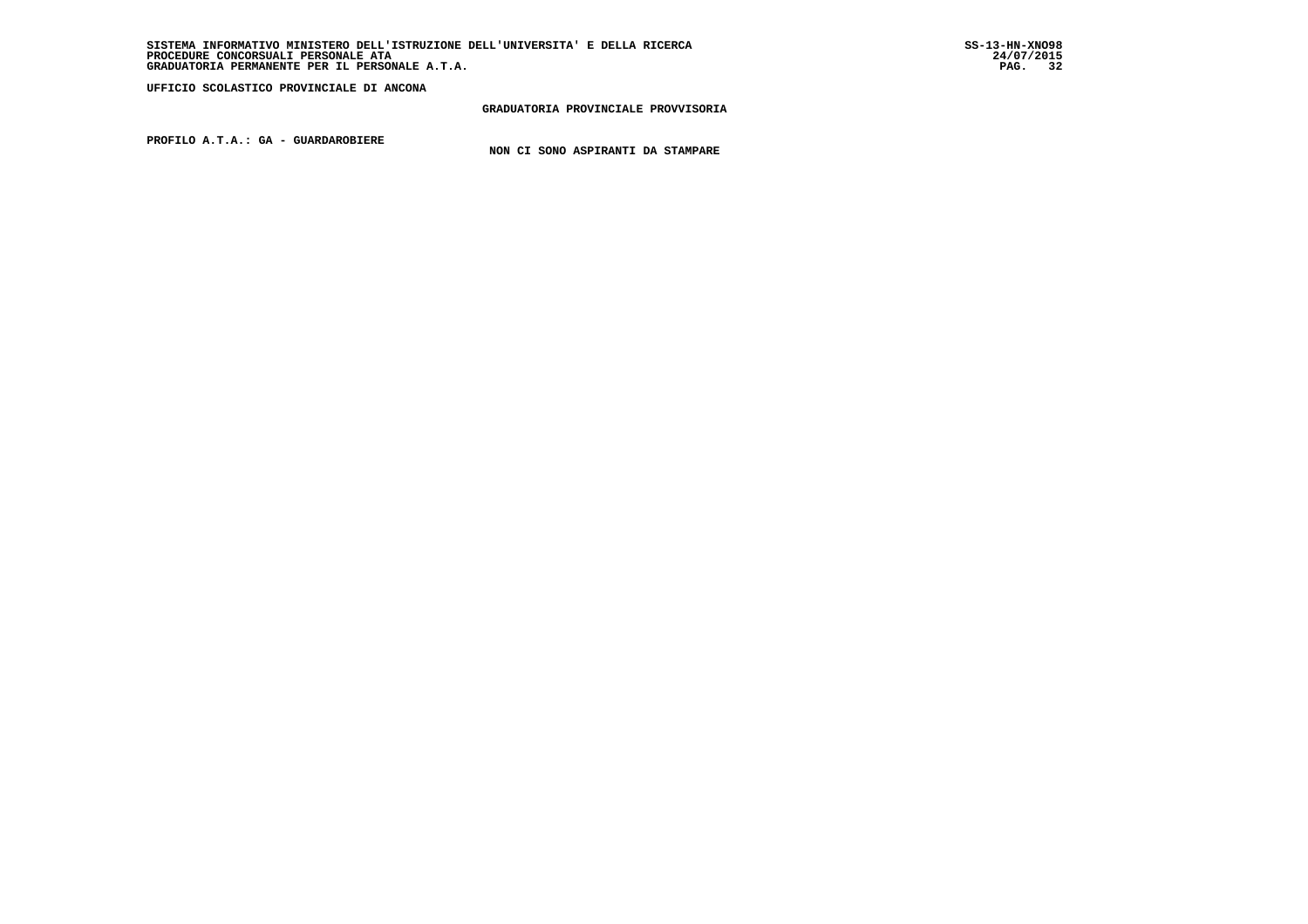#### **GRADUATORIA PROVINCIALE PROVVISORIA**

 **PROFILO A.T.A.: GA - GUARDAROBIERE**

 **NON CI SONO ASPIRANTI DA STAMPARE**